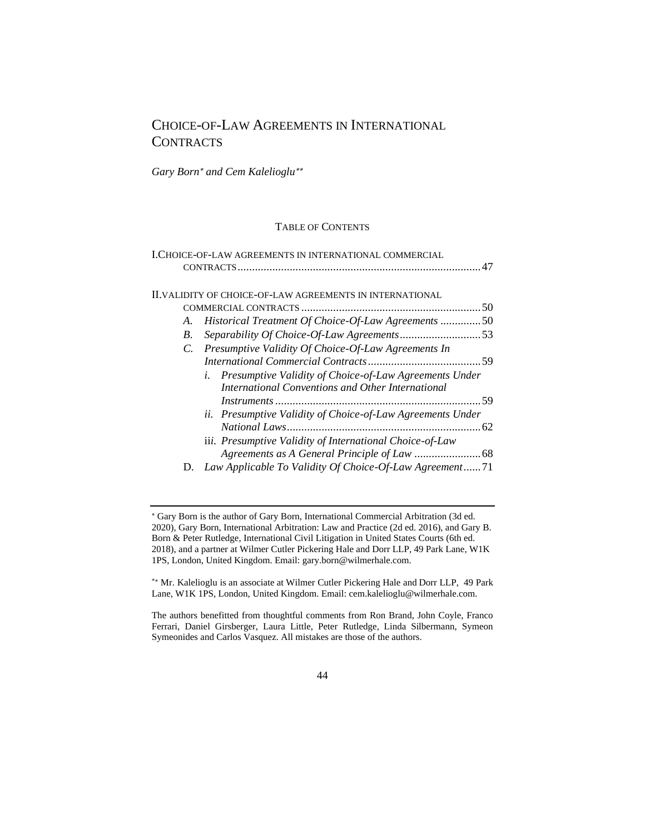# CHOICE-OF-LAW AGREEMENTS IN INTERNATIONAL **CONTRACTS**

*Gary Born and Cem Kalelioglu*

# TABLE OF CONTENTS

|             | I.CHOICE-OF-LAW AGREEMENTS IN INTERNATIONAL COMMERCIAL                                                         |  |
|-------------|----------------------------------------------------------------------------------------------------------------|--|
|             |                                                                                                                |  |
|             | <b>ILVALIDITY OF CHOICE-OF-LAW AGREEMENTS IN INTERNATIONAL</b>                                                 |  |
|             |                                                                                                                |  |
| A.          | Historical Treatment Of Choice-Of-Law Agreements 50                                                            |  |
| $B_{\cdot}$ |                                                                                                                |  |
|             | C. Presumptive Validity Of Choice-Of-Law Agreements In                                                         |  |
|             |                                                                                                                |  |
|             | i. Presumptive Validity of Choice-of-Law Agreements Under<br>International Conventions and Other International |  |
|             |                                                                                                                |  |
|             | ii. Presumptive Validity of Choice-of-Law Agreements Under                                                     |  |
|             | iii. Presumptive Validity of International Choice-of-Law                                                       |  |
|             |                                                                                                                |  |
| D.          | Law Applicable To Validity Of Choice-Of-Law Agreement71                                                        |  |

Gary Born is the author of Gary Born, International Commercial Arbitration (3d ed. 2020), Gary Born, International Arbitration: Law and Practice (2d ed. 2016), and Gary B. Born & Peter Rutledge, International Civil Litigation in United States Courts (6th ed. 2018), and a partner at Wilmer Cutler Pickering Hale and Dorr LLP, 49 Park Lane, W1K 1PS, London, United Kingdom. Email: gary.born@wilmerhale.com.

<sup>\*</sup> Mr. Kalelioglu is an associate at Wilmer Cutler Pickering Hale and Dorr LLP, 49 Park Lane, W1K 1PS, London, United Kingdom. Email: cem.kalelioglu@wilmerhale.com.

The authors benefitted from thoughtful comments from Ron Brand, John Coyle, Franco Ferrari, Daniel Girsberger, Laura Little, Peter Rutledge, Linda Silbermann, Symeon Symeonides and Carlos Vasquez. All mistakes are those of the authors.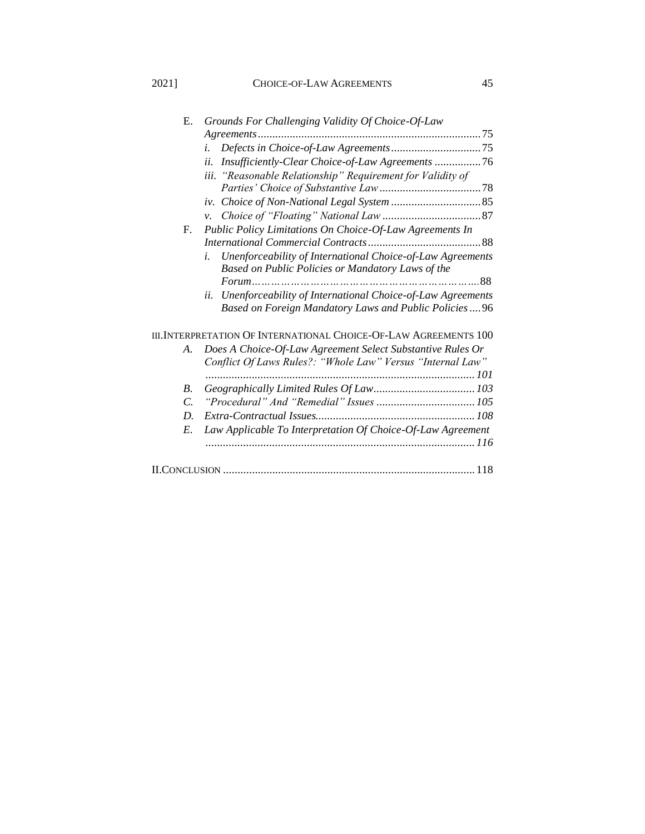# 2021] CHOICE-OF-LAW AGREEMENTS 45

| Е.            | Grounds For Challenging Validity Of Choice-Of-Law                                                                          |
|---------------|----------------------------------------------------------------------------------------------------------------------------|
|               |                                                                                                                            |
|               | i.                                                                                                                         |
|               | Insufficiently-Clear Choice-of-Law Agreements 76<br>ii.                                                                    |
|               | iii. "Reasonable Relationship" Requirement for Validity of                                                                 |
|               |                                                                                                                            |
|               |                                                                                                                            |
|               | $\mathcal{V}$ .                                                                                                            |
| F.            | Public Policy Limitations On Choice-Of-Law Agreements In                                                                   |
|               |                                                                                                                            |
|               | Unenforceability of International Choice-of-Law Agreements<br>i.                                                           |
|               | Based on Public Policies or Mandatory Laws of the                                                                          |
|               | Unenforceability of International Choice-of-Law Agreements<br>ii.<br>Based on Foreign Mandatory Laws and Public Policies96 |
|               | III. INTERPRETATION OF INTERNATIONAL CHOICE-OF-LAW AGREEMENTS 100                                                          |
| A.            | Does A Choice-Of-Law Agreement Select Substantive Rules Or<br>Conflict Of Laws Rules?: "Whole Law" Versus "Internal Law"   |
| $B_{\cdot}$   |                                                                                                                            |
| $\mathcal{C}$ |                                                                                                                            |
| D.            |                                                                                                                            |
| E.            | Law Applicable To Interpretation Of Choice-Of-Law Agreement                                                                |
|               |                                                                                                                            |
|               |                                                                                                                            |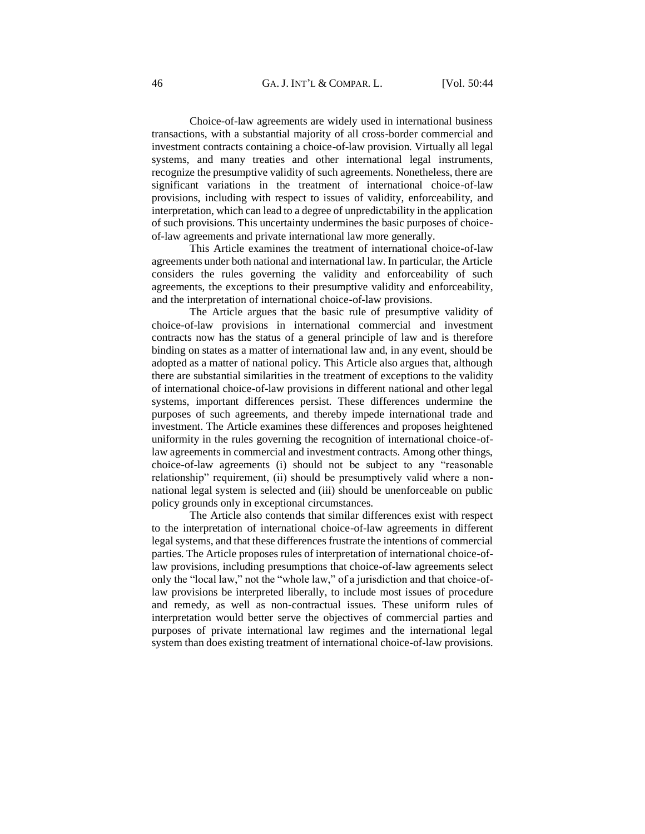Choice-of-law agreements are widely used in international business transactions, with a substantial majority of all cross-border commercial and investment contracts containing a choice-of-law provision. Virtually all legal systems, and many treaties and other international legal instruments, recognize the presumptive validity of such agreements. Nonetheless, there are significant variations in the treatment of international choice-of-law provisions, including with respect to issues of validity, enforceability, and interpretation, which can lead to a degree of unpredictability in the application of such provisions. This uncertainty undermines the basic purposes of choiceof-law agreements and private international law more generally.

This Article examines the treatment of international choice-of-law agreements under both national and international law. In particular, the Article considers the rules governing the validity and enforceability of such agreements, the exceptions to their presumptive validity and enforceability, and the interpretation of international choice-of-law provisions.

The Article argues that the basic rule of presumptive validity of choice-of-law provisions in international commercial and investment contracts now has the status of a general principle of law and is therefore binding on states as a matter of international law and, in any event, should be adopted as a matter of national policy. This Article also argues that, although there are substantial similarities in the treatment of exceptions to the validity of international choice-of-law provisions in different national and other legal systems, important differences persist. These differences undermine the purposes of such agreements, and thereby impede international trade and investment. The Article examines these differences and proposes heightened uniformity in the rules governing the recognition of international choice-oflaw agreements in commercial and investment contracts. Among other things, choice-of-law agreements (i) should not be subject to any "reasonable relationship" requirement, (ii) should be presumptively valid where a nonnational legal system is selected and (iii) should be unenforceable on public policy grounds only in exceptional circumstances.

The Article also contends that similar differences exist with respect to the interpretation of international choice-of-law agreements in different legal systems, and that these differences frustrate the intentions of commercial parties. The Article proposes rules of interpretation of international choice-oflaw provisions, including presumptions that choice-of-law agreements select only the "local law," not the "whole law," of a jurisdiction and that choice-oflaw provisions be interpreted liberally, to include most issues of procedure and remedy, as well as non-contractual issues. These uniform rules of interpretation would better serve the objectives of commercial parties and purposes of private international law regimes and the international legal system than does existing treatment of international choice-of-law provisions.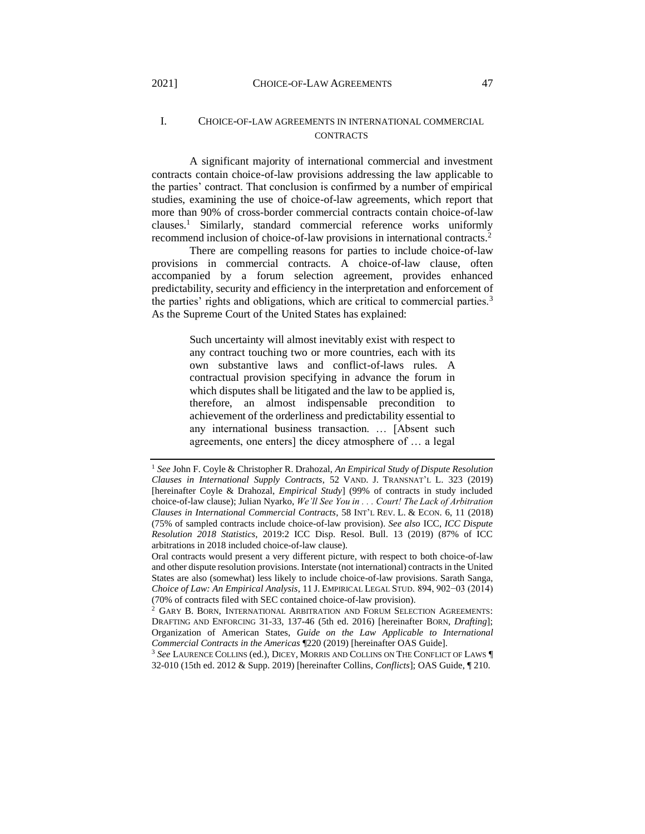# <span id="page-3-0"></span>I. CHOICE-OF-LAW AGREEMENTS IN INTERNATIONAL COMMERCIAL CONTRACTS

A significant majority of international commercial and investment contracts contain choice-of-law provisions addressing the law applicable to the parties' contract. That conclusion is confirmed by a number of empirical studies, examining the use of choice-of-law agreements, which report that more than 90% of cross-border commercial contracts contain choice-of-law clauses.<sup>1</sup> Similarly, standard commercial reference works uniformly recommend inclusion of choice-of-law provisions in international contracts.<sup>2</sup>

There are compelling reasons for parties to include choice-of-law provisions in commercial contracts. A choice-of-law clause, often accompanied by a forum selection agreement, provides enhanced predictability, security and efficiency in the interpretation and enforcement of the parties' rights and obligations, which are critical to commercial parties.<sup>3</sup> As the Supreme Court of the United States has explained:

> Such uncertainty will almost inevitably exist with respect to any contract touching two or more countries, each with its own substantive laws and conflict-of-laws rules. A contractual provision specifying in advance the forum in which disputes shall be litigated and the law to be applied is, therefore, an almost indispensable precondition to achievement of the orderliness and predictability essential to any international business transaction. … [Absent such agreements, one enters] the dicey atmosphere of … a legal

<sup>3</sup> *See* LAURENCE COLLINS (ed.), DICEY, MORRIS AND COLLINS ON THE CONFLICT OF LAWS ¶ 32-010 (15th ed. 2012 & Supp. 2019) [hereinafter Collins, *Conflicts*]; OAS Guide, ¶ 210.

<sup>1</sup> *See* John F. Coyle & Christopher R. Drahozal, *An Empirical Study of Dispute Resolution Clauses in International Supply Contracts*, 52 VAND. J. TRANSNAT'L L. 323 (2019) [hereinafter Coyle & Drahozal, *Empirical Study*] (99% of contracts in study included choice-of-law clause); Julian Nyarko, *We'll See You in . . . Court! The Lack of Arbitration Clauses in International Commercial Contracts*, 58 INT'L REV. L. & ECON. 6, 11 (2018) (75% of sampled contracts include choice-of-law provision). *See also* ICC, *ICC Dispute Resolution 2018 Statistics*, 2019:2 ICC Disp. Resol. Bull. 13 (2019) (87% of ICC arbitrations in 2018 included choice-of-law clause).

Oral contracts would present a very different picture, with respect to both choice-of-law and other dispute resolution provisions. Interstate (not international) contracts in the United States are also (somewhat) less likely to include choice-of-law provisions. Sarath Sanga, *Choice of Law: An Empirical Analysis*, 11 J. EMPIRICAL LEGAL STUD. 894, 902−03 (2014) (70% of contracts filed with SEC contained choice-of-law provision).

<sup>2</sup> GARY B. BORN, INTERNATIONAL ARBITRATION AND FORUM SELECTION AGREEMENTS: DRAFTING AND ENFORCING 31-33, 137-46 (5th ed. 2016) [hereinafter BORN, *Drafting*]; Organization of American States, *Guide on the Law Applicable to International Commercial Contracts in the Americas* ¶220 (2019) [hereinafter OAS Guide].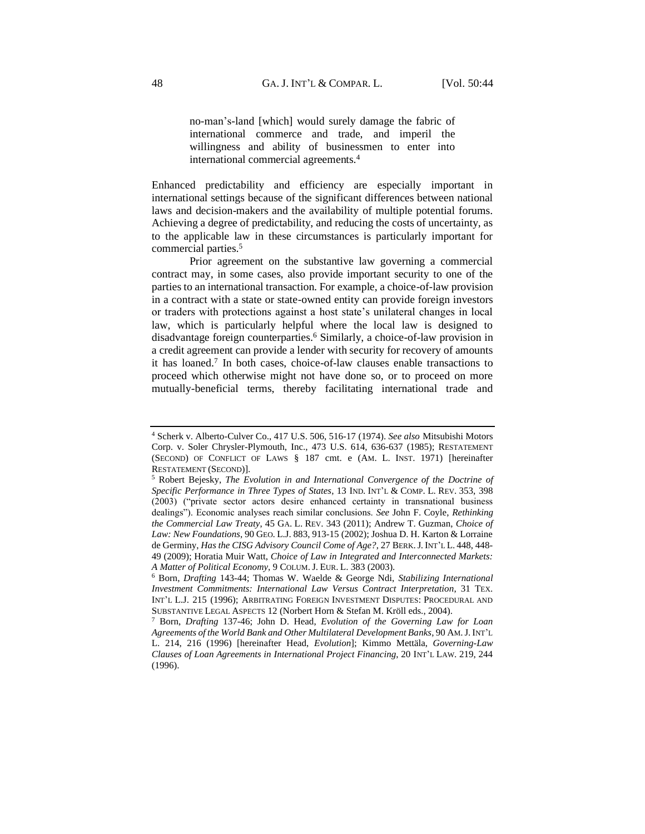no-man's-land [which] would surely damage the fabric of international commerce and trade, and imperil the willingness and ability of businessmen to enter into international commercial agreements.<sup>4</sup>

Enhanced predictability and efficiency are especially important in international settings because of the significant differences between national laws and decision-makers and the availability of multiple potential forums. Achieving a degree of predictability, and reducing the costs of uncertainty, as to the applicable law in these circumstances is particularly important for commercial parties.<sup>5</sup>

Prior agreement on the substantive law governing a commercial contract may, in some cases, also provide important security to one of the parties to an international transaction. For example, a choice-of-law provision in a contract with a state or state-owned entity can provide foreign investors or traders with protections against a host state's unilateral changes in local law, which is particularly helpful where the local law is designed to disadvantage foreign counterparties.<sup>6</sup> Similarly, a choice-of-law provision in a credit agreement can provide a lender with security for recovery of amounts it has loaned.<sup>7</sup> In both cases, choice-of-law clauses enable transactions to proceed which otherwise might not have done so, or to proceed on more mutually-beneficial terms, thereby facilitating international trade and

<sup>4</sup> Scherk v. Alberto-Culver Co., 417 U.S. 506, 516-17 (1974). *See also* Mitsubishi Motors Corp. v. Soler Chrysler-Plymouth, Inc., 473 U.S. 614, 636-637 (1985); RESTATEMENT (SECOND) OF CONFLICT OF LAWS § 187 cmt. e (AM. L. INST. 1971) [hereinafter RESTATEMENT (SECOND)].

<sup>5</sup> Robert Bejesky, *The Evolution in and International Convergence of the Doctrine of Specific Performance in Three Types of States*, 13 IND. INT'L & COMP. L. REV. 353, 398 (2003) ("private sector actors desire enhanced certainty in transnational business dealings"). Economic analyses reach similar conclusions. *See* John F. Coyle, *Rethinking the Commercial Law Treaty*, 45 GA. L. REV. 343 (2011); Andrew T. Guzman, *Choice of Law: New Foundations*, 90 GEO. L.J. 883, 913-15 (2002); Joshua D. H. Karton & Lorraine de Germiny, *Has the CISG Advisory Council Come of Age?*, 27 BERK.J. INT'L L. 448, 448- 49 (2009); Horatia Muir Watt, *Choice of Law in Integrated and Interconnected Markets: A Matter of Political Economy*, 9 COLUM.J. EUR. L. 383 (2003).

<sup>6</sup> Born, *Drafting* 143-44; Thomas W. Waelde & George Ndi, *Stabilizing International Investment Commitments: International Law Versus Contract Interpretation*, 31 TEX. INT'L L.J. 215 (1996); ARBITRATING FOREIGN INVESTMENT DISPUTES: PROCEDURAL AND SUBSTANTIVE LEGAL ASPECTS 12 (Norbert Horn & Stefan M. Kröll eds., 2004).

<sup>7</sup> Born, *Drafting* 137-46; John D. Head, *Evolution of the Governing Law for Loan Agreements of the World Bank and Other Multilateral Development Banks*, 90 AM.J. INT'L L. 214, 216 (1996) [hereinafter Head, *Evolution*]; Kimmo Mettäla, *Governing-Law Clauses of Loan Agreements in International Project Financing*, 20 INT'L LAW. 219, 244  $(1996)$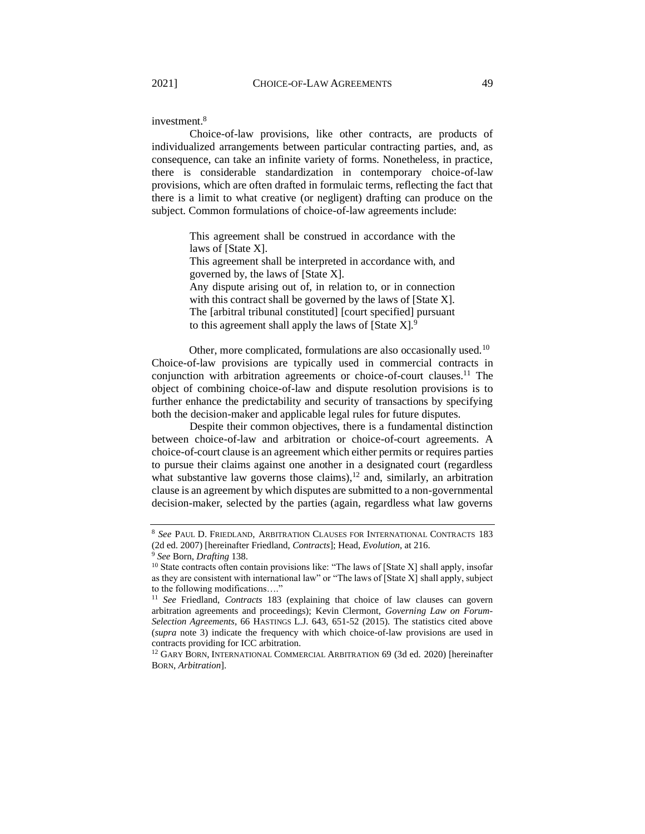investment.<sup>8</sup>

Choice-of-law provisions, like other contracts, are products of individualized arrangements between particular contracting parties, and, as consequence, can take an infinite variety of forms. Nonetheless, in practice, there is considerable standardization in contemporary choice-of-law provisions, which are often drafted in formulaic terms, reflecting the fact that there is a limit to what creative (or negligent) drafting can produce on the subject. Common formulations of choice-of-law agreements include:

> This agreement shall be construed in accordance with the laws of [State X].

> This agreement shall be interpreted in accordance with, and governed by, the laws of [State X].

> Any dispute arising out of, in relation to, or in connection with this contract shall be governed by the laws of [State X]. The [arbitral tribunal constituted] [court specified] pursuant to this agreement shall apply the laws of [State X].<sup>9</sup>

Other, more complicated, formulations are also occasionally used.<sup>10</sup> Choice-of-law provisions are typically used in commercial contracts in conjunction with arbitration agreements or choice-of-court clauses.<sup>11</sup> The object of combining choice-of-law and dispute resolution provisions is to further enhance the predictability and security of transactions by specifying both the decision-maker and applicable legal rules for future disputes.

Despite their common objectives, there is a fundamental distinction between choice-of-law and arbitration or choice-of-court agreements. A choice-of-court clause is an agreement which either permits or requires parties to pursue their claims against one another in a designated court (regardless what substantive law governs those claims), $12$  and, similarly, an arbitration clause is an agreement by which disputes are submitted to a non-governmental decision-maker, selected by the parties (again, regardless what law governs

<sup>8</sup> *See* PAUL D. FRIEDLAND, ARBITRATION CLAUSES FOR INTERNATIONAL CONTRACTS 183 (2d ed. 2007) [hereinafter Friedland, *Contracts*]; Head, *Evolution*, at 216.

<sup>9</sup> *See* Born, *Drafting* 138.

 $10$  State contracts often contain provisions like: "The laws of [State X] shall apply, insofar as they are consistent with international law" or "The laws of [State X] shall apply, subject to the following modifications…."

<sup>11</sup> *See* Friedland, *Contracts* 183 (explaining that choice of law clauses can govern arbitration agreements and proceedings); Kevin Clermont, *Governing Law on Forum-Selection Agreements*, 66 HASTINGS L.J. 643, 651-52 (2015). The statistics cited above (*supra* note 3) indicate the frequency with which choice-of-law provisions are used in contracts providing for ICC arbitration.

<sup>&</sup>lt;sup>12</sup> GARY BORN, INTERNATIONAL COMMERCIAL ARBITRATION 69 (3d ed. 2020) [hereinafter BORN, *Arbitration*].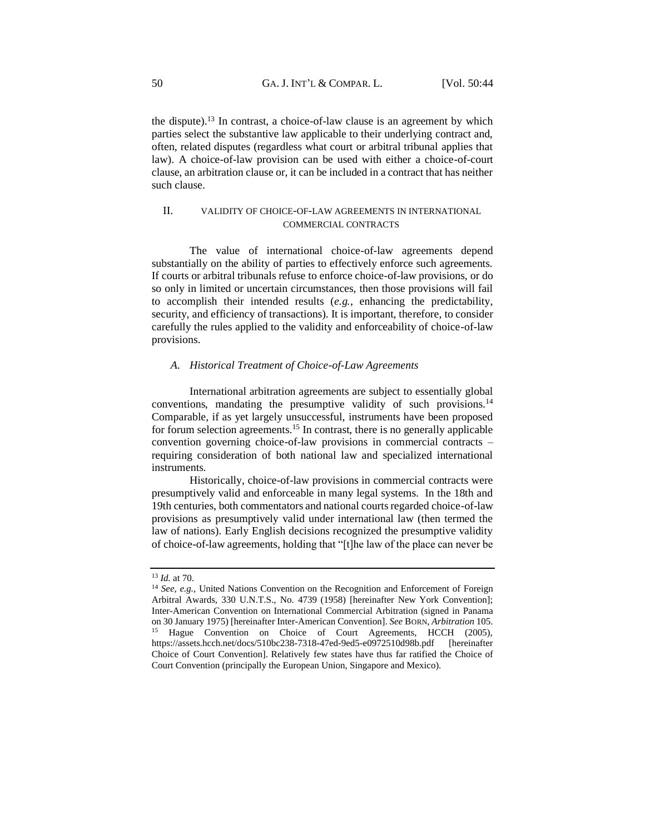the dispute).<sup>13</sup> In contrast, a choice-of-law clause is an agreement by which parties select the substantive law applicable to their underlying contract and, often, related disputes (regardless what court or arbitral tribunal applies that law). A choice-of-law provision can be used with either a choice-of-court clause, an arbitration clause or, it can be included in a contract that has neither such clause.

# <span id="page-6-0"></span>II. VALIDITY OF CHOICE-OF-LAW AGREEMENTS IN INTERNATIONAL COMMERCIAL CONTRACTS

The value of international choice-of-law agreements depend substantially on the ability of parties to effectively enforce such agreements. If courts or arbitral tribunals refuse to enforce choice-of-law provisions, or do so only in limited or uncertain circumstances, then those provisions will fail to accomplish their intended results (*e.g.*, enhancing the predictability, security, and efficiency of transactions). It is important, therefore, to consider carefully the rules applied to the validity and enforceability of choice-of-law provisions.

#### <span id="page-6-1"></span>*A. Historical Treatment of Choice-of-Law Agreements*

International arbitration agreements are subject to essentially global conventions, mandating the presumptive validity of such provisions.<sup>14</sup> Comparable, if as yet largely unsuccessful, instruments have been proposed for forum selection agreements.<sup>15</sup> In contrast, there is no generally applicable convention governing choice-of-law provisions in commercial contracts – requiring consideration of both national law and specialized international instruments.

Historically, choice-of-law provisions in commercial contracts were presumptively valid and enforceable in many legal systems. In the 18th and 19th centuries, both commentators and national courts regarded choice-of-law provisions as presumptively valid under international law (then termed the law of nations). Early English decisions recognized the presumptive validity of choice-of-law agreements, holding that "[t]he law of the place can never be

<sup>13</sup> *Id.* at 70.

<sup>14</sup> *See, e.g.,* United Nations Convention on the Recognition and Enforcement of Foreign Arbitral Awards, 330 U.N.T.S., No. 4739 (1958) [hereinafter New York Convention]; Inter-American Convention on International Commercial Arbitration (signed in Panama on 30 January 1975) [hereinafter Inter-American Convention]. *See* BORN, *Arbitration* 105. Hague Convention on Choice of Court Agreements, HCCH (2005), https://assets.hcch.net/docs/510bc238-7318-47ed-9ed5-e0972510d98b.pdf [hereinafter Choice of Court Convention]. Relatively few states have thus far ratified the Choice of Court Convention (principally the European Union, Singapore and Mexico).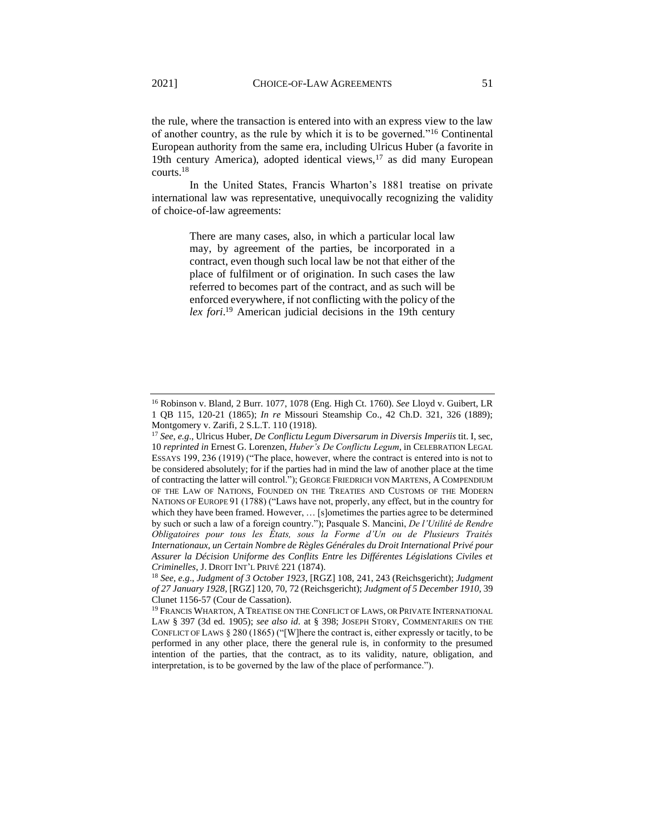the rule, where the transaction is entered into with an express view to the law of another country, as the rule by which it is to be governed."<sup>16</sup> Continental European authority from the same era, including Ulricus Huber (a favorite in 19th century America), adopted identical views, $17$  as did many European courts.<sup>18</sup>

In the United States, Francis Wharton's 1881 treatise on private international law was representative, unequivocally recognizing the validity of choice-of-law agreements:

> There are many cases, also, in which a particular local law may, by agreement of the parties, be incorporated in a contract, even though such local law be not that either of the place of fulfilment or of origination. In such cases the law referred to becomes part of the contract, and as such will be enforced everywhere, if not conflicting with the policy of the *lex fori*. <sup>19</sup> American judicial decisions in the 19th century

<sup>16</sup> Robinson v. Bland*,* 2 Burr. 1077, 1078 (Eng. High Ct. 1760). *See* Lloyd v. Guibert, LR 1 QB 115, 120-21 (1865); *In re* Missouri Steamship Co.*,* 42 Ch.D. 321, 326 (1889); Montgomery v. Zarifi*,* 2 S.L.T. 110 (1918).

<sup>17</sup> *See, e.g*., Ulricus Huber, *De Conflictu Legum Diversarum in Diversis Imperiis* tit. I, sec, 10 *reprinted in* Ernest G. Lorenzen, *Huber's De Conflictu Legum*, in CELEBRATION LEGAL ESSAYS 199, 236 (1919) ("The place, however, where the contract is entered into is not to be considered absolutely; for if the parties had in mind the law of another place at the time of contracting the latter will control."); GEORGE FRIEDRICH VON MARTENS, A COMPENDIUM OF THE LAW OF NATIONS, FOUNDED ON THE TREATIES AND CUSTOMS OF THE MODERN NATIONS OF EUROPE 91 (1788) ("Laws have not, properly, any effect, but in the country for which they have been framed. However, ... [s]ometimes the parties agree to be determined by such or such a law of a foreign country."); Pasquale S. Mancini, *De l'Utilité de Rendre Obligatoires pour tous les États, sous la Forme d'Un ou de Plusieurs Traités Internationaux, un Certain Nombre de Règles Générales du Droit International Privé pour Assurer la Décision Uniforme des Conflits Entre les Différentes Législations Civiles et Criminelles*, J. DROIT INT'L PRIVÉ 221 (1874).

<sup>18</sup> *See, e.g*., *Judgment of 3 October 1923*, [RGZ] 108, 241, 243 (Reichsgericht); *Judgment of 27 January 1928*, [RGZ] 120, 70, 72 (Reichsgericht); *Judgment of 5 December 1910*, 39 Clunet 1156-57 (Cour de Cassation).

<sup>&</sup>lt;sup>19</sup> FRANCIS WHARTON, A TREATISE ON THE CONFLICT OF LAWS, OR PRIVATE INTERNATIONAL LAW § 397 (3d ed. 1905); *see also id*. at § 398; JOSEPH STORY, COMMENTARIES ON THE CONFLICT OF LAWS § 280 (1865) ("[W]here the contract is, either expressly or tacitly, to be performed in any other place, there the general rule is, in conformity to the presumed intention of the parties, that the contract, as to its validity, nature, obligation, and interpretation, is to be governed by the law of the place of performance.").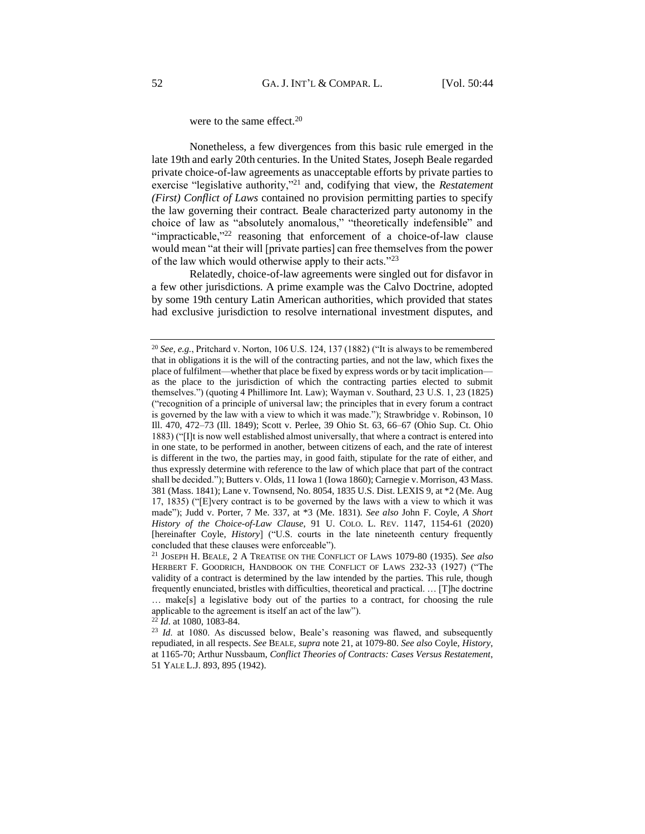### were to the same effect.<sup>20</sup>

Nonetheless, a few divergences from this basic rule emerged in the late 19th and early 20th centuries. In the United States, Joseph Beale regarded private choice-of-law agreements as unacceptable efforts by private parties to exercise "legislative authority,"<sup>21</sup> and, codifying that view, the *Restatement (First) Conflict of Laws* contained no provision permitting parties to specify the law governing their contract. Beale characterized party autonomy in the choice of law as "absolutely anomalous," "theoretically indefensible" and "impracticable,"<sup>22</sup> reasoning that enforcement of a choice-of-law clause would mean "at their will [private parties] can free themselves from the power of the law which would otherwise apply to their acts."<sup>23</sup>

Relatedly, choice-of-law agreements were singled out for disfavor in a few other jurisdictions. A prime example was the Calvo Doctrine, adopted by some 19th century Latin American authorities, which provided that states had exclusive jurisdiction to resolve international investment disputes, and

<sup>&</sup>lt;sup>20</sup> *See, e.g.*, Pritchard v. Norton, 106 U.S. 124, 137 (1882) ("It is always to be remembered that in obligations it is the will of the contracting parties, and not the law, which fixes the place of fulfilment—whether that place be fixed by express words or by tacit implication as the place to the jurisdiction of which the contracting parties elected to submit themselves.") (quoting 4 Phillimore Int. Law); Wayman v. Southard, 23 U.S. 1, 23 (1825) ("recognition of a principle of universal law; the principles that in every forum a contract is governed by the law with a view to which it was made."); Strawbridge v. Robinson, 10 Ill. 470, 472–73 (Ill. 1849); Scott v. Perlee, 39 Ohio St. 63, 66–67 (Ohio Sup. Ct. Ohio 1883) ("[I]t is now well established almost universally, that where a contract is entered into in one state, to be performed in another, between citizens of each, and the rate of interest is different in the two, the parties may, in good faith, stipulate for the rate of either, and thus expressly determine with reference to the law of which place that part of the contract shall be decided."); Butters v. Olds*,* 11 Iowa 1 (Iowa 1860); Carnegie v. Morrison, 43 Mass. 381 (Mass. 1841); Lane v. Townsend, No. 8054, 1835 U.S. Dist. LEXIS 9, at \*2 (Me. Aug 17, 1835) ("[E]very contract is to be governed by the laws with a view to which it was made"); Judd v. Porter, 7 Me. 337, at \*3 (Me. 1831). *See also* John F. Coyle, *A Short History of the Choice-of-Law Clause*, 91 U. COLO. L. REV. 1147, 1154-61 (2020) [hereinafter Coyle, *History*] ("U.S. courts in the late nineteenth century frequently concluded that these clauses were enforceable").

<sup>21</sup> JOSEPH H. BEALE, 2 A TREATISE ON THE CONFLICT OF LAWS 1079-80 (1935). *See also* HERBERT F. GOODRICH, HANDBOOK ON THE CONFLICT OF LAWS 232-33 (1927) ("The validity of a contract is determined by the law intended by the parties. This rule, though frequently enunciated, bristles with difficulties, theoretical and practical. … [T]he doctrine … make[s] a legislative body out of the parties to a contract, for choosing the rule applicable to the agreement is itself an act of the law").

<sup>&</sup>lt;sup>22</sup> *Id.* at 1080, 1083-84.

<sup>&</sup>lt;sup>23</sup> *Id.* at 1080. As discussed below, Beale's reasoning was flawed, and subsequently repudiated, in all respects. *See* BEALE*, supra* note 21, at 1079-80. *See also* Coyle, *History*, at 1165-70; Arthur Nussbaum, *Conflict Theories of Contracts: Cases Versus Restatement*, 51 YALE L.J. 893, 895 (1942).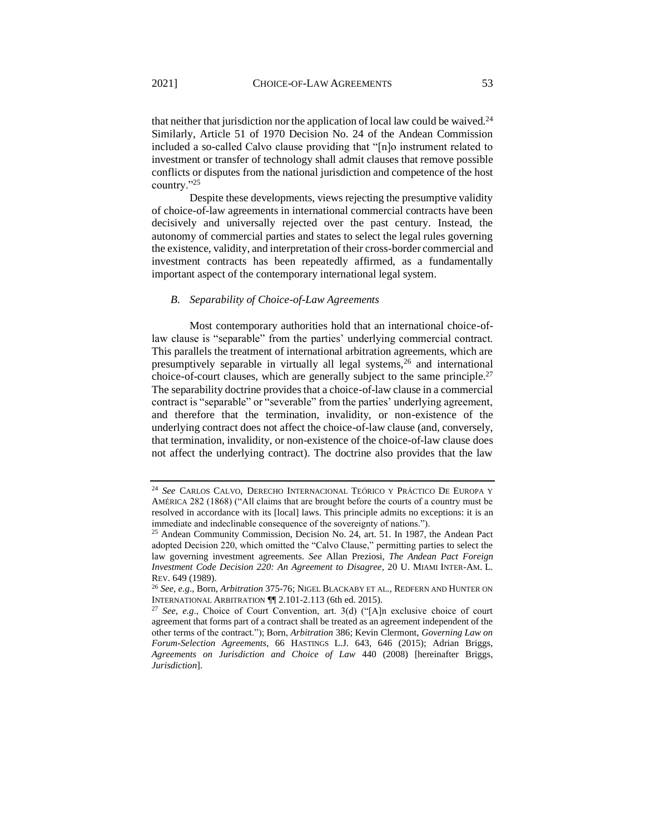that neither that jurisdiction nor the application of local law could be waived.<sup>24</sup> Similarly, Article 51 of 1970 Decision No. 24 of the Andean Commission included a so-called Calvo clause providing that "[n]o instrument related to investment or transfer of technology shall admit clauses that remove possible conflicts or disputes from the national jurisdiction and competence of the host country."<sup>25</sup>

Despite these developments, views rejecting the presumptive validity of choice-of-law agreements in international commercial contracts have been decisively and universally rejected over the past century. Instead, the autonomy of commercial parties and states to select the legal rules governing the existence, validity, and interpretation of their cross-border commercial and investment contracts has been repeatedly affirmed, as a fundamentally important aspect of the contemporary international legal system.

#### <span id="page-9-0"></span>*B. Separability of Choice-of-Law Agreements*

Most contemporary authorities hold that an international choice-oflaw clause is "separable" from the parties' underlying commercial contract. This parallels the treatment of international arbitration agreements, which are presumptively separable in virtually all legal systems,<sup>26</sup> and international choice-of-court clauses, which are generally subject to the same principle.<sup>27</sup> The separability doctrine provides that a choice-of-law clause in a commercial contract is "separable" or "severable" from the parties' underlying agreement, and therefore that the termination, invalidity, or non-existence of the underlying contract does not affect the choice-of-law clause (and, conversely, that termination, invalidity, or non-existence of the choice-of-law clause does not affect the underlying contract). The doctrine also provides that the law

<sup>24</sup> *See* CARLOS CALVO, DERECHO INTERNACIONAL TEÓRICO Y PRÁCTICO DE EUROPA Y AMÉRICA 282 (1868) ("All claims that are brought before the courts of a country must be resolved in accordance with its [local] laws. This principle admits no exceptions: it is an immediate and indeclinable consequence of the sovereignty of nations.").

<sup>25</sup> Andean Community Commission, Decision No. 24, art. 51. In 1987, the Andean Pact adopted Decision 220, which omitted the "Calvo Clause," permitting parties to select the law governing investment agreements. *See* Allan Preziosi, *The Andean Pact Foreign Investment Code Decision 220: An Agreement to Disagree*, 20 U. MIAMI INTER-AM. L. REV. 649 (1989).

<sup>26</sup> *See, e.g*., Born, *Arbitration* 375-76; NIGEL BLACKABY ET AL*.*, REDFERN AND HUNTER ON INTERNATIONAL ARBITRATION ¶¶ 2.101-2.113 (6th ed. 2015).

<sup>27</sup> *See, e.g*., Choice of Court Convention, art. 3(d) ("[A]n exclusive choice of court agreement that forms part of a contract shall be treated as an agreement independent of the other terms of the contract."); Born, *Arbitration* 386; Kevin Clermont, *Governing Law on Forum-Selection Agreements*, 66 HASTINGS L.J. 643, 646 (2015); Adrian Briggs, *Agreements on Jurisdiction and Choice of Law* 440 (2008) [hereinafter Briggs, *Jurisdiction*].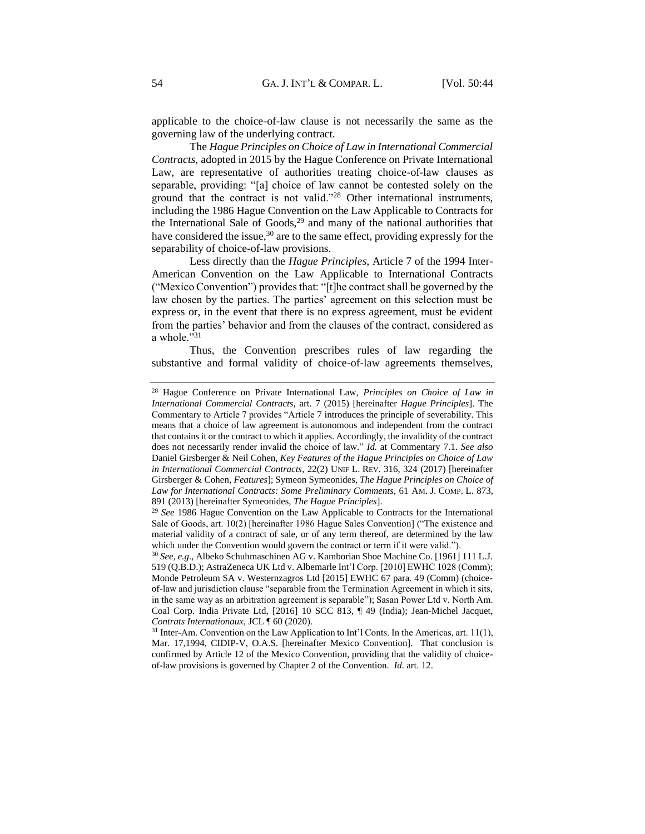applicable to the choice-of-law clause is not necessarily the same as the governing law of the underlying contract.

The *Hague Principles on Choice of Law in International Commercial Contracts*, adopted in 2015 by the Hague Conference on Private International Law, are representative of authorities treating choice-of-law clauses as separable, providing: "[a] choice of law cannot be contested solely on the ground that the contract is not valid."<sup>28</sup> Other international instruments, including the 1986 Hague Convention on the Law Applicable to Contracts for the International Sale of Goods,<sup>29</sup> and many of the national authorities that have considered the issue,  $30$  are to the same effect, providing expressly for the separability of choice-of-law provisions.

Less directly than the *Hague Principles*, Article 7 of the 1994 Inter-American Convention on the Law Applicable to International Contracts ("Mexico Convention") provides that: "[t]he contract shall be governed by the law chosen by the parties. The parties' agreement on this selection must be express or, in the event that there is no express agreement, must be evident from the parties' behavior and from the clauses of the contract, considered as a whole."31

Thus, the Convention prescribes rules of law regarding the substantive and formal validity of choice-of-law agreements themselves,

<sup>28</sup> Hague Conference on Private International Law, *Principles on Choice of Law in International Commercial Contracts*, art. 7 (2015) [hereinafter *Hague Principles*]. The Commentary to Article 7 provides "Article 7 introduces the principle of severability. This means that a choice of law agreement is autonomous and independent from the contract that contains it or the contract to which it applies. Accordingly, the invalidity of the contract does not necessarily render invalid the choice of law." *Id.* at Commentary 7.1. *See also* Daniel Girsberger & Neil Cohen, *Key Features of the Hague Principles on Choice of Law in International Commercial Contracts*, 22(2) UNIF L. REV. 316, 324 (2017) [hereinafter Girsberger & Cohen, *Features*]; Symeon Symeonides, *The Hague Principles on Choice of Law for International Contracts: Some Preliminary Comments*, 61 AM. J. COMP. L. 873, 891 (2013) [hereinafter Symeonides, *The Hague Principles*].

<sup>29</sup> *See* 1986 Hague Convention on the Law Applicable to Contracts for the International Sale of Goods, art. 10(2) [hereinafter 1986 Hague Sales Convention] ("The existence and material validity of a contract of sale, or of any term thereof, are determined by the law which under the Convention would govern the contract or term if it were valid.").

<sup>30</sup> *See, e.g*., Albeko Schuhmaschinen AG v. Kamborian Shoe Machine Co. [1961] 111 L.J. 519 (Q.B.D.); AstraZeneca UK Ltd v. Albemarle Int'l Corp. [2010] EWHC 1028 (Comm); Monde Petroleum SA v. Westernzagros Ltd [2015] EWHC 67 para. 49 (Comm) (choiceof-law and jurisdiction clause "separable from the Termination Agreement in which it sits, in the same way as an arbitration agreement is separable"); Sasan Power Ltd v. North Am. Coal Corp. India Private Ltd, [2016] 10 SCC 813, ¶ 49 (India); Jean-Michel Jacquet, *Contrats Internationaux*, JCL ¶ 60 (2020).

<sup>&</sup>lt;sup>31</sup> Inter-Am. Convention on the Law Application to Int'l Conts. In the Americas, art. 11(1), Mar. 17,1994, CIDIP-V, O.A.S. [hereinafter Mexico Convention]. That conclusion is confirmed by Article 12 of the Mexico Convention, providing that the validity of choiceof-law provisions is governed by Chapter 2 of the Convention. *Id*. art. 12.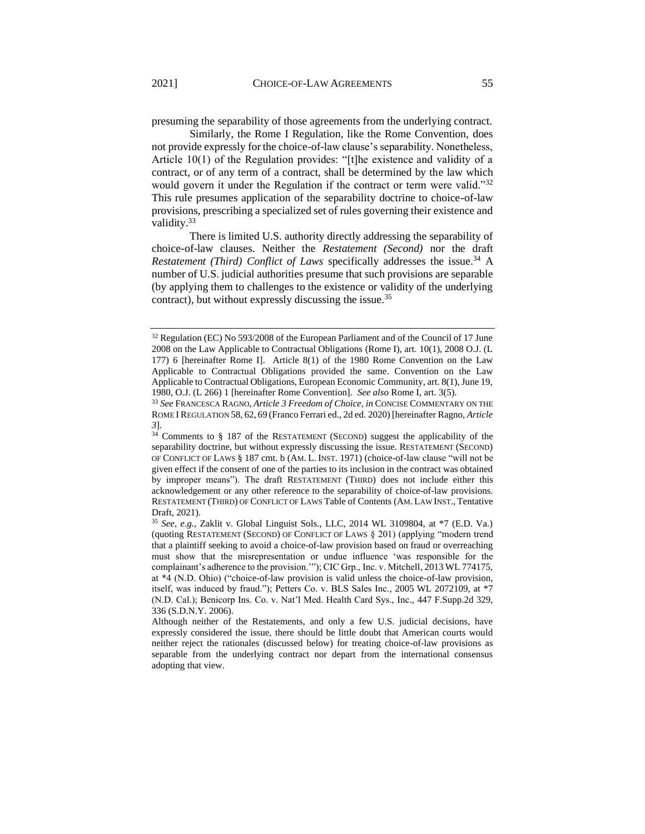presuming the separability of those agreements from the underlying contract.

Similarly, the Rome I Regulation, like the Rome Convention, does not provide expressly for the choice-of-law clause's separability. Nonetheless, Article 10(1) of the Regulation provides: "[t]he existence and validity of a contract, or of any term of a contract, shall be determined by the law which would govern it under the Regulation if the contract or term were valid."<sup>32</sup> This rule presumes application of the separability doctrine to choice-of-law provisions, prescribing a specialized set of rules governing their existence and validity.<sup>33</sup>

There is limited U.S. authority directly addressing the separability of choice-of-law clauses. Neither the *Restatement (Second)* nor the draft *Restatement (Third) Conflict of Laws specifically addresses the issue.*<sup>34</sup> A number of U.S. judicial authorities presume that such provisions are separable (by applying them to challenges to the existence or validity of the underlying contract), but without expressly discussing the issue.<sup>35</sup>

<sup>&</sup>lt;sup>32</sup> Regulation (EC) No 593/2008 of the European Parliament and of the Council of 17 June 2008 on the Law Applicable to Contractual Obligations (Rome I), art. 10(1), 2008 O.J. (L 177) 6 [hereinafter Rome I]. Article 8(1) of the 1980 Rome Convention on the Law Applicable to Contractual Obligations provided the same. Convention on the Law Applicable to Contractual Obligations, European Economic Community, art. 8(1), June 19, 1980, O.J. (L 266) 1 [hereinafter Rome Convention]. *See also* Rome I, art. 3(5).

<sup>33</sup> *See* FRANCESCA RAGNO, *Article 3 Freedom of Choice, in* CONCISE COMMENTARY ON THE ROME I REGULATION 58, 62, 69 (Franco Ferrari ed., 2d ed. 2020) [hereinafter Ragno, *Article 3*].

<sup>&</sup>lt;sup>34</sup> Comments to § 187 of the RESTATEMENT (SECOND) suggest the applicability of the separability doctrine, but without expressly discussing the issue. RESTATEMENT (SECOND) OF CONFLICT OF LAWS § 187 cmt. b (AM. L. INST. 1971) (choice-of-law clause "will not be given effect if the consent of one of the parties to its inclusion in the contract was obtained by improper means"). The draft RESTATEMENT (THIRD) does not include either this acknowledgement or any other reference to the separability of choice-of-law provisions. RESTATEMENT (THIRD) OF CONFLICT OF LAWS Table of Contents (AM. LAW INST., Tentative Draft, 2021).

<sup>35</sup> *See, e.g.*, Zaklit v. Global Linguist Sols., LLC, 2014 WL 3109804, at \*7 (E.D. Va.) (quoting RESTATEMENT (SECOND) OF CONFLICT OF LAWS § 201) (applying "modern trend that a plaintiff seeking to avoid a choice-of-law provision based on fraud or overreaching must show that the misrepresentation or undue influence 'was responsible for the complainant's adherence to the provision.'"); CIC Grp., Inc. v. Mitchell, 2013 WL 774175, at \*4 (N.D. Ohio) ("choice-of-law provision is valid unless the choice-of-law provision, itself, was induced by fraud."); Petters Co. v. BLS Sales Inc., 2005 WL 2072109, at \*7 (N.D. Cal.); Benicorp Ins. Co. v. Nat'l Med. Health Card Sys., Inc., 447 F.Supp.2d 329, 336 (S.D.N.Y. 2006).

Although neither of the Restatements, and only a few U.S. judicial decisions, have expressly considered the issue, there should be little doubt that American courts would neither reject the rationales (discussed below) for treating choice-of-law provisions as separable from the underlying contract nor depart from the international consensus adopting that view.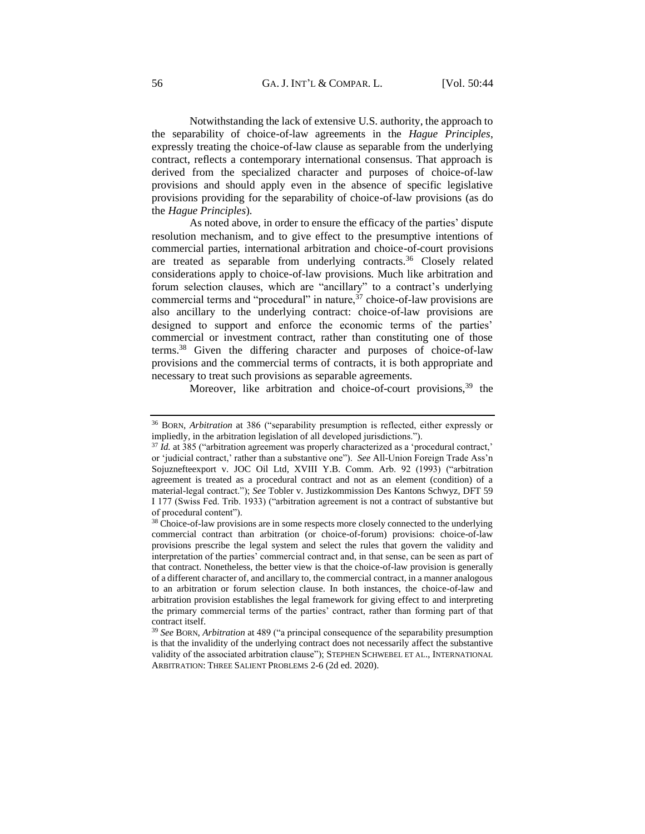Notwithstanding the lack of extensive U.S. authority, the approach to the separability of choice-of-law agreements in the *Hague Principles*, expressly treating the choice-of-law clause as separable from the underlying contract, reflects a contemporary international consensus. That approach is derived from the specialized character and purposes of choice-of-law provisions and should apply even in the absence of specific legislative provisions providing for the separability of choice-of-law provisions (as do the *Hague Principles*).

As noted above, in order to ensure the efficacy of the parties' dispute resolution mechanism, and to give effect to the presumptive intentions of commercial parties, international arbitration and choice-of-court provisions are treated as separable from underlying contracts.<sup>36</sup> Closely related considerations apply to choice-of-law provisions. Much like arbitration and forum selection clauses, which are "ancillary" to a contract's underlying commercial terms and "procedural" in nature,  $37$  choice-of-law provisions are also ancillary to the underlying contract: choice-of-law provisions are designed to support and enforce the economic terms of the parties' commercial or investment contract, rather than constituting one of those terms.<sup>38</sup> Given the differing character and purposes of choice-of-law provisions and the commercial terms of contracts, it is both appropriate and necessary to treat such provisions as separable agreements.

Moreover, like arbitration and choice-of-court provisions,  $39$  the

<sup>36</sup> BORN, *Arbitration* at 386 ("separability presumption is reflected, either expressly or impliedly, in the arbitration legislation of all developed jurisdictions.").

<sup>37</sup> *Id.* at 385 ("arbitration agreement was properly characterized as a 'procedural contract,' or 'judicial contract,' rather than a substantive one"). *See* All-Union Foreign Trade Ass'n Sojuznefteexport v. JOC Oil Ltd*,* XVIII Y.B. Comm. Arb. 92 (1993) ("arbitration agreement is treated as a procedural contract and not as an element (condition) of a material-legal contract."); *See* Tobler v. Justizkommission Des Kantons Schwyz, DFT 59 I 177 (Swiss Fed. Trib. 1933) ("arbitration agreement is not a contract of substantive but of procedural content").

<sup>&</sup>lt;sup>38</sup> Choice-of-law provisions are in some respects more closely connected to the underlying commercial contract than arbitration (or choice-of-forum) provisions: choice-of-law provisions prescribe the legal system and select the rules that govern the validity and interpretation of the parties' commercial contract and, in that sense, can be seen as part of that contract. Nonetheless, the better view is that the choice-of-law provision is generally of a different character of, and ancillary to, the commercial contract, in a manner analogous to an arbitration or forum selection clause. In both instances, the choice-of-law and arbitration provision establishes the legal framework for giving effect to and interpreting the primary commercial terms of the parties' contract, rather than forming part of that contract itself.

<sup>39</sup> *See* BORN, *Arbitration* at 489 ("a principal consequence of the separability presumption is that the invalidity of the underlying contract does not necessarily affect the substantive validity of the associated arbitration clause"); STEPHEN SCHWEBEL ET AL., INTERNATIONAL ARBITRATION: THREE SALIENT PROBLEMS 2-6 (2d ed. 2020).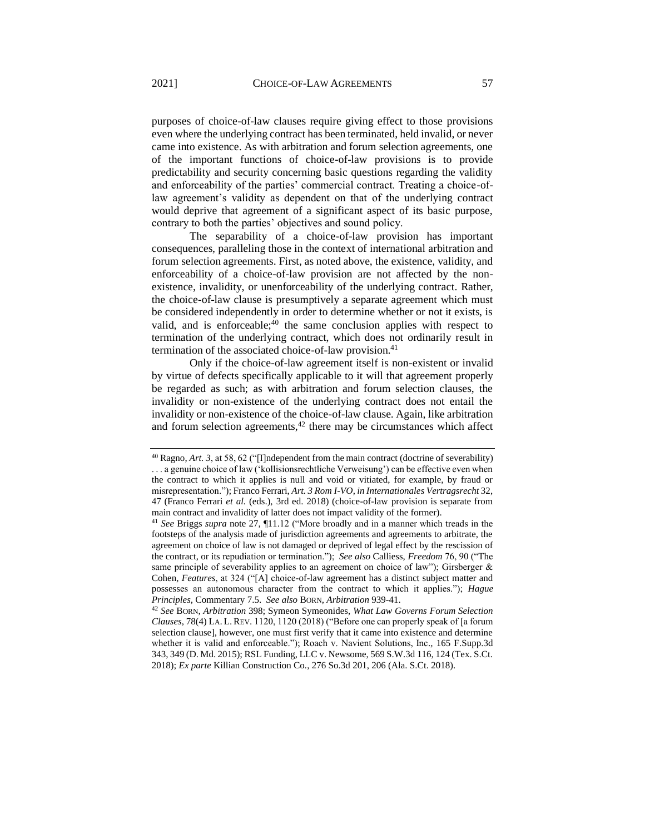purposes of choice-of-law clauses require giving effect to those provisions even where the underlying contract has been terminated, held invalid, or never came into existence. As with arbitration and forum selection agreements, one of the important functions of choice-of-law provisions is to provide predictability and security concerning basic questions regarding the validity and enforceability of the parties' commercial contract. Treating a choice-oflaw agreement's validity as dependent on that of the underlying contract would deprive that agreement of a significant aspect of its basic purpose, contrary to both the parties' objectives and sound policy.

The separability of a choice-of-law provision has important consequences, paralleling those in the context of international arbitration and forum selection agreements. First, as noted above, the existence, validity, and enforceability of a choice-of-law provision are not affected by the nonexistence, invalidity, or unenforceability of the underlying contract. Rather, the choice-of-law clause is presumptively a separate agreement which must be considered independently in order to determine whether or not it exists, is valid, and is enforceable; $40$  the same conclusion applies with respect to termination of the underlying contract, which does not ordinarily result in termination of the associated choice-of-law provision.<sup>41</sup>

Only if the choice-of-law agreement itself is non-existent or invalid by virtue of defects specifically applicable to it will that agreement properly be regarded as such; as with arbitration and forum selection clauses, the invalidity or non-existence of the underlying contract does not entail the invalidity or non-existence of the choice-of-law clause. Again, like arbitration and forum selection agreements, $42$  there may be circumstances which affect

<sup>40</sup> Ragno, *Art. 3*, at 58, 62 ("[I]ndependent from the main contract (doctrine of severability) . . . a genuine choice of law ('kollisionsrechtliche Verweisung') can be effective even when the contract to which it applies is null and void or vitiated, for example, by fraud or misrepresentation."); Franco Ferrari, *Art. 3 Rom I-VO*, *in Internationales Vertragsrecht* 32, 47 (Franco Ferrari *et al.* (eds.), 3rd ed. 2018) (choice-of-law provision is separate from main contract and invalidity of latter does not impact validity of the former).

<sup>41</sup> *See* Briggs *supra* note 27, ¶11.12 ("More broadly and in a manner which treads in the footsteps of the analysis made of jurisdiction agreements and agreements to arbitrate, the agreement on choice of law is not damaged or deprived of legal effect by the rescission of the contract, or its repudiation or termination."); *See also* Calliess, *Freedom* 76, 90 ("The same principle of severability applies to an agreement on choice of law"); Girsberger & Cohen, *Features*, at 324 ("[A] choice-of-law agreement has a distinct subject matter and possesses an autonomous character from the contract to which it applies."); *Hague Principles*, Commentary 7.5. *See also* BORN, *Arbitration* 939-41.

<sup>42</sup> *See* BORN, *Arbitration* 398; Symeon Symeonides, *What Law Governs Forum Selection Clauses*, 78(4) LA. L.REV. 1120, 1120 (2018) ("Before one can properly speak of [a forum selection clause], however, one must first verify that it came into existence and determine whether it is valid and enforceable."); Roach v. Navient Solutions, Inc.*,* 165 F.Supp.3d 343, 349 (D. Md. 2015); RSL Funding, LLC v. Newsome, 569 S.W.3d 116, 124 (Tex. S.Ct. 2018); *Ex parte* Killian Construction Co*.*, 276 So.3d 201, 206 (Ala. S.Ct. 2018).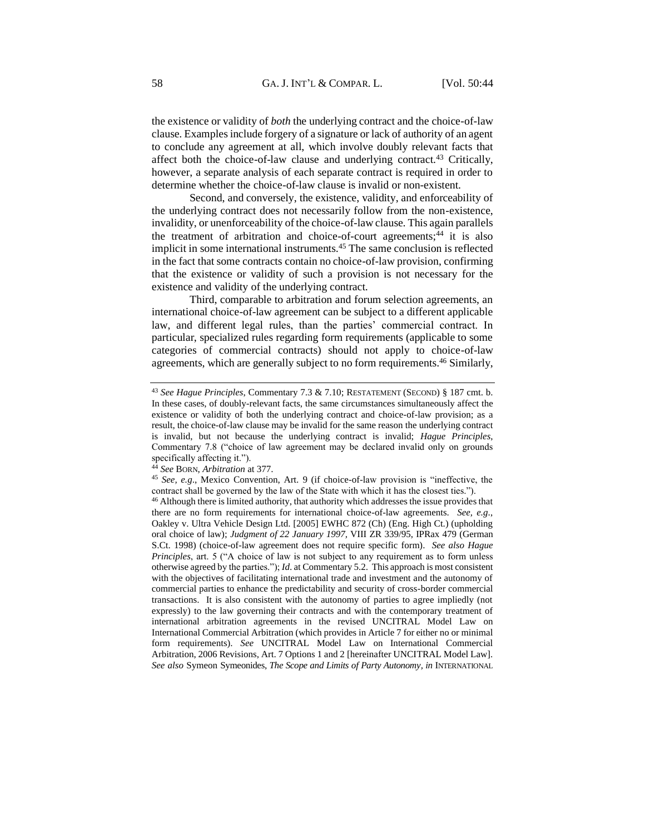the existence or validity of *both* the underlying contract and the choice-of-law clause. Examples include forgery of a signature or lack of authority of an agent to conclude any agreement at all, which involve doubly relevant facts that affect both the choice-of-law clause and underlying contract.<sup>43</sup> Critically, however, a separate analysis of each separate contract is required in order to determine whether the choice-of-law clause is invalid or non-existent.

Second, and conversely, the existence, validity, and enforceability of the underlying contract does not necessarily follow from the non-existence, invalidity, or unenforceability of the choice-of-law clause. This again parallels the treatment of arbitration and choice-of-court agreements;<sup>44</sup> it is also implicit in some international instruments.<sup>45</sup> The same conclusion is reflected in the fact that some contracts contain no choice-of-law provision, confirming that the existence or validity of such a provision is not necessary for the existence and validity of the underlying contract.

Third, comparable to arbitration and forum selection agreements, an international choice-of-law agreement can be subject to a different applicable law, and different legal rules, than the parties' commercial contract. In particular, specialized rules regarding form requirements (applicable to some categories of commercial contracts) should not apply to choice-of-law agreements, which are generally subject to no form requirements.<sup>46</sup> Similarly,

<sup>44</sup> *See* BORN, *Arbitration* at 377.

<sup>43</sup> *See Hague Principles*, Commentary 7.3 & 7.10; RESTATEMENT (SECOND) § 187 cmt. b. In these cases, of doubly-relevant facts, the same circumstances simultaneously affect the existence or validity of both the underlying contract and choice-of-law provision; as a result, the choice-of-law clause may be invalid for the same reason the underlying contract is invalid, but not because the underlying contract is invalid; *Hague Principles*, Commentary 7.8 ("choice of law agreement may be declared invalid only on grounds specifically affecting it.").

<sup>45</sup> *See, e.g*., Mexico Convention, Art. 9 (if choice-of-law provision is "ineffective, the contract shall be governed by the law of the State with which it has the closest ties.").

<sup>&</sup>lt;sup>46</sup> Although there is limited authority, that authority which addresses the issue provides that there are no form requirements for international choice-of-law agreements. *See, e.g*., Oakley v. Ultra Vehicle Design Ltd. [2005] EWHC 872 (Ch) (Eng. High Ct.) (upholding oral choice of law); *Judgment of 22 January 1997,* VIII ZR 339/95, IPRax 479 (German S.Ct. 1998) (choice-of-law agreement does not require specific form). *See also Hague Principles*, art. 5 ("A choice of law is not subject to any requirement as to form unless otherwise agreed by the parties."); *Id*. at Commentary 5.2. This approach is most consistent with the objectives of facilitating international trade and investment and the autonomy of commercial parties to enhance the predictability and security of cross-border commercial transactions. It is also consistent with the autonomy of parties to agree impliedly (not expressly) to the law governing their contracts and with the contemporary treatment of international arbitration agreements in the revised UNCITRAL Model Law on International Commercial Arbitration (which provides in Article 7 for either no or minimal form requirements). *See* UNCITRAL Model Law on International Commercial Arbitration, 2006 Revisions, Art. 7 Options 1 and 2 [hereinafter UNCITRAL Model Law]. *See also* Symeon Symeonides, *The Scope and Limits of Party Autonomy, in* INTERNATIONAL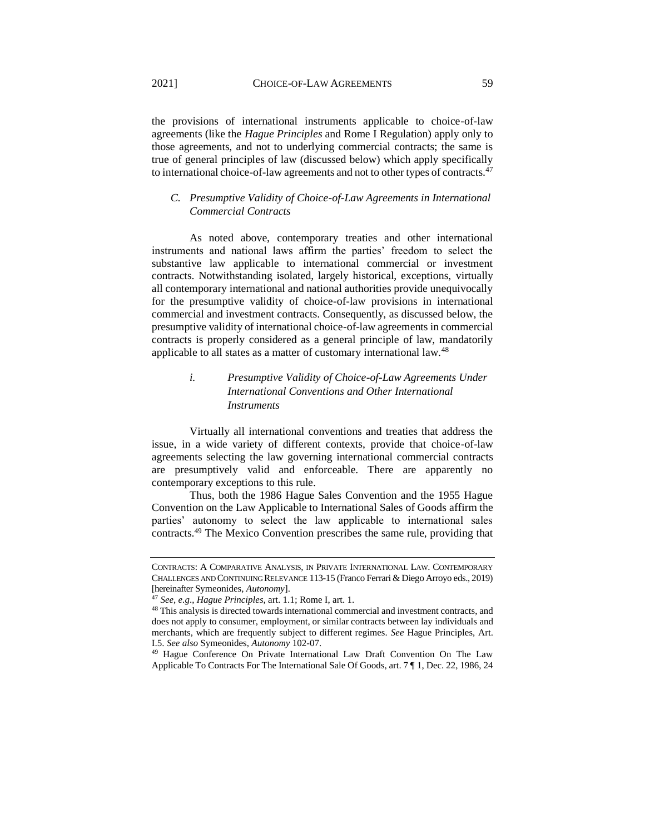the provisions of international instruments applicable to choice-of-law agreements (like the *Hague Principles* and Rome I Regulation) apply only to those agreements, and not to underlying commercial contracts; the same is true of general principles of law (discussed below) which apply specifically to international choice-of-law agreements and not to other types of contracts.<sup>47</sup>

## <span id="page-15-0"></span>*C. Presumptive Validity of Choice-of-Law Agreements in International Commercial Contracts*

As noted above, contemporary treaties and other international instruments and national laws affirm the parties' freedom to select the substantive law applicable to international commercial or investment contracts. Notwithstanding isolated, largely historical, exceptions, virtually all contemporary international and national authorities provide unequivocally for the presumptive validity of choice-of-law provisions in international commercial and investment contracts. Consequently, as discussed below, the presumptive validity of international choice-of-law agreements in commercial contracts is properly considered as a general principle of law, mandatorily applicable to all states as a matter of customary international law.<sup>48</sup>

# <span id="page-15-1"></span>*i. Presumptive Validity of Choice-of-Law Agreements Under International Conventions and Other International Instruments*

Virtually all international conventions and treaties that address the issue, in a wide variety of different contexts, provide that choice-of-law agreements selecting the law governing international commercial contracts are presumptively valid and enforceable. There are apparently no contemporary exceptions to this rule.

Thus, both the 1986 Hague Sales Convention and the 1955 Hague Convention on the Law Applicable to International Sales of Goods affirm the parties' autonomy to select the law applicable to international sales contracts.<sup>49</sup> The Mexico Convention prescribes the same rule, providing that

CONTRACTS: A COMPARATIVE ANALYSIS, IN PRIVATE INTERNATIONAL LAW. CONTEMPORARY CHALLENGES AND CONTINUING RELEVANCE 113-15 (Franco Ferrari & Diego Arroyo eds., 2019) [hereinafter Symeonides, *Autonomy*].

<sup>47</sup> *See, e.g*., *Hague Principles*, art. 1.1; Rome I, art. 1.

<sup>48</sup> This analysis is directed towards international commercial and investment contracts, and does not apply to consumer, employment, or similar contracts between lay individuals and merchants, which are frequently subject to different regimes. *See* Hague Principles, Art. I.5. *See also* Symeonides, *Autonomy* 102-07.

<sup>49</sup> Hague Conference On Private International Law Draft Convention On The Law Applicable To Contracts For The International Sale Of Goods, art. 7 ¶ 1, Dec. 22, 1986, 24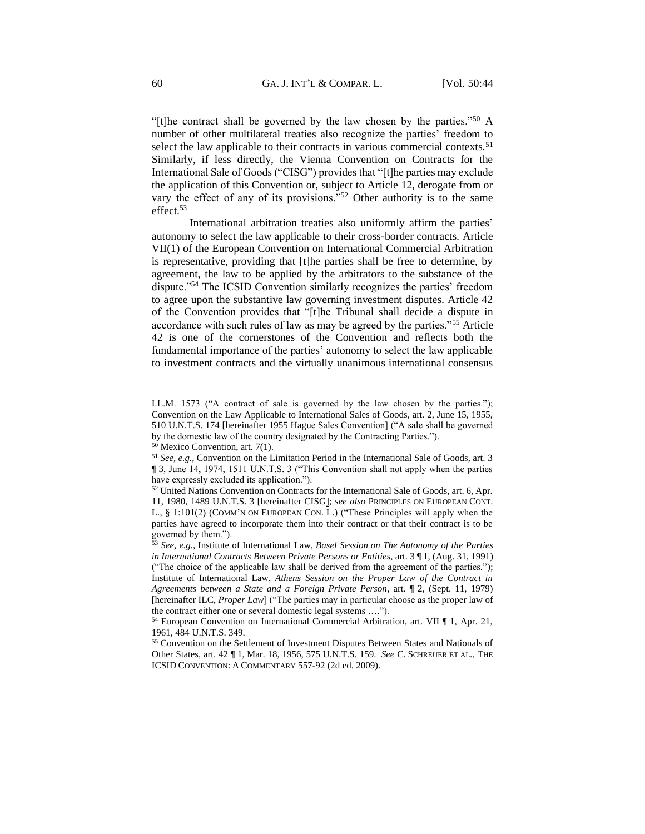"[t]he contract shall be governed by the law chosen by the parties."<sup>50</sup> A number of other multilateral treaties also recognize the parties' freedom to select the law applicable to their contracts in various commercial contexts.<sup>51</sup> Similarly, if less directly, the Vienna Convention on Contracts for the International Sale of Goods ("CISG") provides that "[t]he parties may exclude the application of this Convention or, subject to Article 12, derogate from or vary the effect of any of its provisions."<sup>52</sup> Other authority is to the same effect.<sup>53</sup>

International arbitration treaties also uniformly affirm the parties' autonomy to select the law applicable to their cross-border contracts. Article VII(1) of the European Convention on International Commercial Arbitration is representative, providing that [t]he parties shall be free to determine, by agreement, the law to be applied by the arbitrators to the substance of the dispute."<sup>54</sup> The ICSID Convention similarly recognizes the parties' freedom to agree upon the substantive law governing investment disputes. Article 42 of the Convention provides that "[t]he Tribunal shall decide a dispute in accordance with such rules of law as may be agreed by the parties."<sup>55</sup> Article 42 is one of the cornerstones of the Convention and reflects both the fundamental importance of the parties' autonomy to select the law applicable to investment contracts and the virtually unanimous international consensus

I.L.M. 1573 ("A contract of sale is governed by the law chosen by the parties."); Convention on the Law Applicable to International Sales of Goods, art. 2, June 15, 1955, 510 U.N.T.S. 174 [hereinafter 1955 Hague Sales Convention] ("A sale shall be governed by the domestic law of the country designated by the Contracting Parties.").

 $50$  Mexico Convention, art. 7(1).

<sup>51</sup> *See, e.g.,* Convention on the Limitation Period in the International Sale of Goods, art. 3 ¶ 3, June 14, 1974, 1511 U.N.T.S. 3 ("This Convention shall not apply when the parties have expressly excluded its application.").

<sup>52</sup> United Nations Convention on Contracts for the International Sale of Goods, art. 6, Apr. 11, 1980, 1489 U.N.T.S. 3 [hereinafter CISG]; *see also* PRINCIPLES ON EUROPEAN CONT. L., § 1:101(2) (COMM'N ON EUROPEAN CON. L.) ("These Principles will apply when the parties have agreed to incorporate them into their contract or that their contract is to be governed by them.").

<sup>53</sup> *See, e.g.,* Institute of International Law, *Basel Session on The Autonomy of the Parties in International Contracts Between Private Persons or Entities*, art. 3 ¶ 1, (Aug. 31, 1991) ("The choice of the applicable law shall be derived from the agreement of the parties."); Institute of International Law, *Athens Session on the Proper Law of the Contract in Agreements between a State and a Foreign Private Person*, art. ¶ 2, (Sept. 11, 1979) [hereinafter ILC, *Proper Law*] ("The parties may in particular choose as the proper law of the contract either one or several domestic legal systems ….").

<sup>54</sup> European Convention on International Commercial Arbitration, art. VII ¶ 1, Apr. 21, 1961, 484 U.N.T.S. 349.

<sup>55</sup> Convention on the Settlement of Investment Disputes Between States and Nationals of Other States, art. 42 ¶ 1, Mar. 18, 1956, 575 U.N.T.S. 159. *See* C. SCHREUER ET AL*.*, THE ICSID CONVENTION: A COMMENTARY 557-92 (2d ed. 2009).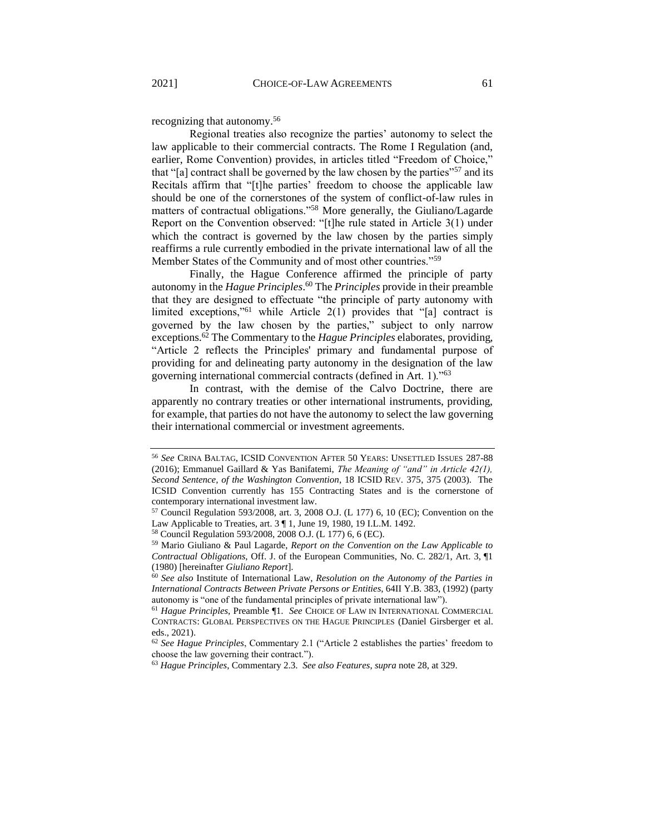recognizing that autonomy.<sup>56</sup>

Regional treaties also recognize the parties' autonomy to select the law applicable to their commercial contracts. The Rome I Regulation (and, earlier, Rome Convention) provides, in articles titled "Freedom of Choice," that "[a] contract shall be governed by the law chosen by the parties"<sup>57</sup> and its Recitals affirm that "[t]he parties' freedom to choose the applicable law should be one of the cornerstones of the system of conflict-of-law rules in matters of contractual obligations."<sup>58</sup> More generally, the Giuliano/Lagarde Report on the Convention observed: "[t]he rule stated in Article 3(1) under which the contract is governed by the law chosen by the parties simply reaffirms a rule currently embodied in the private international law of all the Member States of the Community and of most other countries."<sup>59</sup>

Finally, the Hague Conference affirmed the principle of party autonomy in the *Hague Principles*. <sup>60</sup> The *Principles* provide in their preamble that they are designed to effectuate "the principle of party autonomy with limited exceptions,"<sup>61</sup> while Article 2(1) provides that "[a] contract is governed by the law chosen by the parties," subject to only narrow exceptions.<sup>62</sup> The Commentary to the *Hague Principles* elaborates, providing, "Article 2 reflects the Principles' primary and fundamental purpose of providing for and delineating party autonomy in the designation of the law governing international commercial contracts (defined in Art. 1)."<sup>63</sup>

In contrast, with the demise of the Calvo Doctrine, there are apparently no contrary treaties or other international instruments, providing, for example, that parties do not have the autonomy to select the law governing their international commercial or investment agreements.

<sup>56</sup> *See* CRINA BALTAG, ICSID CONVENTION AFTER 50 YEARS: UNSETTLED ISSUES 287-88 (2016); Emmanuel Gaillard & Yas Banifatemi, *The Meaning of "and" in Article 42(1), Second Sentence, of the Washington Convention*, 18 ICSID REV. 375, 375 (2003). The ICSID Convention currently has 155 Contracting States and is the cornerstone of contemporary international investment law.

<sup>57</sup> Council Regulation 593/2008, art. 3, 2008 O.J. (L 177) 6, 10 (EC); Convention on the Law Applicable to Treaties, art. 3 ¶ 1, June 19, 1980, 19 I.L.M. 1492.

<sup>58</sup> Council Regulation 593/2008, 2008 O.J. (L 177) 6, 6 (EC).

<sup>59</sup> Mario Giuliano & Paul Lagarde, *Report on the Convention on the Law Applicable to Contractual Obligations*, Off. J. of the European Communities, No. C. 282/1, Art. 3, ¶1 (1980) [hereinafter *Giuliano Report*].

<sup>60</sup> *See also* Institute of International Law, *Resolution on the Autonomy of the Parties in International Contracts Between Private Persons or Entities,* 64II Y.B. 383, (1992) (party autonomy is "one of the fundamental principles of private international law").

<sup>61</sup> *Hague Principles*, Preamble ¶1. *See* CHOICE OF LAW IN INTERNATIONAL COMMERCIAL CONTRACTS: GLOBAL PERSPECTIVES ON THE HAGUE PRINCIPLES (Daniel Girsberger et al. eds., 2021).

<sup>62</sup> *See Hague Principles*, Commentary 2.1 ("Article 2 establishes the parties' freedom to choose the law governing their contract.").

<sup>63</sup> *Hague Principles*, Commentary 2.3. *See also Features*, *supra* note 28, at 329.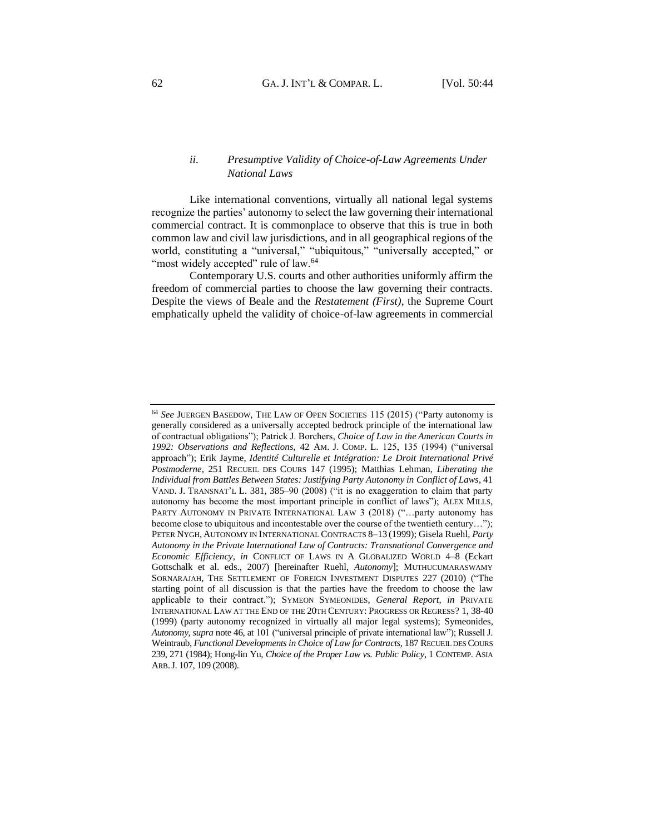### <span id="page-18-0"></span>*ii. Presumptive Validity of Choice-of-Law Agreements Under National Laws*

Like international conventions, virtually all national legal systems recognize the parties' autonomy to select the law governing their international commercial contract. It is commonplace to observe that this is true in both common law and civil law jurisdictions, and in all geographical regions of the world, constituting a "universal," "ubiquitous," "universally accepted," or "most widely accepted" rule of law.<sup>64</sup>

Contemporary U.S. courts and other authorities uniformly affirm the freedom of commercial parties to choose the law governing their contracts. Despite the views of Beale and the *Restatement (First)*, the Supreme Court emphatically upheld the validity of choice-of-law agreements in commercial

<sup>64</sup> *See* JUERGEN BASEDOW, THE LAW OF OPEN SOCIETIES 115 (2015) ("Party autonomy is generally considered as a universally accepted bedrock principle of the international law of contractual obligations"); Patrick J. Borchers, *Choice of Law in the American Courts in 1992: Observations and Reflections*, 42 AM. J. COMP. L. 125, 135 (1994) ("universal approach"); Erik Jayme, *Identité Culturelle et Intégration: Le Droit International Privé Postmoderne*, 251 RECUEIL DES COURS 147 (1995); Matthias Lehman, *Liberating the Individual from Battles Between States: Justifying Party Autonomy in Conflict of Laws*, 41 VAND. J. TRANSNAT'L L. 381, 385–90 (2008) ("it is no exaggeration to claim that party autonomy has become the most important principle in conflict of laws"); ALEX MILLS, PARTY AUTONOMY IN PRIVATE INTERNATIONAL LAW 3 (2018) ("…party autonomy has become close to ubiquitous and incontestable over the course of the twentieth century…"); PETER NYGH, AUTONOMY IN INTERNATIONAL CONTRACTS 8–13 (1999); Gisela Ruehl, *Party Autonomy in the Private International Law of Contracts: Transnational Convergence and Economic Efficiency*, *in* CONFLICT OF LAWS IN A GLOBALIZED WORLD 4–8 (Eckart Gottschalk et al. eds., 2007) [hereinafter Ruehl, *Autonomy*]; MUTHUCUMARASWAMY SORNARAJAH, THE SETTLEMENT OF FOREIGN INVESTMENT DISPUTES 227 (2010) ("The starting point of all discussion is that the parties have the freedom to choose the law applicable to their contract."); SYMEON SYMEONIDES, *General Report*, *in* PRIVATE INTERNATIONAL LAW AT THE END OF THE 20TH CENTURY: PROGRESS OR REGRESS? 1, 38-40 (1999) (party autonomy recognized in virtually all major legal systems); Symeonides*, Autonomy, supra* note 46, at 101 ("universal principle of private international law"); Russell J. Weintraub, *Functional Developments in Choice of Law for Contracts*, 187 RECUEIL DES COURS 239, 271 (1984); Hong-lin Yu, *Choice of the Proper Law vs. Public Policy*, 1 CONTEMP. ASIA ARB.J. 107, 109 (2008).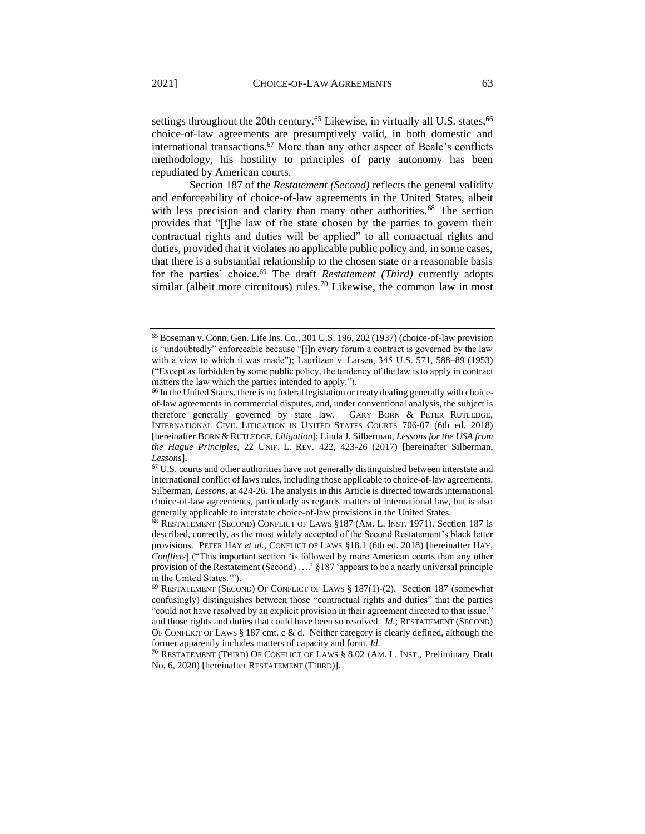settings throughout the 20th century.<sup>65</sup> Likewise, in virtually all U.S. states,  $66$ choice-of-law agreements are presumptively valid, in both domestic and international transactions.<sup>67</sup> More than any other aspect of Beale's conflicts methodology, his hostility to principles of party autonomy has been repudiated by American courts.

Section 187 of the *Restatement (Second)* reflects the general validity and enforceability of choice-of-law agreements in the United States, albeit with less precision and clarity than many other authorities.<sup>68</sup> The section provides that "[t]he law of the state chosen by the parties to govern their contractual rights and duties will be applied" to all contractual rights and duties, provided that it violates no applicable public policy and, in some cases, that there is a substantial relationship to the chosen state or a reasonable basis for the parties' choice.<sup>69</sup> The draft *Restatement (Third)* currently adopts similar (albeit more circuitous) rules.<sup>70</sup> Likewise, the common law in most

<sup>65</sup> Boseman v. Conn. Gen. Life Ins. Co., 301 U.S. 196, 202 (1937) (choice-of-law provision is "undoubtedly" enforceable because "[i]n every forum a contract is governed by the law with a view to which it was made"); Lauritzen v. Larsen, 345 U.S. 571, 588–89 (1953) ("Except as forbidden by some public policy, the tendency of the law is to apply in contract matters the law which the parties intended to apply.").

<sup>&</sup>lt;sup>66</sup> In the United States, there is no federal legislation or treaty dealing generally with choiceof-law agreements in commercial disputes, and, under conventional analysis, the subject is therefore generally governed by state law. GARY BORN & PETER RUTLEDGE, INTERNATIONAL CIVIL LITIGATION IN UNITED STATES COURTS 706-07 (6th ed. 2018) [hereinafter BORN & RUTLEDGE, *Litigation*]; Linda J. Silberman, *Lessons for the USA from the Hague Principles*, 22 UNIF. L. REV. 422, 423-26 (2017) [hereinafter Silberman, *Lessons*].

<sup>67</sup> U.S. courts and other authorities have not generally distinguished between interstate and international conflict of laws rules, including those applicable to choice-of-law agreements. Silberman, *Lessons*, at 424-26. The analysis in this Article is directed towards international choice-of-law agreements, particularly as regards matters of international law, but is also generally applicable to interstate choice-of-law provisions in the United States.

<sup>68</sup> RESTATEMENT (SECOND) CONFLICT OF LAWS §187 (AM. L. INST. 1971). Section 187 is described, correctly, as the most widely accepted of the Second Restatement's black letter provisions. PETER HAY *et al.*, CONFLICT OF LAWS §18.1 (6th ed. 2018) [hereinafter HAY, *Conflicts*] ("This important section 'is followed by more American courts than any other provision of the Restatement (Second) ....' §187 'appears to be a nearly universal principle in the United States.'").

<sup>69</sup> RESTATEMENT (SECOND) OF CONFLICT OF LAWS § 187(1)-(2). Section 187 (somewhat confusingly) distinguishes between those "contractual rights and duties" that the parties "could not have resolved by an explicit provision in their agreement directed to that issue," and those rights and duties that could have been so resolved. *Id*.; RESTATEMENT (SECOND) OF CONFLICT OF LAWS  $\S 187$  cmt. c & d. Neither category is clearly defined, although the former apparently includes matters of capacity and form. *Id*.

<sup>70</sup> RESTATEMENT (THIRD) OF CONFLICT OF LAWS § 8.02 (AM. L. INST., Preliminary Draft No. 6, 2020) [hereinafter RESTATEMENT (THIRD)].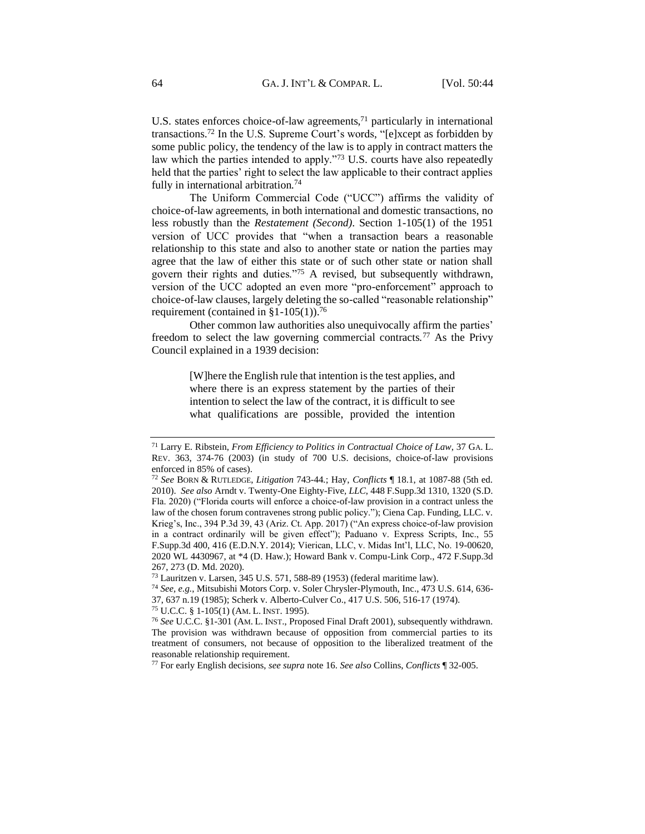U.S. states enforces choice-of-law agreements, $71$  particularly in international transactions.<sup>72</sup> In the U.S. Supreme Court's words, "[e]xcept as forbidden by some public policy, the tendency of the law is to apply in contract matters the law which the parties intended to apply."<sup>73</sup> U.S. courts have also repeatedly held that the parties' right to select the law applicable to their contract applies fully in international arbitration.<sup>74</sup>

The Uniform Commercial Code ("UCC") affirms the validity of choice-of-law agreements, in both international and domestic transactions, no less robustly than the *Restatement (Second)*. Section 1-105(1) of the 1951 version of UCC provides that "when a transaction bears a reasonable relationship to this state and also to another state or nation the parties may agree that the law of either this state or of such other state or nation shall govern their rights and duties."<sup>75</sup> A revised, but subsequently withdrawn, version of the UCC adopted an even more "pro-enforcement" approach to choice-of-law clauses, largely deleting the so-called "reasonable relationship" requirement (contained in §1-105(1)).<sup>76</sup>

Other common law authorities also unequivocally affirm the parties' freedom to select the law governing commercial contracts.<sup>77</sup> As the Privy Council explained in a 1939 decision:

> [W]here the English rule that intention is the test applies, and where there is an express statement by the parties of their intention to select the law of the contract, it is difficult to see what qualifications are possible, provided the intention

<sup>75</sup> U.C.C. § 1-105(1) (AM. L. INST. 1995).

<sup>77</sup> For early English decisions, *see supra* note 16. *See also* Collins, *Conflicts* ¶ 32-005.

<sup>71</sup> Larry E. Ribstein, *From Efficiency to Politics in Contractual Choice of Law*, 37 GA. L. REV. 363, 374-76 (2003) (in study of 700 U.S. decisions, choice-of-law provisions enforced in 85% of cases).

<sup>72</sup> *See* BORN & RUTLEDGE, *Litigation* 743-44*.*; Hay, *Conflicts* ¶ 18.1, at 1087-88 (5th ed. 2010). *See also* Arndt v. Twenty-One Eighty-Five*, LLC*, 448 F.Supp.3d 1310, 1320 (S.D. Fla. 2020) ("Florida courts will enforce a choice-of-law provision in a contract unless the law of the chosen forum contravenes strong public policy."); Ciena Cap. Funding, LLC. v. Krieg's, Inc., 394 P.3d 39, 43 (Ariz. Ct. App. 2017) ("An express choice-of-law provision in a contract ordinarily will be given effect"); Paduano v. Express Scripts, Inc., 55 F.Supp.3d 400, 416 (E.D.N.Y. 2014); Vierican, LLC, v. Midas Int'l, LLC, No. 19-00620, 2020 WL 4430967, at \*4 (D. Haw.); Howard Bank v. Compu-Link Corp., 472 F.Supp.3d 267, 273 (D. Md. 2020).

<sup>73</sup> Lauritzen v. Larsen, 345 U.S. 571, 588-89 (1953) (federal maritime law).

<sup>74</sup> *See, e.g.*, Mitsubishi Motors Corp. v. Soler Chrysler-Plymouth, Inc., 473 U.S. 614, 636- 37, 637 n.19 (1985); Scherk v. Alberto-Culver Co., 417 U.S. 506, 516-17 (1974).

<sup>76</sup> *See* U.C.C. §1-301 (AM. L. INST., Proposed Final Draft 2001), subsequently withdrawn. The provision was withdrawn because of opposition from commercial parties to its treatment of consumers, not because of opposition to the liberalized treatment of the reasonable relationship requirement.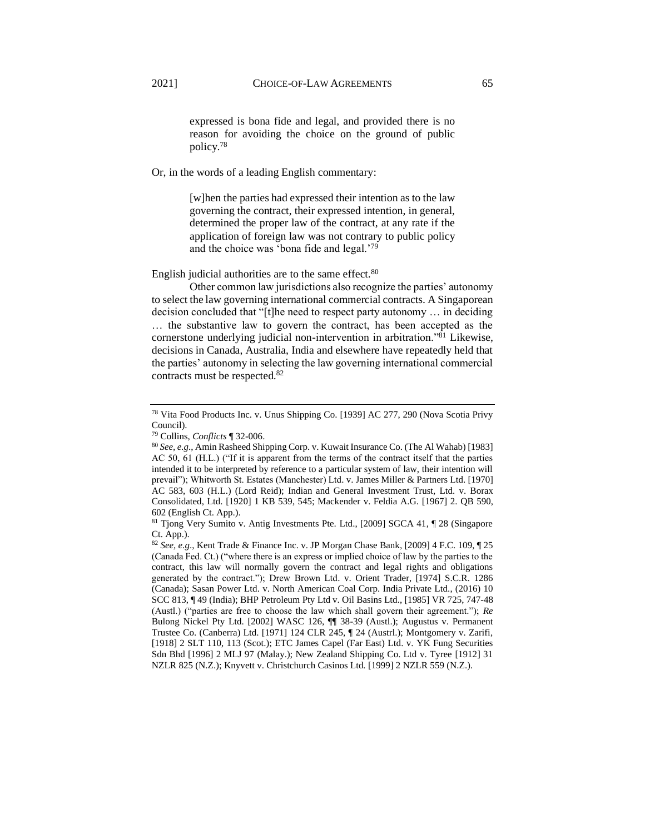expressed is bona fide and legal, and provided there is no reason for avoiding the choice on the ground of public policy.<sup>78</sup>

Or, in the words of a leading English commentary:

[w]hen the parties had expressed their intention as to the law governing the contract, their expressed intention, in general, determined the proper law of the contract, at any rate if the application of foreign law was not contrary to public policy and the choice was 'bona fide and legal.'<sup>79</sup>

English judicial authorities are to the same effect.<sup>80</sup>

Other common law jurisdictions also recognize the parties' autonomy to select the law governing international commercial contracts. A Singaporean decision concluded that "[t]he need to respect party autonomy … in deciding … the substantive law to govern the contract, has been accepted as the cornerstone underlying judicial non-intervention in arbitration."<sup>81</sup> Likewise, decisions in Canada, Australia, India and elsewhere have repeatedly held that the parties' autonomy in selecting the law governing international commercial contracts must be respected.<sup>82</sup>

<sup>78</sup> Vita Food Products Inc. v. Unus Shipping Co. [1939] AC 277, 290 (Nova Scotia Privy Council).

<sup>79</sup> Collins, *Conflicts* ¶ 32-006.

<sup>80</sup> *See, e.g*., Amin Rasheed Shipping Corp. v. Kuwait Insurance Co. (The Al Wahab) [1983] AC 50, 61 (H.L.) ("If it is apparent from the terms of the contract itself that the parties intended it to be interpreted by reference to a particular system of law, their intention will prevail"); Whitworth St. Estates (Manchester) Ltd. v. James Miller & Partners Ltd. [1970] AC 583, 603 (H.L.) (Lord Reid); Indian and General Investment Trust, Ltd. v. Borax Consolidated, Ltd. [1920] 1 KB 539, 545; Mackender v. Feldia A.G. [1967] 2. QB 590, 602 (English Ct. App.).

<sup>81</sup> Tjong Very Sumito v. Antig Investments Pte. Ltd., [2009] SGCA 41, ¶ 28 (Singapore Ct. App.).

<sup>82</sup> *See, e.g*., Kent Trade & Finance Inc. v. JP Morgan Chase Bank*,* [2009] 4 F.C. 109, ¶ 25 (Canada Fed. Ct.) ("where there is an express or implied choice of law by the parties to the contract, this law will normally govern the contract and legal rights and obligations generated by the contract."); Drew Brown Ltd. v. Orient Trader*,* [1974] S.C.R. 1286 (Canada); Sasan Power Ltd. v. North American Coal Corp. India Private Ltd., (2016) 10 SCC 813, ¶ 49 (India); BHP Petroleum Pty Ltd v. Oil Basins Ltd., [1985] VR 725, 747-48 (Austl.) ("parties are free to choose the law which shall govern their agreement."); *Re*  Bulong Nickel Pty Ltd. [2002] WASC 126, ¶¶ 38-39 (Austl.); Augustus v. Permanent Trustee Co. (Canberra) Ltd. [1971] 124 CLR 245, ¶ 24 (Austrl.); Montgomery v. Zarifi*,* [1918] 2 SLT 110, 113 (Scot.); ETC James Capel (Far East) Ltd. v. YK Fung Securities Sdn Bhd [1996] 2 MLJ 97 (Malay.); New Zealand Shipping Co. Ltd v. Tyree [1912] 31 NZLR 825 (N.Z.); Knyvett v. Christchurch Casinos Ltd*.* [1999] 2 NZLR 559 (N.Z.).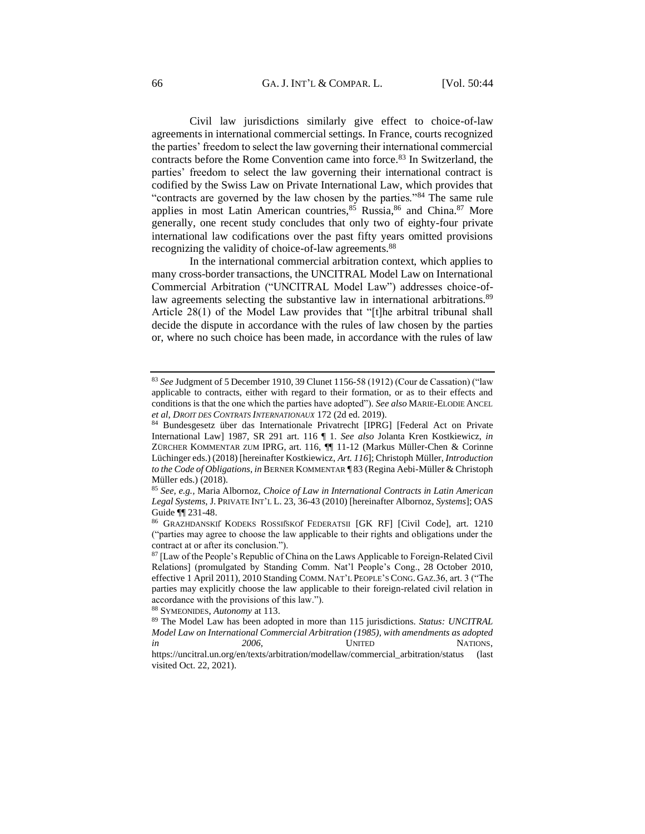Civil law jurisdictions similarly give effect to choice-of-law agreements in international commercial settings. In France, courts recognized the parties' freedom to select the law governing their international commercial contracts before the Rome Convention came into force.<sup>83</sup> In Switzerland, the parties' freedom to select the law governing their international contract is codified by the Swiss Law on Private International Law, which provides that "contracts are governed by the law chosen by the parties."<sup>84</sup> The same rule applies in most Latin American countries,<sup>85</sup> Russia,<sup>86</sup> and China.<sup>87</sup> More generally, one recent study concludes that only two of eighty-four private international law codifications over the past fifty years omitted provisions recognizing the validity of choice-of-law agreements.<sup>88</sup>

In the international commercial arbitration context, which applies to many cross-border transactions, the UNCITRAL Model Law on International Commercial Arbitration ("UNCITRAL Model Law") addresses choice-oflaw agreements selecting the substantive law in international arbitrations.<sup>89</sup> Article 28(1) of the Model Law provides that "[t]he arbitral tribunal shall decide the dispute in accordance with the rules of law chosen by the parties or, where no such choice has been made, in accordance with the rules of law

<sup>88</sup> SYMEONIDES, *Autonomy* at 113.

<sup>83</sup> *See* Judgment of 5 December 1910, 39 Clunet 1156-58 (1912) (Cour de Cassation) ("law applicable to contracts, either with regard to their formation, or as to their effects and conditions is that the one which the parties have adopted"). *See also* MARIE-ELODIE ANCEL *et al*, *DROIT DES CONTRATS INTERNATIONAUX* 172 (2d ed. 2019).

<sup>84</sup> Bundesgesetz über das Internationale Privatrecht [IPRG] [Federal Act on Private International Law] 1987, SR 291 art. 116 ¶ 1. *See also* Jolanta Kren Kostkiewicz, *in* ZÜRCHER KOMMENTAR ZUM IPRG, art. 116, ¶¶ 11-12 (Markus Müller-Chen & Corinne Lüchinger eds.) (2018) [hereinafter Kostkiewicz, *Art. 116*]; Christoph Müller, *Introduction to the Code of Obligations*, *in* BERNER KOMMENTAR ¶ 83 (Regina Aebi-Müller & Christoph Müller eds.) (2018).

<sup>85</sup> *See, e.g.,* Maria Albornoz*, Choice of Law in International Contracts in Latin American Legal Systems*, J. PRIVATE INT'L L. 23, 36-43 (2010) [hereinafter Albornoz, *Systems*]; OAS Guide ¶¶ 231-48.

<sup>86</sup> GRAZHDANSKIĬ KODEKS ROSSIĬSKOĬ FEDERATSII [GK RF] [Civil Code], art. 1210 ("parties may agree to choose the law applicable to their rights and obligations under the contract at or after its conclusion.").

<sup>87</sup> [Law of the People's Republic of China on the Laws Applicable to Foreign-Related Civil Relations] (promulgated by Standing Comm. Nat'l People's Cong., 28 October 2010, effective 1 April 2011), 2010 Standing COMM. NAT'L PEOPLE'S CONG. GAZ.36, art. 3 ("The parties may explicitly choose the law applicable to their foreign-related civil relation in accordance with the provisions of this law.").

<sup>89</sup> The Model Law has been adopted in more than 115 jurisdictions. *Status: UNCITRAL Model Law on International Commercial Arbitration (1985), with amendments as adopted in* 2006, UNITED NATIONS,

https://uncitral.un.org/en/texts/arbitration/modellaw/commercial\_arbitration/status (last visited Oct. 22, 2021).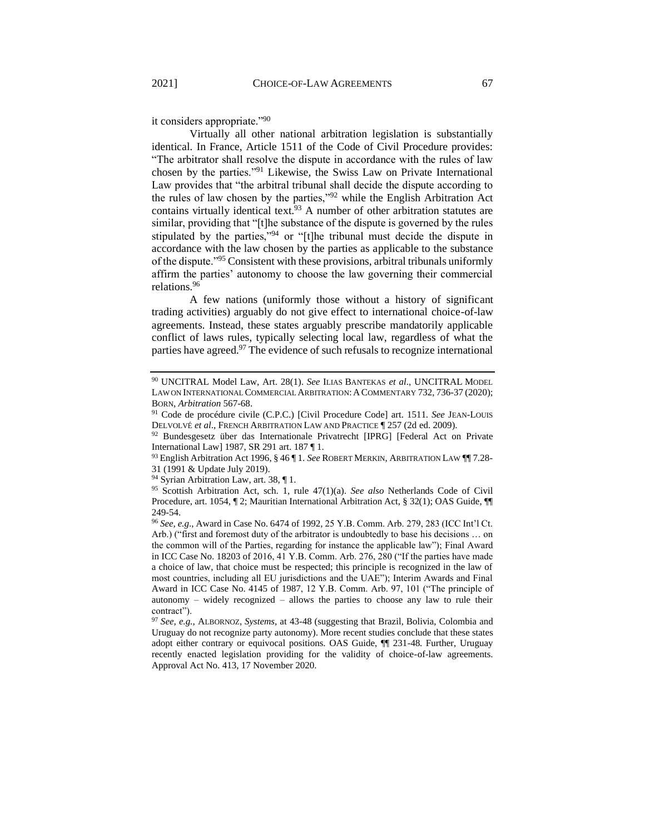it considers appropriate."<sup>90</sup>

Virtually all other national arbitration legislation is substantially identical. In France, Article 1511 of the Code of Civil Procedure provides: "The arbitrator shall resolve the dispute in accordance with the rules of law chosen by the parties."<sup>91</sup> Likewise, the Swiss Law on Private International Law provides that "the arbitral tribunal shall decide the dispute according to the rules of law chosen by the parties,"<sup>92</sup> while the English Arbitration Act contains virtually identical text.<sup>93</sup> A number of other arbitration statutes are similar, providing that "[t]he substance of the dispute is governed by the rules stipulated by the parties,"<sup>94</sup> or "[t]he tribunal must decide the dispute in accordance with the law chosen by the parties as applicable to the substance of the dispute."<sup>95</sup> Consistent with these provisions, arbitral tribunals uniformly affirm the parties' autonomy to choose the law governing their commercial relations.<sup>96</sup>

A few nations (uniformly those without a history of significant trading activities) arguably do not give effect to international choice-of-law agreements. Instead, these states arguably prescribe mandatorily applicable conflict of laws rules, typically selecting local law, regardless of what the parties have agreed.<sup>97</sup> The evidence of such refusals to recognize international

<sup>94</sup> Syrian Arbitration Law, art. 38, ¶ 1.

<sup>90</sup> UNCITRAL Model Law, Art. 28(1). *See* ILIAS BANTEKAS *et al*., UNCITRAL MODEL LAW ON INTERNATIONAL COMMERCIAL ARBITRATION: A COMMENTARY 732, 736-37 (2020); BORN, *Arbitration* 567-68.

<sup>91</sup> Code de procédure civile (C.P.C.) [Civil Procedure Code] art. 1511. *See* JEAN-LOUIS DELVOLVÉ *et al*., FRENCH ARBITRATION LAW AND PRACTICE ¶ 257 (2d ed. 2009).

<sup>92</sup> Bundesgesetz über das Internationale Privatrecht [IPRG] [Federal Act on Private International Law] 1987, SR 291 art. 187 ¶ 1.

<sup>93</sup> English Arbitration Act 1996, § 46 ¶ 1. *See* ROBERT MERKIN, ARBITRATION LAW ¶¶ 7.28- 31 (1991 & Update July 2019).

<sup>95</sup> Scottish Arbitration Act, sch. 1, rule 47(1)(a). *See also* Netherlands Code of Civil Procedure, art. 1054, ¶ 2; Mauritian International Arbitration Act, § 32(1); OAS Guide, ¶¶ 249-54.

<sup>96</sup> *See, e.g*., Award in Case No. 6474 of 1992*,* 25 Y.B. Comm. Arb. 279, 283 (ICC Int'l Ct. Arb.) ("first and foremost duty of the arbitrator is undoubtedly to base his decisions … on the common will of the Parties, regarding for instance the applicable law"); Final Award in ICC Case No. 18203 of 2016, 41 Y.B. Comm. Arb. 276, 280 ("If the parties have made a choice of law, that choice must be respected; this principle is recognized in the law of most countries, including all EU jurisdictions and the UAE"); Interim Awards and Final Award in ICC Case No. 4145 of 1987, 12 Y.B. Comm. Arb. 97, 101 ("The principle of autonomy – widely recognized – allows the parties to choose any law to rule their contract").

<sup>97</sup> *See, e.g.*, ALBORNOZ, *Systems*, at 43-48 (suggesting that Brazil, Bolivia, Colombia and Uruguay do not recognize party autonomy). More recent studies conclude that these states adopt either contrary or equivocal positions. OAS Guide, ¶¶ 231-48. Further, Uruguay recently enacted legislation providing for the validity of choice-of-law agreements. Approval Act No. 413, 17 November 2020.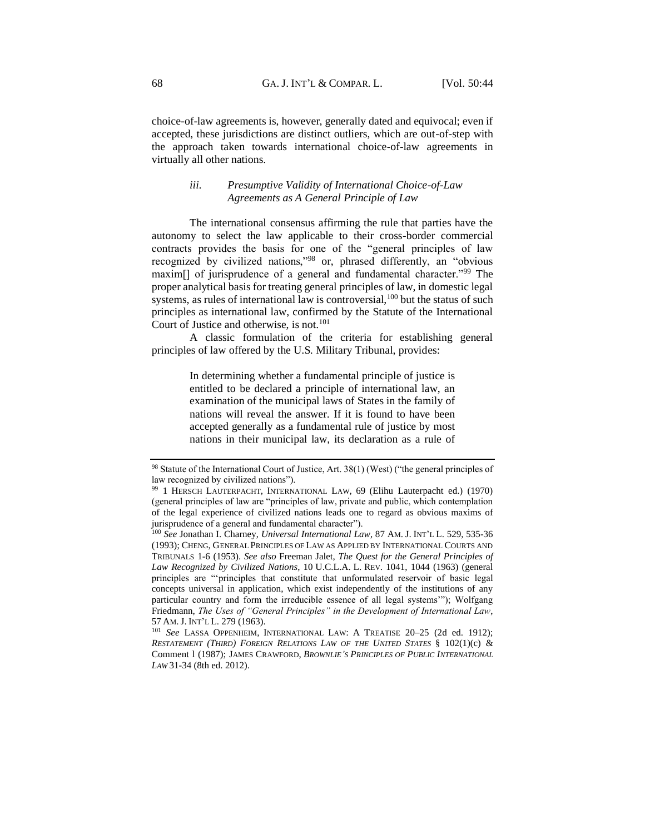choice-of-law agreements is, however, generally dated and equivocal; even if accepted, these jurisdictions are distinct outliers, which are out-of-step with the approach taken towards international choice-of-law agreements in virtually all other nations.

## *iii. Presumptive Validity of International Choice-of-Law Agreements as A General Principle of Law*

<span id="page-24-0"></span>The international consensus affirming the rule that parties have the autonomy to select the law applicable to their cross-border commercial contracts provides the basis for one of the "general principles of law recognized by civilized nations,"<sup>98</sup> or, phrased differently, an "obvious maxim[] of jurisprudence of a general and fundamental character."<sup>99</sup> The proper analytical basis for treating general principles of law, in domestic legal systems, as rules of international law is controversial, $100$  but the status of such principles as international law, confirmed by the Statute of the International Court of Justice and otherwise, is not.<sup>101</sup>

A classic formulation of the criteria for establishing general principles of law offered by the U.S. Military Tribunal, provides:

> In determining whether a fundamental principle of justice is entitled to be declared a principle of international law, an examination of the municipal laws of States in the family of nations will reveal the answer. If it is found to have been accepted generally as a fundamental rule of justice by most nations in their municipal law, its declaration as a rule of

<sup>98</sup> Statute of the International Court of Justice, Art. 38(1) (West) ("the general principles of law recognized by civilized nations").

<sup>99</sup> 1 HERSCH LAUTERPACHT, INTERNATIONAL LAW, 69 (Elihu Lauterpacht ed.) (1970) (general principles of law are "principles of law, private and public, which contemplation of the legal experience of civilized nations leads one to regard as obvious maxims of jurisprudence of a general and fundamental character").

<sup>100</sup> *See* Jonathan I. Charney, *Universal International Law*, 87 AM. J. INT'L L. 529, 535-36 (1993); CHENG, GENERAL PRINCIPLES OF LAW AS APPLIED BY INTERNATIONAL COURTS AND TRIBUNALS 1-6 (1953). *See also* Freeman Jalet, *The Quest for the General Principles of Law Recognized by Civilized Nations*, 10 U.C.L.A. L. REV. 1041, 1044 (1963) (general principles are "'principles that constitute that unformulated reservoir of basic legal concepts universal in application, which exist independently of the institutions of any particular country and form the irreducible essence of all legal systems'"); Wolfgang Friedmann, *The Uses of "General Principles" in the Development of International Law*, 57 AM.J. INT'L L. 279 (1963).

<sup>101</sup> *See* LASSA OPPENHEIM, INTERNATIONAL LAW: A TREATISE 20–25 (2d ed. 1912); *RESTATEMENT (THIRD) FOREIGN RELATIONS LAW OF THE UNITED STATES* § 102(1)(c) & Comment l (1987); JAMES CRAWFORD, *BROWNLIE'S PRINCIPLES OF PUBLIC INTERNATIONAL LAW* 31-34 (8th ed. 2012).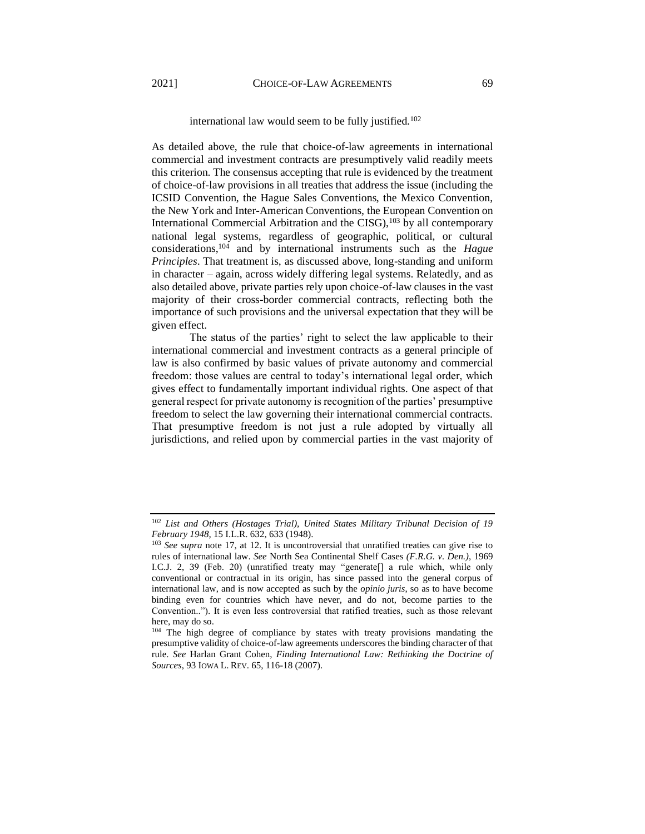#### international law would seem to be fully justified.<sup>102</sup>

As detailed above, the rule that choice-of-law agreements in international commercial and investment contracts are presumptively valid readily meets this criterion. The consensus accepting that rule is evidenced by the treatment of choice-of-law provisions in all treaties that address the issue (including the ICSID Convention, the Hague Sales Conventions, the Mexico Convention, the New York and Inter-American Conventions, the European Convention on International Commercial Arbitration and the CISG), $103$  by all contemporary national legal systems, regardless of geographic, political, or cultural considerations,<sup>104</sup> and by international instruments such as the *Hague Principles*. That treatment is, as discussed above, long-standing and uniform in character – again, across widely differing legal systems. Relatedly, and as also detailed above, private parties rely upon choice-of-law clauses in the vast majority of their cross-border commercial contracts, reflecting both the importance of such provisions and the universal expectation that they will be given effect.

The status of the parties' right to select the law applicable to their international commercial and investment contracts as a general principle of law is also confirmed by basic values of private autonomy and commercial freedom: those values are central to today's international legal order, which gives effect to fundamentally important individual rights. One aspect of that general respect for private autonomy is recognition of the parties' presumptive freedom to select the law governing their international commercial contracts. That presumptive freedom is not just a rule adopted by virtually all jurisdictions, and relied upon by commercial parties in the vast majority of

<sup>102</sup> *List and Others (Hostages Trial), United States Military Tribunal Decision of 19 February 1948,* 15 I.L.R. 632, 633 (1948).

<sup>103</sup> *See supra* note 17, at 12. It is uncontroversial that unratified treaties can give rise to rules of international law. *See* North Sea Continental Shelf Cases *(F.R.G. v. Den.)*, 1969 I.C.J. 2, 39 (Feb. 20) (unratified treaty may "generate[] a rule which, while only conventional or contractual in its origin, has since passed into the general corpus of international law, and is now accepted as such by the *opinio juris*, so as to have become binding even for countries which have never, and do not, become parties to the Convention.."). It is even less controversial that ratified treaties, such as those relevant here, may do so.

<sup>&</sup>lt;sup>104</sup> The high degree of compliance by states with treaty provisions mandating the presumptive validity of choice-of-law agreements underscores the binding character of that rule. *See* Harlan Grant Cohen, *Finding International Law: Rethinking the Doctrine of Sources*, 93 IOWA L. REV. 65, 116-18 (2007).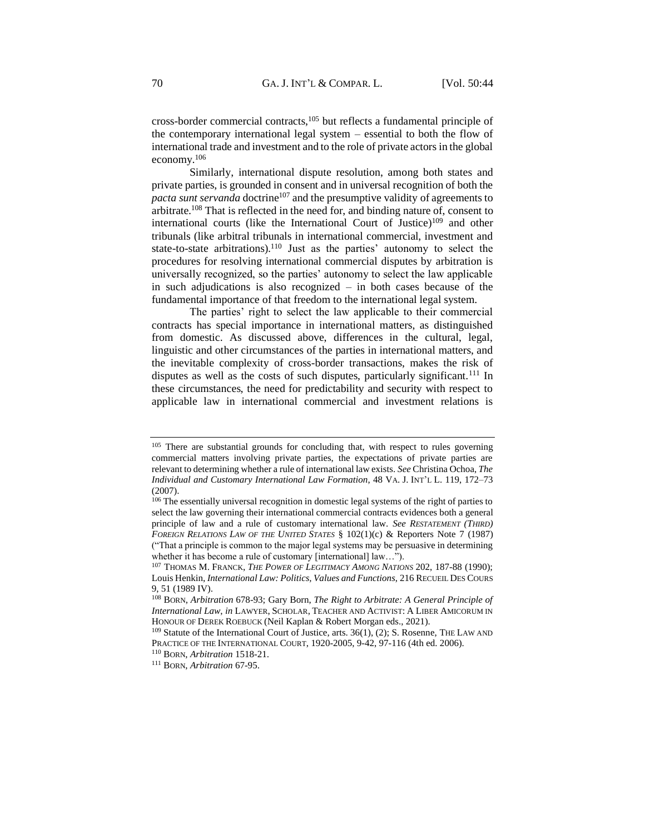cross-border commercial contracts,<sup>105</sup> but reflects a fundamental principle of the contemporary international legal system – essential to both the flow of international trade and investment and to the role of private actors in the global economy.<sup>106</sup>

Similarly, international dispute resolution, among both states and private parties, is grounded in consent and in universal recognition of both the *pacta sunt servanda* doctrine<sup>107</sup> and the presumptive validity of agreements to arbitrate.<sup>108</sup> That is reflected in the need for, and binding nature of, consent to international courts (like the International Court of Justice)<sup>109</sup> and other tribunals (like arbitral tribunals in international commercial, investment and state-to-state arbitrations).<sup>110</sup> Just as the parties' autonomy to select the procedures for resolving international commercial disputes by arbitration is universally recognized, so the parties' autonomy to select the law applicable in such adjudications is also recognized  $-$  in both cases because of the fundamental importance of that freedom to the international legal system.

The parties' right to select the law applicable to their commercial contracts has special importance in international matters, as distinguished from domestic. As discussed above, differences in the cultural, legal, linguistic and other circumstances of the parties in international matters, and the inevitable complexity of cross-border transactions, makes the risk of disputes as well as the costs of such disputes, particularly significant.<sup>111</sup> In these circumstances, the need for predictability and security with respect to applicable law in international commercial and investment relations is

<sup>&</sup>lt;sup>105</sup> There are substantial grounds for concluding that, with respect to rules governing commercial matters involving private parties, the expectations of private parties are relevant to determining whether a rule of international law exists. *See* Christina Ochoa, *The Individual and Customary International Law Formation*, 48 VA. J. INT'L L. 119, 172–73 (2007).

<sup>&</sup>lt;sup>106</sup> The essentially universal recognition in domestic legal systems of the right of parties to select the law governing their international commercial contracts evidences both a general principle of law and a rule of customary international law. *See RESTATEMENT (THIRD) FOREIGN RELATIONS LAW OF THE UNITED STATES* § 102(1)(c) & Reporters Note 7 (1987) ("That a principle is common to the major legal systems may be persuasive in determining whether it has become a rule of customary [international] law...").

<sup>107</sup> THOMAS M. FRANCK, *THE POWER OF LEGITIMACY AMONG NATIONS* 202, 187-88 (1990); Louis Henkin, *International Law: Politics, Values and Functions*, 216 RECUEIL DES COURS 9, 51 (1989 IV).

<sup>108</sup> BORN, *Arbitration* 678-93; Gary Born, *The Right to Arbitrate: A General Principle of International Law*, *in* LAWYER, SCHOLAR, TEACHER AND ACTIVIST: A LIBER AMICORUM IN HONOUR OF DEREK ROEBUCK (Neil Kaplan & Robert Morgan eds., 2021).

<sup>&</sup>lt;sup>109</sup> Statute of the International Court of Justice, arts.  $36(1)$ , (2); S. Rosenne, THE LAW AND PRACTICE OF THE INTERNATIONAL COURT, 1920-2005, 9-42, 97-116 (4th ed. 2006).

<sup>110</sup> BORN, *Arbitration* 1518-21.

<sup>111</sup> BORN, *Arbitration* 67-95.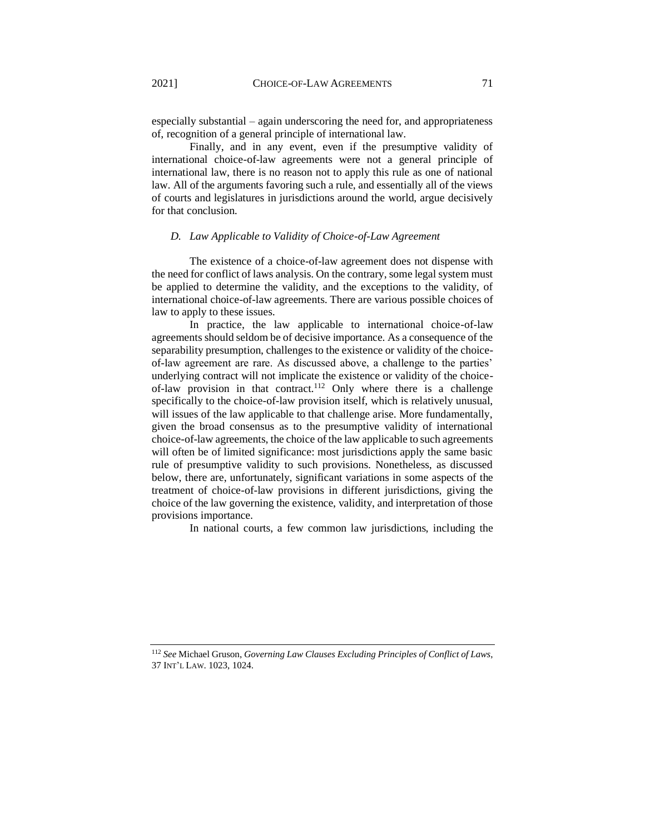especially substantial – again underscoring the need for, and appropriateness of, recognition of a general principle of international law.

Finally, and in any event, even if the presumptive validity of international choice-of-law agreements were not a general principle of international law, there is no reason not to apply this rule as one of national law. All of the arguments favoring such a rule, and essentially all of the views of courts and legislatures in jurisdictions around the world, argue decisively for that conclusion.

### <span id="page-27-0"></span>*D. Law Applicable to Validity of Choice-of-Law Agreement*

The existence of a choice-of-law agreement does not dispense with the need for conflict of laws analysis. On the contrary, some legal system must be applied to determine the validity, and the exceptions to the validity, of international choice-of-law agreements. There are various possible choices of law to apply to these issues.

In practice, the law applicable to international choice-of-law agreements should seldom be of decisive importance. As a consequence of the separability presumption, challenges to the existence or validity of the choiceof-law agreement are rare. As discussed above, a challenge to the parties' underlying contract will not implicate the existence or validity of the choiceof-law provision in that contract.<sup>112</sup> Only where there is a challenge specifically to the choice-of-law provision itself, which is relatively unusual, will issues of the law applicable to that challenge arise. More fundamentally, given the broad consensus as to the presumptive validity of international choice-of-law agreements, the choice of the law applicable to such agreements will often be of limited significance: most jurisdictions apply the same basic rule of presumptive validity to such provisions. Nonetheless, as discussed below, there are, unfortunately, significant variations in some aspects of the treatment of choice-of-law provisions in different jurisdictions, giving the choice of the law governing the existence, validity, and interpretation of those provisions importance.

In national courts, a few common law jurisdictions, including the

<sup>112</sup> *See* Michael Gruson, *Governing Law Clauses Excluding Principles of Conflict of Laws*, 37 INT'L LAW. 1023, 1024.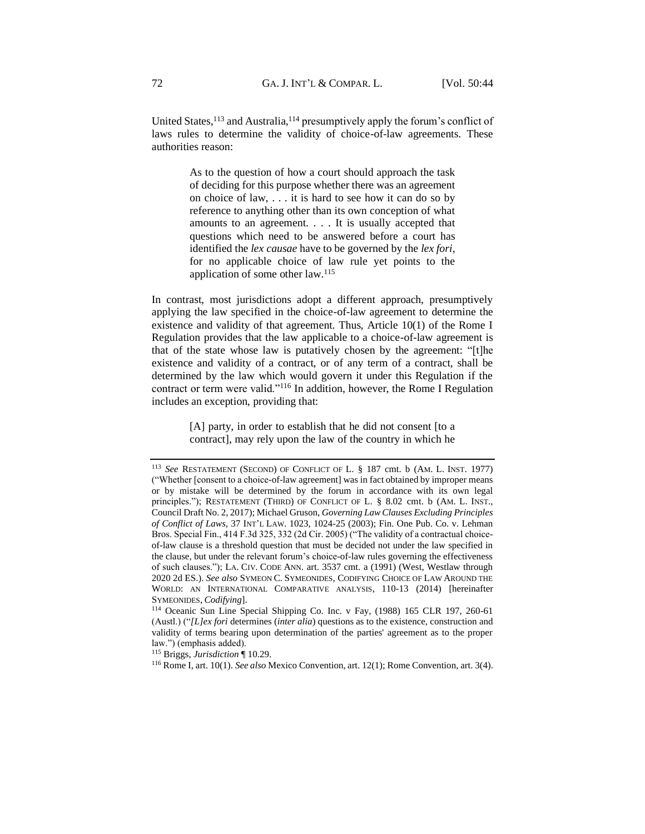United States,  $113$  and Australia,  $114$  presumptively apply the forum's conflict of laws rules to determine the validity of choice-of-law agreements. These authorities reason:

> As to the question of how a court should approach the task of deciding for this purpose whether there was an agreement on choice of law, . . . it is hard to see how it can do so by reference to anything other than its own conception of what amounts to an agreement. . . . It is usually accepted that questions which need to be answered before a court has identified the *lex causae* have to be governed by the *lex fori*, for no applicable choice of law rule yet points to the application of some other law.<sup>115</sup>

In contrast, most jurisdictions adopt a different approach, presumptively applying the law specified in the choice-of-law agreement to determine the existence and validity of that agreement. Thus, Article 10(1) of the Rome I Regulation provides that the law applicable to a choice-of-law agreement is that of the state whose law is putatively chosen by the agreement: "[t]he existence and validity of a contract, or of any term of a contract, shall be determined by the law which would govern it under this Regulation if the contract or term were valid."<sup>116</sup> In addition, however, the Rome I Regulation includes an exception, providing that:

> [A] party, in order to establish that he did not consent [to a contract], may rely upon the law of the country in which he

<sup>113</sup> *See* RESTATEMENT (SECOND) OF CONFLICT OF L. § 187 cmt. b (AM. L. INST. 1977) ("Whether [consent to a choice-of-law agreement] was in fact obtained by improper means or by mistake will be determined by the forum in accordance with its own legal principles."); RESTATEMENT (THIRD) OF CONFLICT OF L. § 8.02 cmt. b (AM. L. INST., Council Draft No. 2, 2017); Michael Gruson, *Governing Law Clauses Excluding Principles of Conflict of Laws*, 37 INT'L LAW. 1023, 1024-25 (2003); Fin. One Pub. Co. v. Lehman Bros. Special Fin., 414 F.3d 325, 332 (2d Cir. 2005) ("The validity of a contractual choiceof-law clause is a threshold question that must be decided not under the law specified in the clause, but under the relevant forum's choice-of-law rules governing the effectiveness of such clauses."); LA. CIV. CODE ANN. art. 3537 cmt. a (1991) (West, Westlaw through 2020 2d ES.). *See also* SYMEON C. SYMEONIDES, CODIFYING CHOICE OF LAW AROUND THE WORLD: AN INTERNATIONAL COMPARATIVE ANALYSIS, 110-13 (2014) [hereinafter SYMEONIDES, *Codifying*].

<sup>114</sup> Oceanic Sun Line Special Shipping Co. Inc. v Fay, (1988) 165 CLR 197, 260-61 (Austl.) ("*[L]ex fori* determines (*inter alia*) questions as to the existence, construction and validity of terms bearing upon determination of the parties' agreement as to the proper law.") (emphasis added).

<sup>115</sup> Briggs, *Jurisdiction* ¶ 10.29.

<sup>116</sup> Rome I, art. 10(1). *See also* Mexico Convention, art. 12(1); Rome Convention, art. 3(4).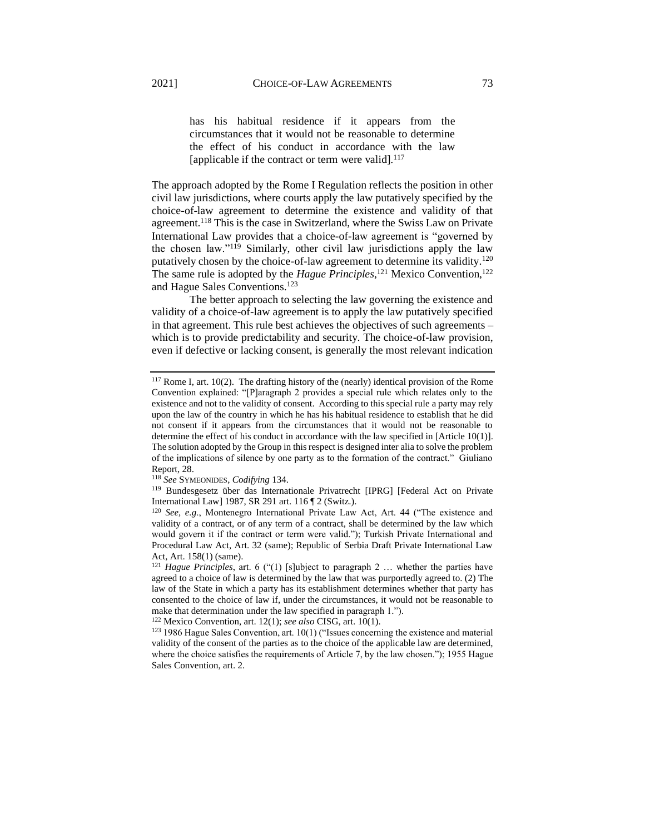has his habitual residence if it appears from the circumstances that it would not be reasonable to determine the effect of his conduct in accordance with the law [applicable if the contract or term were valid]. $117$ 

The approach adopted by the Rome I Regulation reflects the position in other civil law jurisdictions, where courts apply the law putatively specified by the choice-of-law agreement to determine the existence and validity of that agreement.<sup>118</sup> This is the case in Switzerland, where the Swiss Law on Private International Law provides that a choice-of-law agreement is "governed by the chosen law."<sup>119</sup> Similarly, other civil law jurisdictions apply the law putatively chosen by the choice-of-law agreement to determine its validity.<sup>120</sup> The same rule is adopted by the *Hague Principles*<sup>121</sup> Mexico Convention,<sup>122</sup> and Hague Sales Conventions.<sup>123</sup>

The better approach to selecting the law governing the existence and validity of a choice-of-law agreement is to apply the law putatively specified in that agreement. This rule best achieves the objectives of such agreements – which is to provide predictability and security. The choice-of-law provision, even if defective or lacking consent, is generally the most relevant indication

<sup>&</sup>lt;sup>117</sup> Rome I, art. 10(2). The drafting history of the (nearly) identical provision of the Rome Convention explained: "[P]aragraph 2 provides a special rule which relates only to the existence and not to the validity of consent. According to this special rule a party may rely upon the law of the country in which he has his habitual residence to establish that he did not consent if it appears from the circumstances that it would not be reasonable to determine the effect of his conduct in accordance with the law specified in [Article 10(1)]. The solution adopted by the Group in this respect is designed inter alia to solve the problem of the implications of silence by one party as to the formation of the contract." Giuliano Report, 28.

<sup>118</sup> *See* SYMEONIDES, *Codifying* 134.

<sup>119</sup> Bundesgesetz über das Internationale Privatrecht [IPRG] [Federal Act on Private International Law] 1987, SR 291 art. 116 ¶ 2 (Switz.).

<sup>120</sup> *See, e.g*., Montenegro International Private Law Act, Art. 44 ("The existence and validity of a contract, or of any term of a contract, shall be determined by the law which would govern it if the contract or term were valid."); Turkish Private International and Procedural Law Act, Art. 32 (same); Republic of Serbia Draft Private International Law Act, Art. 158(1) (same).

<sup>121</sup> *Hague Principles*, art. 6 ("(1) [s]ubject to paragraph 2 … whether the parties have agreed to a choice of law is determined by the law that was purportedly agreed to. (2) The law of the State in which a party has its establishment determines whether that party has consented to the choice of law if, under the circumstances, it would not be reasonable to make that determination under the law specified in paragraph 1.").

<sup>122</sup> Mexico Convention, art. 12(1); *see also* CISG, art. 10(1).

<sup>123</sup> 1986 Hague Sales Convention, art. 10(1) ("Issues concerning the existence and material validity of the consent of the parties as to the choice of the applicable law are determined, where the choice satisfies the requirements of Article 7, by the law chosen."); 1955 Hague Sales Convention, art. 2.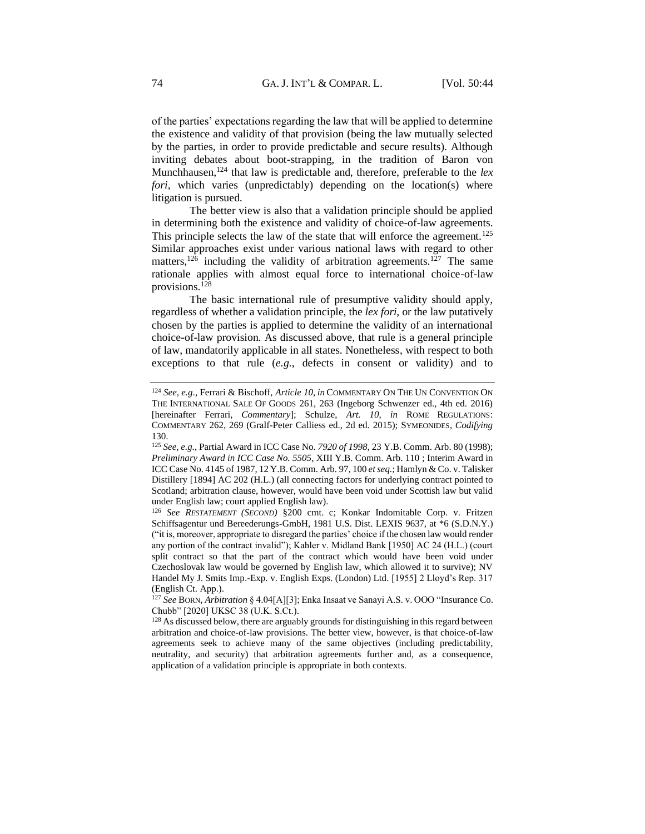of the parties' expectations regarding the law that will be applied to determine the existence and validity of that provision (being the law mutually selected by the parties, in order to provide predictable and secure results). Although inviting debates about boot-strapping, in the tradition of Baron von Munchhausen,<sup>124</sup> that law is predictable and, therefore, preferable to the *lex fori*, which varies (unpredictably) depending on the location(s) where litigation is pursued.

The better view is also that a validation principle should be applied in determining both the existence and validity of choice-of-law agreements. This principle selects the law of the state that will enforce the agreement.<sup>125</sup> Similar approaches exist under various national laws with regard to other matters,<sup>126</sup> including the validity of arbitration agreements.<sup>127</sup> The same rationale applies with almost equal force to international choice-of-law provisions.<sup>128</sup>

The basic international rule of presumptive validity should apply, regardless of whether a validation principle, the *lex fori,* or the law putatively chosen by the parties is applied to determine the validity of an international choice-of-law provision. As discussed above, that rule is a general principle of law, mandatorily applicable in all states. Nonetheless, with respect to both exceptions to that rule (*e.g*., defects in consent or validity) and to

<sup>124</sup> *See, e.g*., Ferrari & Bischoff, *Article 10*, *in* COMMENTARY ON THE UN CONVENTION ON THE INTERNATIONAL SALE OF GOODS 261, 263 (Ingeborg Schwenzer ed., 4th ed. 2016) [hereinafter Ferrari, *Commentary*]; Schulze, *Art. 10*, *in* ROME REGULATIONS: COMMENTARY 262, 269 (Gralf-Peter Calliess ed., 2d ed. 2015); SYMEONIDES, *Codifying*  130.

<sup>125</sup> *See, e.g.*, Partial Award in ICC Case No. *7920 of 1998*, 23 Y.B. Comm. Arb. 80 (1998); *Preliminary Award in ICC Case No. 5505*, XIII Y.B. Comm. Arb. 110 ; Interim Award in ICC Case No. 4145 of 1987, 12 Y.B. Comm. Arb. 97, 100 *et seq.*; Hamlyn & Co. v. Talisker Distillery [1894] AC 202 (H.L.) (all connecting factors for underlying contract pointed to Scotland; arbitration clause, however, would have been void under Scottish law but valid under English law; court applied English law).

<sup>126</sup> *See RESTATEMENT (SECOND)* §200 cmt. c; Konkar Indomitable Corp. v. Fritzen Schiffsagentur und Bereederungs-GmbH, 1981 U.S. Dist. LEXIS 9637, at \*6 (S.D.N.Y.) ("it is, moreover, appropriate to disregard the parties' choice if the chosen law would render any portion of the contract invalid"); Kahler v. Midland Bank [1950] AC 24 (H.L.) (court split contract so that the part of the contract which would have been void under Czechoslovak law would be governed by English law, which allowed it to survive); NV Handel My J. Smits Imp.-Exp. v. English Exps. (London) Ltd. [1955] 2 Lloyd's Rep. 317 (English Ct. App.).

<sup>127</sup> *See* BORN, *Arbitration* § 4.04[A][3]; Enka Insaat ve Sanayi A.S. v. OOO "Insurance Co. Chubb" [2020] UKSC 38 (U.K. S.Ct.).

<sup>&</sup>lt;sup>128</sup> As discussed below, there are arguably grounds for distinguishing in this regard between arbitration and choice-of-law provisions. The better view, however, is that choice-of-law agreements seek to achieve many of the same objectives (including predictability, neutrality, and security) that arbitration agreements further and, as a consequence, application of a validation principle is appropriate in both contexts.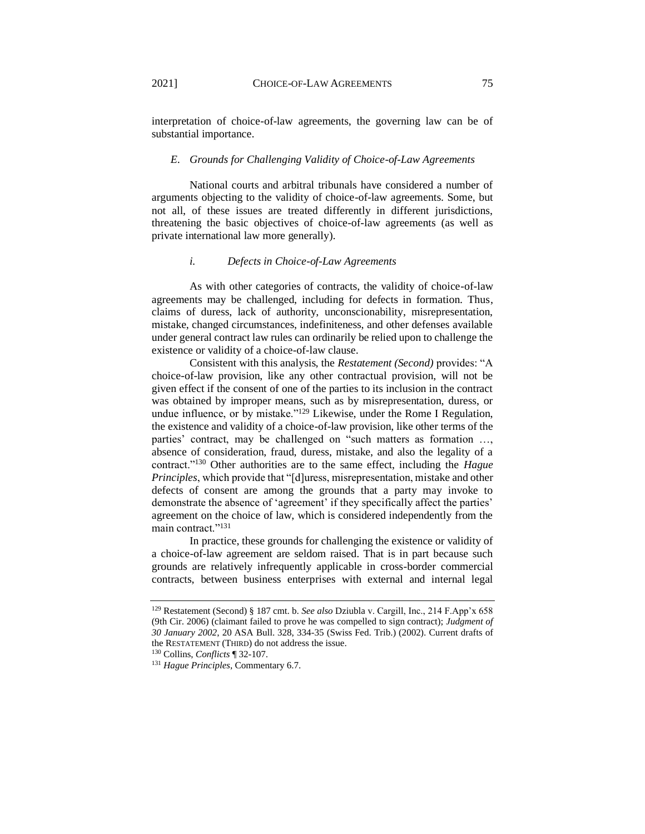interpretation of choice-of-law agreements, the governing law can be of substantial importance.

#### <span id="page-31-0"></span>*E. Grounds for Challenging Validity of Choice-of-Law Agreements*

National courts and arbitral tribunals have considered a number of arguments objecting to the validity of choice-of-law agreements. Some, but not all, of these issues are treated differently in different jurisdictions, threatening the basic objectives of choice-of-law agreements (as well as private international law more generally).

### *i. Defects in Choice-of-Law Agreements*

<span id="page-31-1"></span>As with other categories of contracts, the validity of choice-of-law agreements may be challenged, including for defects in formation. Thus, claims of duress, lack of authority, unconscionability, misrepresentation, mistake, changed circumstances, indefiniteness, and other defenses available under general contract law rules can ordinarily be relied upon to challenge the existence or validity of a choice-of-law clause.

Consistent with this analysis, the *Restatement (Second)* provides: "A choice-of-law provision, like any other contractual provision, will not be given effect if the consent of one of the parties to its inclusion in the contract was obtained by improper means, such as by misrepresentation, duress, or undue influence, or by mistake."<sup>129</sup> Likewise, under the Rome I Regulation, the existence and validity of a choice-of-law provision, like other terms of the parties' contract, may be challenged on "such matters as formation …, absence of consideration, fraud, duress, mistake, and also the legality of a contract."<sup>130</sup> Other authorities are to the same effect, including the *Hague Principles*, which provide that "[d]uress, misrepresentation, mistake and other defects of consent are among the grounds that a party may invoke to demonstrate the absence of 'agreement' if they specifically affect the parties' agreement on the choice of law, which is considered independently from the main contract."<sup>131</sup>

In practice, these grounds for challenging the existence or validity of a choice-of-law agreement are seldom raised. That is in part because such grounds are relatively infrequently applicable in cross-border commercial contracts, between business enterprises with external and internal legal

<sup>129</sup> Restatement (Second) § 187 cmt. b. *See also* Dziubla v. Cargill, Inc., 214 F.App'x 658 (9th Cir. 2006) (claimant failed to prove he was compelled to sign contract); *Judgment of 30 January 2002*, 20 ASA Bull. 328, 334-35 (Swiss Fed. Trib.) (2002). Current drafts of the RESTATEMENT (THIRD) do not address the issue.

<sup>130</sup> Collins, *Conflicts* ¶ 32-107.

<sup>131</sup> *Hague Principles*, Commentary 6.7.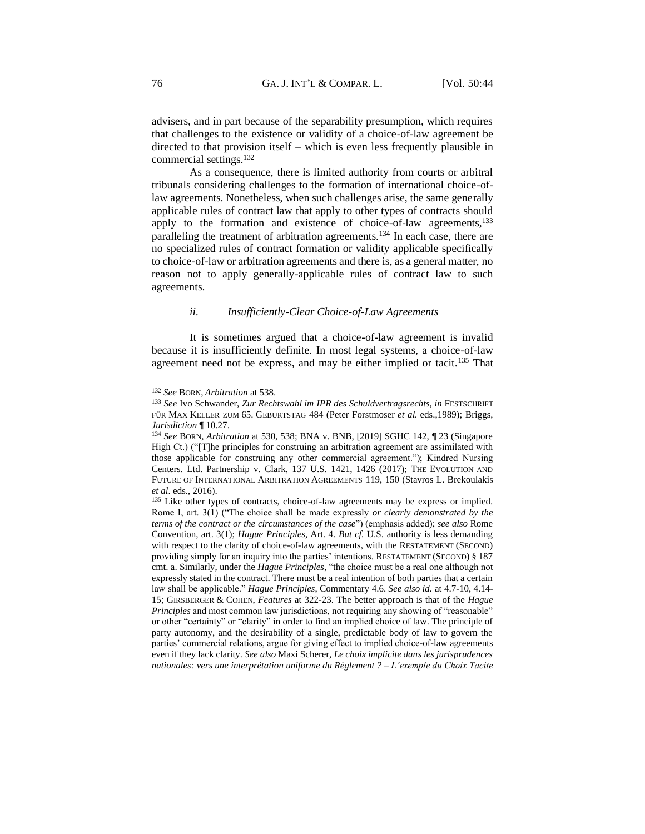advisers, and in part because of the separability presumption, which requires that challenges to the existence or validity of a choice-of-law agreement be directed to that provision itself – which is even less frequently plausible in commercial settings.<sup>132</sup>

As a consequence, there is limited authority from courts or arbitral tribunals considering challenges to the formation of international choice-oflaw agreements. Nonetheless, when such challenges arise, the same generally applicable rules of contract law that apply to other types of contracts should apply to the formation and existence of choice-of-law agreements,<sup>133</sup> paralleling the treatment of arbitration agreements.<sup>134</sup> In each case, there are no specialized rules of contract formation or validity applicable specifically to choice-of-law or arbitration agreements and there is, as a general matter, no reason not to apply generally-applicable rules of contract law to such agreements.

### *ii. Insufficiently-Clear Choice-of-Law Agreements*

<span id="page-32-0"></span>It is sometimes argued that a choice-of-law agreement is invalid because it is insufficiently definite. In most legal systems, a choice-of-law agreement need not be express, and may be either implied or tacit.<sup>135</sup> That

<sup>132</sup> *See* BORN, *Arbitration* at 538.

<sup>133</sup> *See* Ivo Schwander, *Zur Rechtswahl im IPR des Schuldvertragsrechts*, *in* FESTSCHRIFT FÜR MAX KELLER ZUM 65. GEBURTSTAG 484 (Peter Forstmoser *et al.* eds.,1989); Briggs, *Jurisdiction* ¶ 10.27.

<sup>134</sup> *See* BORN, *Arbitration* at 530, 538; BNA v. BNB, [2019] SGHC 142, ¶ 23 (Singapore High Ct.) ("[T]he principles for construing an arbitration agreement are assimilated with those applicable for construing any other commercial agreement."); Kindred Nursing Centers. Ltd. Partnership v. Clark, 137 U.S. 1421, 1426 (2017); THE EVOLUTION AND FUTURE OF INTERNATIONAL ARBITRATION AGREEMENTS 119, 150 (Stavros L. Brekoulakis *et al*. eds., 2016).

<sup>&</sup>lt;sup>135</sup> Like other types of contracts, choice-of-law agreements may be express or implied. Rome I, art. 3(1) ("The choice shall be made expressly *or clearly demonstrated by the terms of the contract or the circumstances of the case*") (emphasis added); *see also* Rome Convention, art. 3(1); *Hague Principles*, Art. 4. *But cf.* U.S. authority is less demanding with respect to the clarity of choice-of-law agreements, with the RESTATEMENT (SECOND) providing simply for an inquiry into the parties' intentions. RESTATEMENT (SECOND) § 187 cmt. a. Similarly, under the *Hague Principles*, "the choice must be a real one although not expressly stated in the contract. There must be a real intention of both parties that a certain law shall be applicable." *Hague Principles*, Commentary 4.6. *See also id.* at 4.7-10, 4.14- 15; GIRSBERGER & COHEN, *Features* at 322-23. The better approach is that of the *Hague Principles* and most common law jurisdictions, not requiring any showing of "reasonable" or other "certainty" or "clarity" in order to find an implied choice of law. The principle of party autonomy, and the desirability of a single, predictable body of law to govern the parties' commercial relations, argue for giving effect to implied choice-of-law agreements even if they lack clarity. *See also* Maxi Scherer, *Le choix implicite dans les jurisprudences nationales: vers une interprétation uniforme du Règlement ? – L'exemple du Choix Tacite*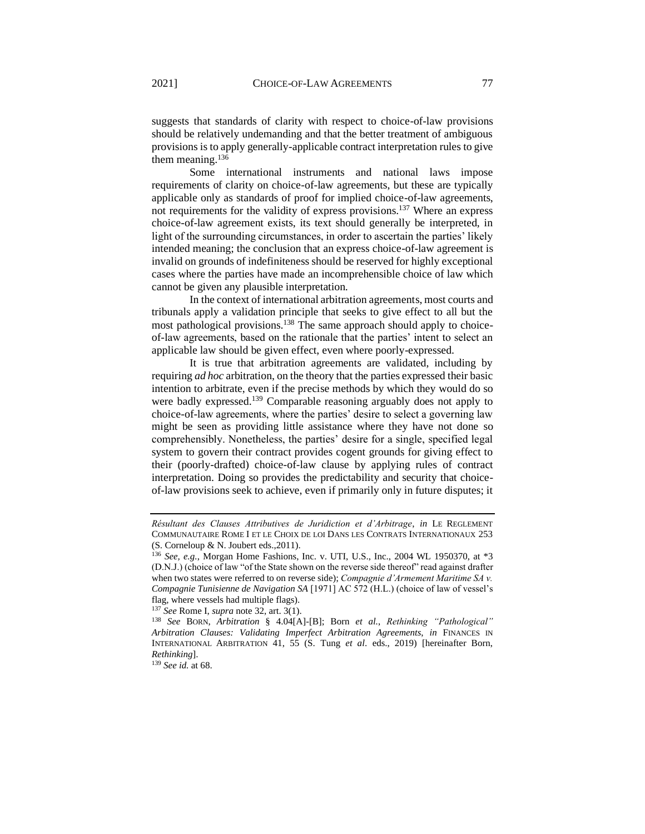suggests that standards of clarity with respect to choice-of-law provisions should be relatively undemanding and that the better treatment of ambiguous provisions is to apply generally-applicable contract interpretation rules to give them meaning. $136$ 

Some international instruments and national laws impose requirements of clarity on choice-of-law agreements, but these are typically applicable only as standards of proof for implied choice-of-law agreements, not requirements for the validity of express provisions.<sup>137</sup> Where an express choice-of-law agreement exists, its text should generally be interpreted, in light of the surrounding circumstances, in order to ascertain the parties' likely intended meaning; the conclusion that an express choice-of-law agreement is invalid on grounds of indefiniteness should be reserved for highly exceptional cases where the parties have made an incomprehensible choice of law which cannot be given any plausible interpretation.

In the context of international arbitration agreements, most courts and tribunals apply a validation principle that seeks to give effect to all but the most pathological provisions.<sup>138</sup> The same approach should apply to choiceof-law agreements, based on the rationale that the parties' intent to select an applicable law should be given effect, even where poorly-expressed.

It is true that arbitration agreements are validated, including by requiring *ad hoc* arbitration, on the theory that the parties expressed their basic intention to arbitrate, even if the precise methods by which they would do so were badly expressed.<sup>139</sup> Comparable reasoning arguably does not apply to choice-of-law agreements, where the parties' desire to select a governing law might be seen as providing little assistance where they have not done so comprehensibly. Nonetheless, the parties' desire for a single, specified legal system to govern their contract provides cogent grounds for giving effect to their (poorly-drafted) choice-of-law clause by applying rules of contract interpretation. Doing so provides the predictability and security that choiceof-law provisions seek to achieve, even if primarily only in future disputes; it

<sup>137</sup> *See* Rome I, *supra* note 32, art. 3(1).

<sup>139</sup> *See id.* at 68.

*Résultant des Clauses Attributives de Juridiction et d'Arbitrage*, *in* LE REGLEMENT COMMUNAUTAIRE ROME I ET LE CHOIX DE LOI DANS LES CONTRATS INTERNATIONAUX 253 (S. Corneloup & N. Joubert eds.,2011).

<sup>136</sup> *See, e.g.*, Morgan Home Fashions, Inc. v. UTI, U.S., Inc., 2004 WL 1950370, at \*3 (D.N.J.) (choice of law "of the State shown on the reverse side thereof" read against drafter when two states were referred to on reverse side); *Compagnie d'Armement Maritime SA v. Compagnie Tunisienne de Navigation SA* [1971] AC 572 (H.L.) (choice of law of vessel's flag, where vessels had multiple flags).

<sup>138</sup> *See* BORN, *Arbitration* § 4.04[A]-[B]; Born *et al.*, *Rethinking "Pathological" Arbitration Clauses: Validating Imperfect Arbitration Agreements*, *in* FINANCES IN INTERNATIONAL ARBITRATION 41, 55 (S. Tung *et al*. eds., 2019) [hereinafter Born, *Rethinking*].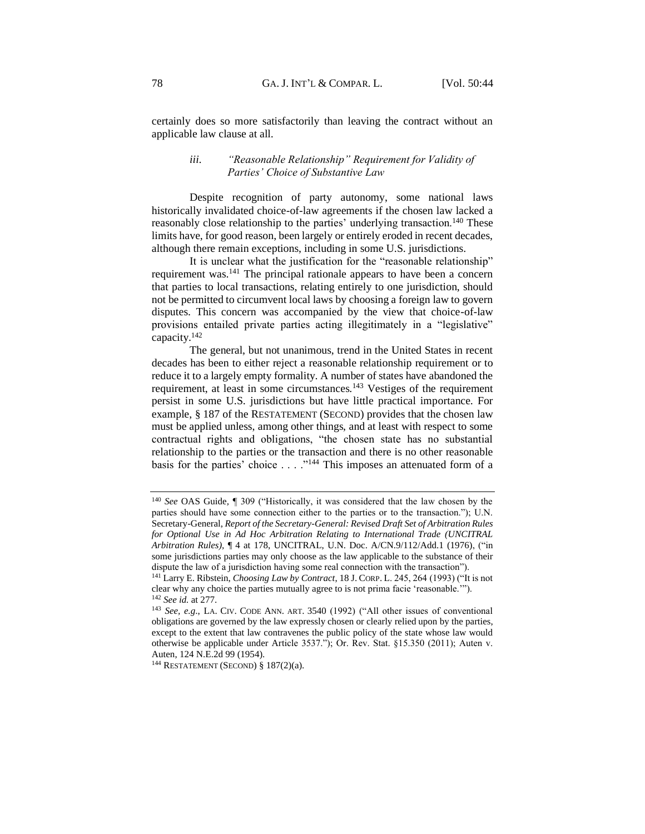<span id="page-34-0"></span>certainly does so more satisfactorily than leaving the contract without an applicable law clause at all.

### *iii. "Reasonable Relationship" Requirement for Validity of Parties' Choice of Substantive Law*

Despite recognition of party autonomy, some national laws historically invalidated choice-of-law agreements if the chosen law lacked a reasonably close relationship to the parties' underlying transaction.<sup>140</sup> These limits have, for good reason, been largely or entirely eroded in recent decades, although there remain exceptions, including in some U.S. jurisdictions.

It is unclear what the justification for the "reasonable relationship" requirement was.<sup>141</sup> The principal rationale appears to have been a concern that parties to local transactions, relating entirely to one jurisdiction, should not be permitted to circumvent local laws by choosing a foreign law to govern disputes. This concern was accompanied by the view that choice-of-law provisions entailed private parties acting illegitimately in a "legislative" capacity.<sup>142</sup>

The general, but not unanimous, trend in the United States in recent decades has been to either reject a reasonable relationship requirement or to reduce it to a largely empty formality. A number of states have abandoned the requirement, at least in some circumstances.<sup>143</sup> Vestiges of the requirement persist in some U.S. jurisdictions but have little practical importance. For example, § 187 of the RESTATEMENT (SECOND) provides that the chosen law must be applied unless, among other things, and at least with respect to some contractual rights and obligations, "the chosen state has no substantial relationship to the parties or the transaction and there is no other reasonable basis for the parties' choice  $\dots$ ."<sup>144</sup> This imposes an attenuated form of a

<sup>140</sup> *See* OAS Guide*,* ¶ 309 ("Historically, it was considered that the law chosen by the parties should have some connection either to the parties or to the transaction."); U.N. Secretary-General, *Report of the Secretary-General: Revised Draft Set of Arbitration Rules for Optional Use in Ad Hoc Arbitration Relating to International Trade (UNCITRAL Arbitration Rules),* ¶ 4 at 178, UNCITRAL, U.N. Doc. A/CN.9/112/Add.1 (1976), ("in some jurisdictions parties may only choose as the law applicable to the substance of their dispute the law of a jurisdiction having some real connection with the transaction").

<sup>141</sup> Larry E. Ribstein, *Choosing Law by Contract*, 18 J. CORP. L. 245, 264 (1993) ("It is not clear why any choice the parties mutually agree to is not prima facie 'reasonable.'"). <sup>142</sup> *See id.* at 277.

<sup>143</sup> *See, e.g*., LA. CIV. CODE ANN. ART. 3540 (1992) ("All other issues of conventional obligations are governed by the law expressly chosen or clearly relied upon by the parties, except to the extent that law contravenes the public policy of the state whose law would otherwise be applicable under Article 3537."); Or. Rev. Stat. §15.350 (2011); Auten v. Auten, 124 N.E.2d 99 (1954).

<sup>144</sup> RESTATEMENT (SECOND) § 187(2)(a).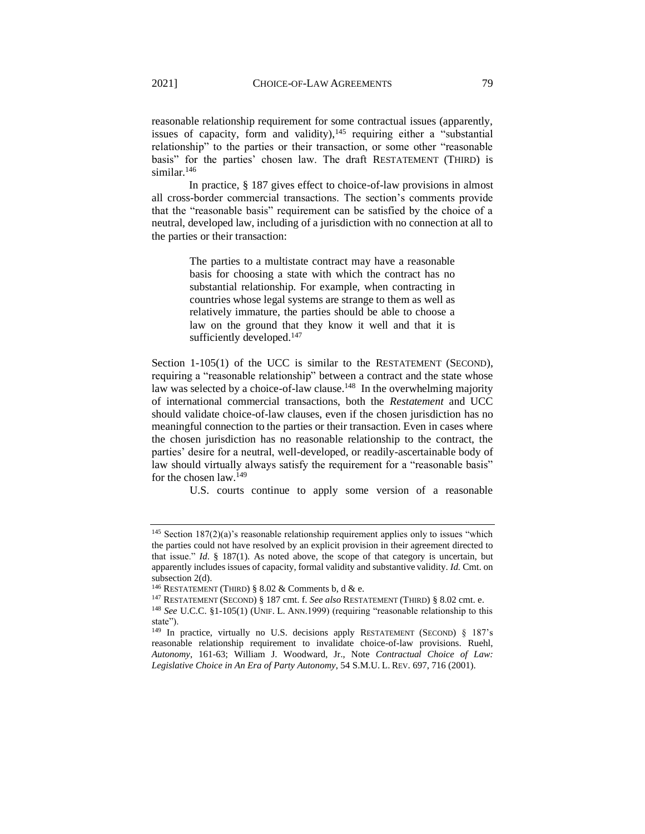reasonable relationship requirement for some contractual issues (apparently, issues of capacity, form and validity),  $145$  requiring either a "substantial relationship" to the parties or their transaction, or some other "reasonable basis" for the parties' chosen law. The draft RESTATEMENT (THIRD) is similar.<sup>146</sup>

In practice, § 187 gives effect to choice-of-law provisions in almost all cross-border commercial transactions. The section's comments provide that the "reasonable basis" requirement can be satisfied by the choice of a neutral, developed law, including of a jurisdiction with no connection at all to the parties or their transaction:

> The parties to a multistate contract may have a reasonable basis for choosing a state with which the contract has no substantial relationship. For example, when contracting in countries whose legal systems are strange to them as well as relatively immature, the parties should be able to choose a law on the ground that they know it well and that it is sufficiently developed.<sup>147</sup>

Section 1-105(1) of the UCC is similar to the RESTATEMENT (SECOND), requiring a "reasonable relationship" between a contract and the state whose law was selected by a choice-of-law clause.<sup>148</sup> In the overwhelming majority of international commercial transactions, both the *Restatement* and UCC should validate choice-of-law clauses, even if the chosen jurisdiction has no meaningful connection to the parties or their transaction. Even in cases where the chosen jurisdiction has no reasonable relationship to the contract, the parties' desire for a neutral, well-developed, or readily-ascertainable body of law should virtually always satisfy the requirement for a "reasonable basis" for the chosen law.<sup>149</sup>

U.S. courts continue to apply some version of a reasonable

<sup>&</sup>lt;sup>145</sup> Section 187(2)(a)'s reasonable relationship requirement applies only to issues "which the parties could not have resolved by an explicit provision in their agreement directed to that issue." *Id*. § 187(1). As noted above, the scope of that category is uncertain, but apparently includes issues of capacity, formal validity and substantive validity. *Id.* Cmt. on subsection 2(d).

<sup>&</sup>lt;sup>146</sup> RESTATEMENT (THIRD) § 8.02  $&$  Comments b, d  $&$  e.

<sup>147</sup> RESTATEMENT (SECOND) § 187 cmt. f. *See also* RESTATEMENT (THIRD) § 8.02 cmt. e.

<sup>&</sup>lt;sup>148</sup> See U.C.C. §1-105(1) (UNIF. L. ANN.1999) (requiring "reasonable relationship to this state").

<sup>149</sup> In practice, virtually no U.S. decisions apply RESTATEMENT (SECOND) § 187's reasonable relationship requirement to invalidate choice-of-law provisions. Ruehl, *Autonomy*, 161-63; William J. Woodward, Jr., Note *Contractual Choice of Law: Legislative Choice in An Era of Party Autonomy*, 54 S.M.U. L. REV. 697, 716 (2001).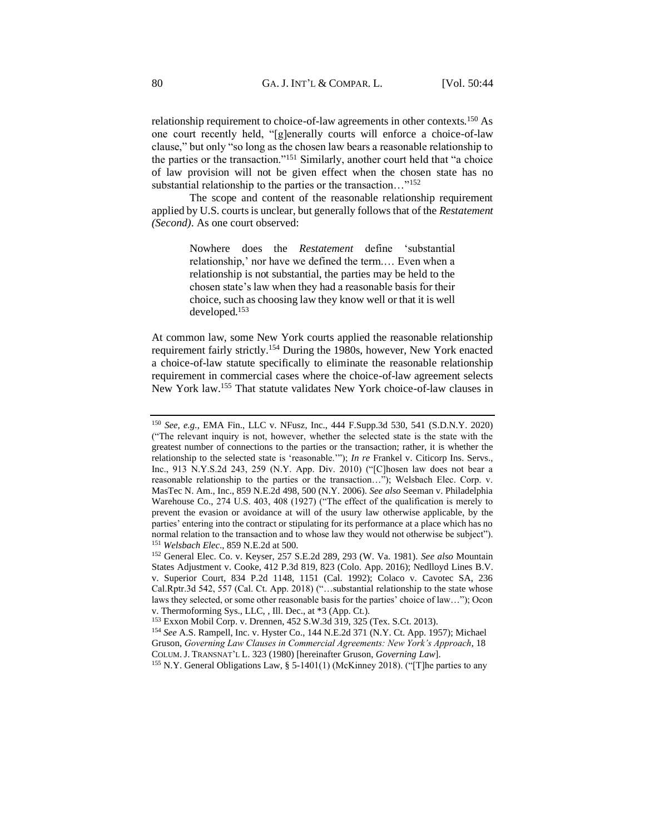relationship requirement to choice-of-law agreements in other contexts.<sup>150</sup> As one court recently held, "[g]enerally courts will enforce a choice-of-law clause," but only "so long as the chosen law bears a reasonable relationship to the parties or the transaction."<sup>151</sup> Similarly, another court held that "a choice of law provision will not be given effect when the chosen state has no substantial relationship to the parties or the transaction…"<sup>152</sup>

The scope and content of the reasonable relationship requirement applied by U.S. courts is unclear, but generally follows that of the *Restatement (Second)*. As one court observed:

> Nowhere does the *Restatement* define 'substantial relationship,' nor have we defined the term.… Even when a relationship is not substantial, the parties may be held to the chosen state's law when they had a reasonable basis for their choice, such as choosing law they know well or that it is well developed.<sup>153</sup>

At common law, some New York courts applied the reasonable relationship requirement fairly strictly.<sup>154</sup> During the 1980s, however, New York enacted a choice-of-law statute specifically to eliminate the reasonable relationship requirement in commercial cases where the choice-of-law agreement selects New York law.<sup>155</sup> That statute validates New York choice-of-law clauses in

<sup>150</sup> *See, e.g.*, EMA Fin., LLC v. NFusz, Inc., 444 F.Supp.3d 530, 541 (S.D.N.Y. 2020) ("The relevant inquiry is not, however, whether the selected state is the state with the greatest number of connections to the parties or the transaction; rather, it is whether the relationship to the selected state is 'reasonable.'"); *In re* Frankel v. Citicorp Ins. Servs., Inc., 913 N.Y.S.2d 243, 259 (N.Y. App. Div. 2010) ("[C]hosen law does not bear a reasonable relationship to the parties or the transaction…"); Welsbach Elec. Corp. v. MasTec N. Am., Inc., 859 N.E.2d 498, 500 (N.Y. 2006). *See also* Seeman v. Philadelphia Warehouse Co., 274 U.S. 403, 408 (1927) ("The effect of the qualification is merely to prevent the evasion or avoidance at will of the usury law otherwise applicable, by the parties' entering into the contract or stipulating for its performance at a place which has no normal relation to the transaction and to whose law they would not otherwise be subject"). <sup>151</sup> *Welsbach Elec*., 859 N.E.2d at 500.

<sup>152</sup> General Elec. Co. v. Keyser, 257 S.E.2d 289, 293 (W. Va. 1981). *See also* Mountain States Adjustment v. Cooke, 412 P.3d 819, 823 (Colo. App. 2016); Nedlloyd Lines B.V. v. Superior Court, 834 P.2d 1148, 1151 (Cal. 1992); Colaco v. Cavotec SA, 236 Cal.Rptr.3d 542, 557 (Cal. Ct. App. 2018) ("…substantial relationship to the state whose laws they selected, or some other reasonable basis for the parties' choice of law…"); Ocon v. Thermoforming Sys., LLC, , Ill. Dec., at \*3 (App. Ct.).

<sup>153</sup> Exxon Mobil Corp. v. Drennen, 452 S.W.3d 319, 325 (Tex. S.Ct. 2013).

<sup>154</sup> *See* A.S. Rampell, Inc. v. Hyster Co., 144 N.E.2d 371 (N.Y. Ct. App. 1957); Michael Gruson, *Governing Law Clauses in Commercial Agreements: New York's Approach*, 18 COLUM.J. TRANSNAT'L L. 323 (1980) [hereinafter Gruson, *Governing Law*].

<sup>155</sup> N.Y. General Obligations Law, § 5-1401(1) (McKinney 2018). ("[T]he parties to any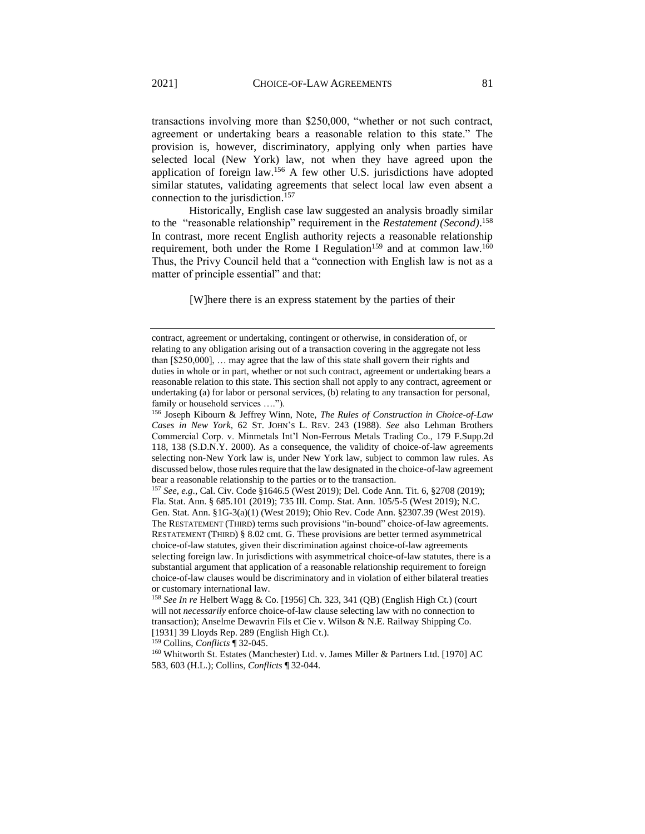transactions involving more than \$250,000, "whether or not such contract, agreement or undertaking bears a reasonable relation to this state." The provision is, however, discriminatory, applying only when parties have selected local (New York) law, not when they have agreed upon the application of foreign law.<sup>156</sup> A few other U.S. jurisdictions have adopted similar statutes, validating agreements that select local law even absent a connection to the jurisdiction.<sup>157</sup>

Historically, English case law suggested an analysis broadly similar to the "reasonable relationship" requirement in the *Restatement (Second)*. 158 In contrast, more recent English authority rejects a reasonable relationship requirement, both under the Rome I Regulation<sup>159</sup> and at common law.<sup>160</sup> Thus, the Privy Council held that a "connection with English law is not as a matter of principle essential" and that:

[W]here there is an express statement by the parties of their

<sup>157</sup> *See, e.g*., Cal. Civ. Code §1646.5 (West 2019); Del. Code Ann. Tit. 6, §2708 (2019); Fla. Stat. Ann. § 685.101 (2019); 735 Ill. Comp. Stat. Ann. 105/5-5 (West 2019); N.C. Gen. Stat. Ann. §1G-3(a)(1) (West 2019); Ohio Rev. Code Ann. §2307.39 (West 2019). The RESTATEMENT (THIRD) terms such provisions "in-bound" choice-of-law agreements. RESTATEMENT (THIRD) § 8.02 cmt. G. These provisions are better termed asymmetrical choice-of-law statutes, given their discrimination against choice-of-law agreements selecting foreign law. In jurisdictions with asymmetrical choice-of-law statutes, there is a substantial argument that application of a reasonable relationship requirement to foreign choice-of-law clauses would be discriminatory and in violation of either bilateral treaties or customary international law.

<sup>159</sup> Collins, *Conflicts* ¶ 32-045.

contract, agreement or undertaking, contingent or otherwise, in consideration of, or relating to any obligation arising out of a transaction covering in the aggregate not less than [\$250,000], … may agree that the law of this state shall govern their rights and duties in whole or in part, whether or not such contract, agreement or undertaking bears a reasonable relation to this state. This section shall not apply to any contract, agreement or undertaking (a) for labor or personal services, (b) relating to any transaction for personal, family or household services ….").

<sup>156</sup> Joseph Kibourn & Jeffrey Winn, Note, *The Rules of Construction in Choice-of-Law Cases in New York*, 62 ST. JOHN'S L. REV. 243 (1988). *See* also Lehman Brothers Commercial Corp. v. Minmetals Int'l Non-Ferrous Metals Trading Co., 179 F.Supp.2d 118, 138 (S.D.N.Y. 2000). As a consequence, the validity of choice-of-law agreements selecting non-New York law is, under New York law, subject to common law rules. As discussed below, those rules require that the law designated in the choice-of-law agreement bear a reasonable relationship to the parties or to the transaction.

<sup>158</sup> *See In re* Helbert Wagg & Co. [1956] Ch. 323, 341 (QB) (English High Ct.) (court will not *necessarily* enforce choice-of-law clause selecting law with no connection to transaction); Anselme Dewavrin Fils et Cie v. Wilson & N.E. Railway Shipping Co. [1931] 39 Lloyds Rep. 289 (English High Ct.).

<sup>160</sup> Whitworth St. Estates (Manchester) Ltd. v. James Miller & Partners Ltd. [1970] AC 583, 603 (H.L.); Collins, *Conflicts* ¶ 32-044.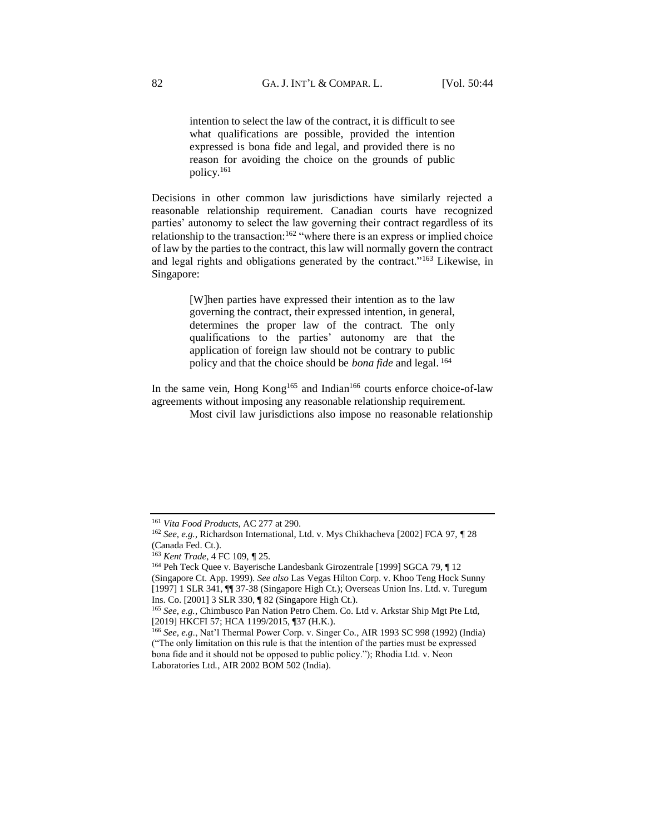intention to select the law of the contract, it is difficult to see what qualifications are possible, provided the intention expressed is bona fide and legal, and provided there is no reason for avoiding the choice on the grounds of public policy.<sup>161</sup>

Decisions in other common law jurisdictions have similarly rejected a reasonable relationship requirement. Canadian courts have recognized parties' autonomy to select the law governing their contract regardless of its relationship to the transaction:<sup>162</sup> "where there is an express or implied choice of law by the parties to the contract, this law will normally govern the contract and legal rights and obligations generated by the contract."<sup>163</sup> Likewise, in Singapore:

> [W]hen parties have expressed their intention as to the law governing the contract, their expressed intention, in general, determines the proper law of the contract. The only qualifications to the parties' autonomy are that the application of foreign law should not be contrary to public policy and that the choice should be *bona fide* and legal. <sup>164</sup>

In the same vein, Hong  $Kong<sup>165</sup>$  and Indian<sup>166</sup> courts enforce choice-of-law agreements without imposing any reasonable relationship requirement.

Most civil law jurisdictions also impose no reasonable relationship

<sup>161</sup> *Vita Food Products*, AC 277 at 290.

<sup>162</sup> *See, e.g.*, Richardson International, Ltd. v. Mys Chikhacheva [2002] FCA 97, *¶* 28 (Canada Fed. Ct.).

<sup>163</sup> *Kent Trade*, 4 FC 109, *¶* 25.

<sup>164</sup> Peh Teck Quee v. Bayerische Landesbank Girozentrale [1999] SGCA 79, ¶ 12 (Singapore Ct. App. 1999). *See also* Las Vegas Hilton Corp. v. Khoo Teng Hock Sunny [1997] 1 SLR 341, ¶¶ 37-38 (Singapore High Ct.); Overseas Union Ins. Ltd. v. Turegum Ins. Co. [2001] 3 SLR 330, ¶ 82 (Singapore High Ct.).

<sup>165</sup> *See, e.g.*, Chimbusco Pan Nation Petro Chem. Co. Ltd v. Arkstar Ship Mgt Pte Ltd*,* [2019] HKCFI 57; HCA 1199/2015, ¶37 (H.K.).

<sup>166</sup> *See, e.g*., Nat'l Thermal Power Corp. v. Singer Co*.*, AIR 1993 SC 998 (1992) (India) ("The only limitation on this rule is that the intention of the parties must be expressed bona fide and it should not be opposed to public policy."); Rhodia Ltd. v. Neon Laboratories Ltd*.*, AIR 2002 BOM 502 (India).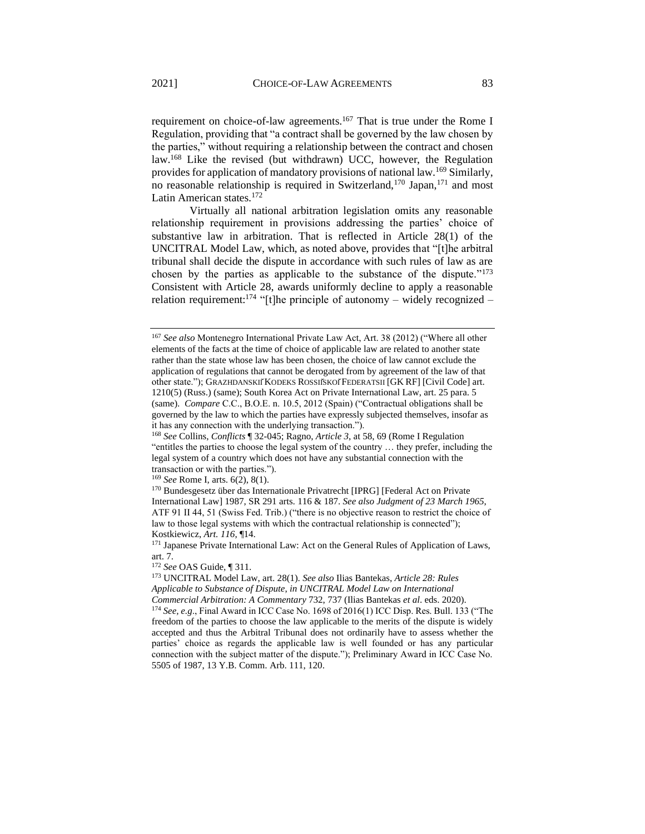requirement on choice-of-law agreements.<sup>167</sup> That is true under the Rome I Regulation, providing that "a contract shall be governed by the law chosen by the parties," without requiring a relationship between the contract and chosen law.<sup>168</sup> Like the revised (but withdrawn) UCC, however, the Regulation provides for application of mandatory provisions of national law.<sup>169</sup> Similarly, no reasonable relationship is required in Switzerland,<sup>170</sup> Japan,<sup>171</sup> and most Latin American states.<sup>172</sup>

Virtually all national arbitration legislation omits any reasonable relationship requirement in provisions addressing the parties' choice of substantive law in arbitration. That is reflected in Article 28(1) of the UNCITRAL Model Law, which, as noted above, provides that "[t]he arbitral tribunal shall decide the dispute in accordance with such rules of law as are chosen by the parties as applicable to the substance of the dispute."<sup>173</sup> Consistent with Article 28, awards uniformly decline to apply a reasonable relation requirement:<sup>174</sup> "[t]he principle of autonomy – widely recognized –

<sup>169</sup> *See* Rome I, arts. 6(2), 8(1).

<sup>167</sup> *See also* Montenegro International Private Law Act, Art. 38 (2012) ("Where all other elements of the facts at the time of choice of applicable law are related to another state rather than the state whose law has been chosen, the choice of law cannot exclude the application of regulations that cannot be derogated from by agreement of the law of that other state."); GRAZHDANSKIĬKODEKS ROSSIĬSKOĬFEDERATSII [GK RF] [Civil Code] art. 1210(5) (Russ.) (same); South Korea Act on Private International Law, art. 25 para. 5 (same). *Compare* C.C., B.O.E. n. 10.5, 2012 (Spain) ("Contractual obligations shall be governed by the law to which the parties have expressly subjected themselves, insofar as it has any connection with the underlying transaction.").

<sup>168</sup> *See* Collins, *Conflicts* ¶ 32-045; Ragno, *Article 3*, at 58, 69 (Rome I Regulation "entitles the parties to choose the legal system of the country … they prefer, including the legal system of a country which does not have any substantial connection with the transaction or with the parties.").

<sup>170</sup> Bundesgesetz über das Internationale Privatrecht [IPRG] [Federal Act on Private International Law] 1987, SR 291 arts. 116 & 187. *See also Judgment of 23 March 1965*, ATF 91 II 44, 51 (Swiss Fed. Trib.) ("there is no objective reason to restrict the choice of law to those legal systems with which the contractual relationship is connected"); Kostkiewicz, *Art. 116*, ¶14.

<sup>&</sup>lt;sup>171</sup> Japanese Private International Law: Act on the General Rules of Application of Laws, art. 7.

<sup>172</sup> *See* OAS Guide, ¶ 311.

<sup>173</sup> UNCITRAL Model Law, art. 28(1). *See also* Ilias Bantekas, *Article 28: Rules Applicable to Substance of Dispute*, *in UNCITRAL Model Law on International Commercial Arbitration: A Commentary* 732, 737 (Ilias Bantekas *et al*. eds. 2020). <sup>174</sup> *See, e.g*., Final Award in ICC Case No. 1698 of 2016(1) ICC Disp. Res. Bull. 133 ("The freedom of the parties to choose the law applicable to the merits of the dispute is widely

accepted and thus the Arbitral Tribunal does not ordinarily have to assess whether the parties' choice as regards the applicable law is well founded or has any particular connection with the subject matter of the dispute."); Preliminary Award in ICC Case No. 5505 of 1987, 13 Y.B. Comm. Arb. 111, 120.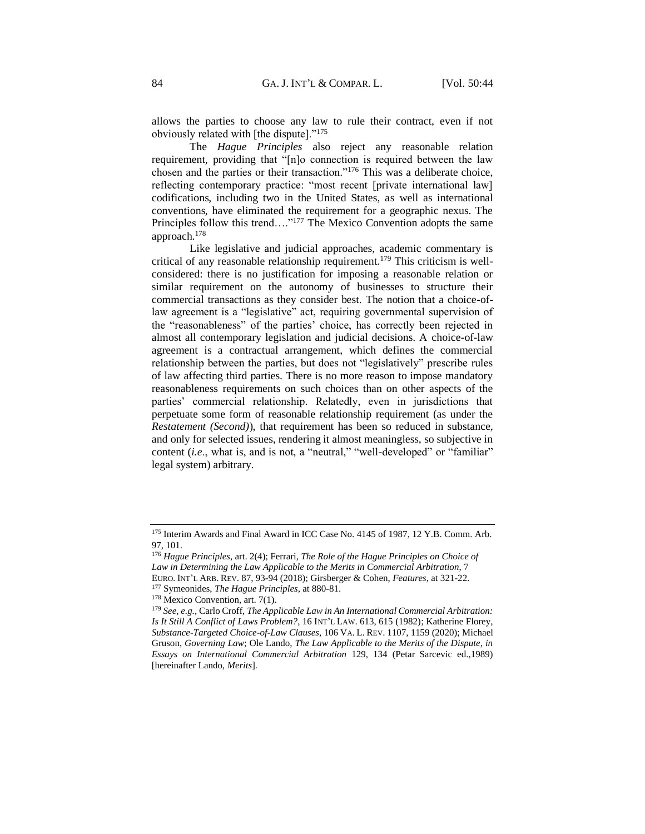allows the parties to choose any law to rule their contract, even if not obviously related with [the dispute]."<sup>175</sup>

The *Hague Principles* also reject any reasonable relation requirement, providing that "[n]o connection is required between the law chosen and the parties or their transaction."<sup>176</sup> This was a deliberate choice, reflecting contemporary practice: "most recent [private international law] codifications, including two in the United States, as well as international conventions, have eliminated the requirement for a geographic nexus. The Principles follow this trend...."<sup>177</sup> The Mexico Convention adopts the same approach.<sup>178</sup>

Like legislative and judicial approaches, academic commentary is critical of any reasonable relationship requirement.<sup>179</sup> This criticism is wellconsidered: there is no justification for imposing a reasonable relation or similar requirement on the autonomy of businesses to structure their commercial transactions as they consider best. The notion that a choice-oflaw agreement is a "legislative" act, requiring governmental supervision of the "reasonableness" of the parties' choice, has correctly been rejected in almost all contemporary legislation and judicial decisions. A choice-of-law agreement is a contractual arrangement, which defines the commercial relationship between the parties, but does not "legislatively" prescribe rules of law affecting third parties. There is no more reason to impose mandatory reasonableness requirements on such choices than on other aspects of the parties' commercial relationship. Relatedly, even in jurisdictions that perpetuate some form of reasonable relationship requirement (as under the *Restatement (Second)*), that requirement has been so reduced in substance, and only for selected issues, rendering it almost meaningless, so subjective in content (*i.e.*, what is, and is not, a "neutral," "well-developed" or "familiar" legal system) arbitrary.

<sup>175</sup> Interim Awards and Final Award in ICC Case No. 4145 of 1987, 12 Y.B. Comm. Arb. 97, 101.

<sup>176</sup> *Hague Principles*, art. 2(4); Ferrari, *The Role of the Hague Principles on Choice of Law in Determining the Law Applicable to the Merits in Commercial Arbitration*, 7 EURO. INT'L ARB. REV. 87, 93-94 (2018); Girsberger & Cohen, *Features*, at 321-22.

<sup>177</sup> Symeonides, *The Hague Principles*, at 880-81.

<sup>178</sup> Mexico Convention, art. 7(1).

<sup>179</sup> *See, e.g.,* Carlo Croff, *The Applicable Law in An International Commercial Arbitration: Is It Still A Conflict of Laws Problem?*, 16 INT'L LAW. 613, 615 (1982); Katherine Florey, *Substance-Targeted Choice-of-Law Clauses*, 106 VA. L. REV. 1107, 1159 (2020); Michael Gruson, *Governing Law*; Ole Lando, *The Law Applicable to the Merits of the Dispute*, *in Essays on International Commercial Arbitration* 129, 134 (Petar Sarcevic ed.,1989) [hereinafter Lando, *Merits*].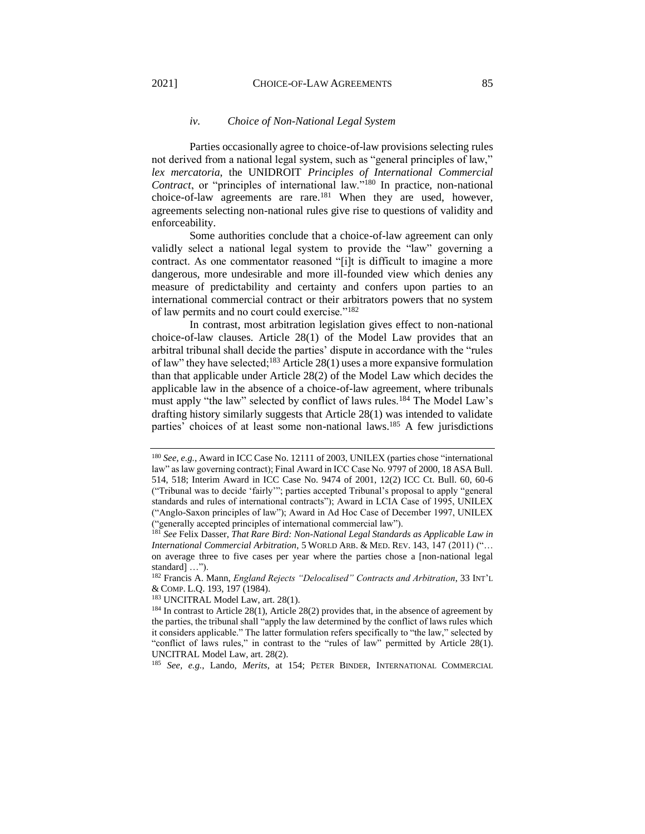#### *iv. Choice of Non-National Legal System*

Parties occasionally agree to choice-of-law provisions selecting rules not derived from a national legal system, such as "general principles of law," *lex mercatoria*, the UNIDROIT *Principles of International Commercial Contract*, or "principles of international law."<sup>180</sup> In practice, non-national choice-of-law agreements are rare.<sup>181</sup> When they are used, however, agreements selecting non-national rules give rise to questions of validity and enforceability.

Some authorities conclude that a choice-of-law agreement can only validly select a national legal system to provide the "law" governing a contract. As one commentator reasoned "[i]t is difficult to imagine a more dangerous, more undesirable and more ill-founded view which denies any measure of predictability and certainty and confers upon parties to an international commercial contract or their arbitrators powers that no system of law permits and no court could exercise."<sup>182</sup>

In contrast, most arbitration legislation gives effect to non-national choice-of-law clauses. Article 28(1) of the Model Law provides that an arbitral tribunal shall decide the parties' dispute in accordance with the "rules of law" they have selected;<sup>183</sup> Article 28(1) uses a more expansive formulation than that applicable under Article 28(2) of the Model Law which decides the applicable law in the absence of a choice-of-law agreement, where tribunals must apply "the law" selected by conflict of laws rules.<sup>184</sup> The Model Law's drafting history similarly suggests that Article 28(1) was intended to validate parties' choices of at least some non-national laws.<sup>185</sup> A few jurisdictions

<sup>183</sup> UNCITRAL Model Law, art. 28(1).

<sup>185</sup> *See, e.g.*, Lando, *Merits*, at 154; PETER BINDER, INTERNATIONAL COMMERCIAL

<sup>180</sup> *See, e.g.*, Award in ICC Case No. 12111 of 2003, UNILEX (parties chose "international law" as law governing contract); Final Award in ICC Case No. 9797 of 2000, 18 ASA Bull. 514, 518; Interim Award in ICC Case No. 9474 of 2001, 12(2) ICC Ct. Bull. 60, 60-6 ("Tribunal was to decide 'fairly'"; parties accepted Tribunal's proposal to apply "general standards and rules of international contracts"); Award in LCIA Case of 1995, UNILEX ("Anglo-Saxon principles of law"); Award in Ad Hoc Case of December 1997, UNILEX ("generally accepted principles of international commercial law").

<sup>181</sup> *See* Felix Dasser, *That Rare Bird: Non-National Legal Standards as Applicable Law in International Commercial Arbitration*, 5 WORLD ARB. & MED. REV. 143, 147 (2011) ("… on average three to five cases per year where the parties chose a [non-national legal standard] …").

<sup>182</sup> Francis A. Mann, *England Rejects "Delocalised" Contracts and Arbitration*, 33 INT'L & COMP. L.Q. 193, 197 (1984).

<sup>&</sup>lt;sup>184</sup> In contrast to Article 28(1), Article 28(2) provides that, in the absence of agreement by the parties, the tribunal shall "apply the law determined by the conflict of laws rules which it considers applicable." The latter formulation refers specifically to "the law," selected by "conflict of laws rules," in contrast to the "rules of law" permitted by Article 28(1). UNCITRAL Model Law, art. 28(2).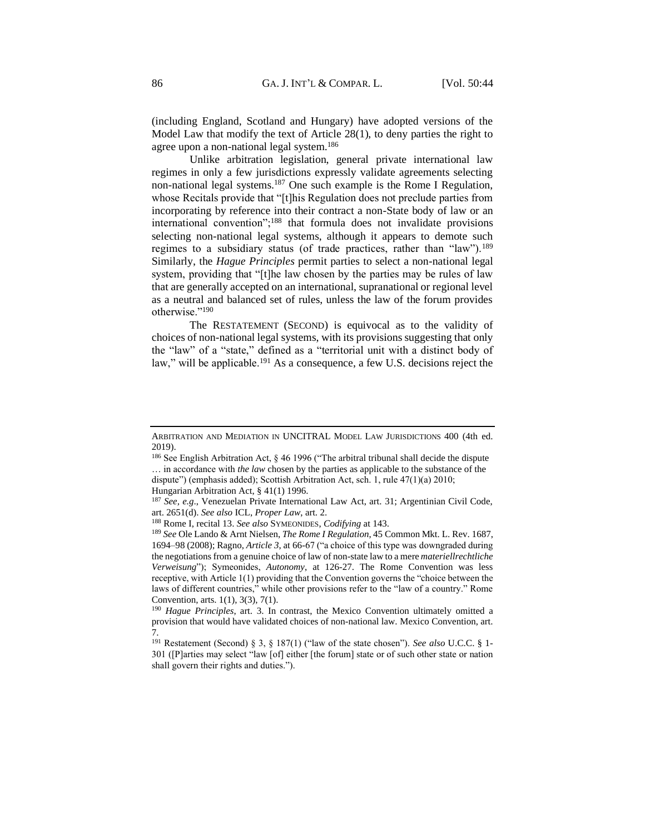(including England, Scotland and Hungary) have adopted versions of the Model Law that modify the text of Article 28(1), to deny parties the right to agree upon a non-national legal system.<sup>186</sup>

Unlike arbitration legislation, general private international law regimes in only a few jurisdictions expressly validate agreements selecting non-national legal systems.<sup>187</sup> One such example is the Rome I Regulation, whose Recitals provide that "[t]his Regulation does not preclude parties from incorporating by reference into their contract a non-State body of law or an international convention";<sup>188</sup> that formula does not invalidate provisions selecting non-national legal systems, although it appears to demote such regimes to a subsidiary status (of trade practices, rather than "law").<sup>189</sup> Similarly, the *Hague Principles* permit parties to select a non-national legal system, providing that "[t]he law chosen by the parties may be rules of law that are generally accepted on an international, supranational or regional level as a neutral and balanced set of rules, unless the law of the forum provides otherwise."<sup>190</sup>

The RESTATEMENT (SECOND) is equivocal as to the validity of choices of non-national legal systems, with its provisions suggesting that only the "law" of a "state," defined as a "territorial unit with a distinct body of law," will be applicable.<sup>191</sup> As a consequence, a few U.S. decisions reject the

ARBITRATION AND MEDIATION IN UNCITRAL MODEL LAW JURISDICTIONS 400 (4th ed. 2019).

<sup>&</sup>lt;sup>186</sup> See English Arbitration Act, § 46 1996 ("The arbitral tribunal shall decide the dispute … in accordance with *the law* chosen by the parties as applicable to the substance of the dispute") (emphasis added); Scottish Arbitration Act, sch. 1, rule 47(1)(a) 2010;

Hungarian Arbitration Act, § 41(1) 1996.

<sup>187</sup> *See, e.g*., Venezuelan Private International Law Act, art. 31; Argentinian Civil Code, art. 2651(d). *See also* ICL, *Proper Law*, art. 2.

<sup>188</sup> Rome I, recital 13. *See also* SYMEONIDES, *Codifying* at 143.

<sup>189</sup> *See* Ole Lando & Arnt Nielsen, *The Rome I Regulation*, 45 Common Mkt. L. Rev. 1687, 1694–98 (2008); Ragno, *Article 3*, at 66-67 ("a choice of this type was downgraded during the negotiations from a genuine choice of law of non-state law to a mere *materiellrechtliche Verweisung*"); Symeonides, *Autonomy*, at 126-27. The Rome Convention was less receptive, with Article 1(1) providing that the Convention governs the "choice between the laws of different countries," while other provisions refer to the "law of a country." Rome Convention, arts. 1(1), 3(3), 7(1).

<sup>190</sup> *Hague Principles*, art. 3. In contrast, the Mexico Convention ultimately omitted a provision that would have validated choices of non-national law. Mexico Convention, art. 7.

<sup>191</sup> Restatement (Second) § 3, § 187(1) ("law of the state chosen"). *See also* U.C.C. § 1- 301 ([P]arties may select "law [of] either [the forum] state or of such other state or nation shall govern their rights and duties.").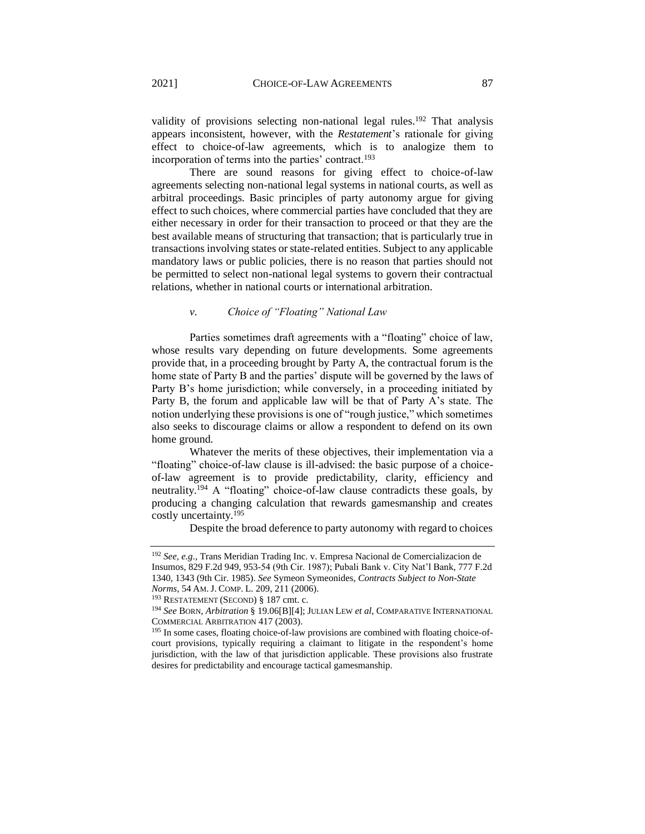validity of provisions selecting non-national legal rules.<sup>192</sup> That analysis appears inconsistent, however, with the *Restatement*'s rationale for giving effect to choice-of-law agreements, which is to analogize them to incorporation of terms into the parties' contract.<sup>193</sup>

There are sound reasons for giving effect to choice-of-law agreements selecting non-national legal systems in national courts, as well as arbitral proceedings. Basic principles of party autonomy argue for giving effect to such choices, where commercial parties have concluded that they are either necessary in order for their transaction to proceed or that they are the best available means of structuring that transaction; that is particularly true in transactions involving states or state-related entities. Subject to any applicable mandatory laws or public policies, there is no reason that parties should not be permitted to select non-national legal systems to govern their contractual relations, whether in national courts or international arbitration.

# *v. Choice of "Floating" National Law*

Parties sometimes draft agreements with a "floating" choice of law, whose results vary depending on future developments. Some agreements provide that, in a proceeding brought by Party A, the contractual forum is the home state of Party B and the parties' dispute will be governed by the laws of Party B's home jurisdiction; while conversely, in a proceeding initiated by Party B, the forum and applicable law will be that of Party A's state. The notion underlying these provisions is one of "rough justice," which sometimes also seeks to discourage claims or allow a respondent to defend on its own home ground.

Whatever the merits of these objectives, their implementation via a "floating" choice-of-law clause is ill-advised: the basic purpose of a choiceof-law agreement is to provide predictability, clarity, efficiency and neutrality.<sup>194</sup> A "floating" choice-of-law clause contradicts these goals, by producing a changing calculation that rewards gamesmanship and creates costly uncertainty.<sup>195</sup>

Despite the broad deference to party autonomy with regard to choices

<sup>192</sup> *See, e.g*., Trans Meridian Trading Inc. v. Empresa Nacional de Comercializacion de Insumos, 829 F.2d 949, 953-54 (9th Cir. 1987); Pubali Bank v. City Nat'l Bank, 777 F.2d 1340, 1343 (9th Cir. 1985). *See* Symeon Symeonides, *Contracts Subject to Non-State Norms*, 54 AM.J. COMP. L. 209, 211 (2006).

<sup>193</sup> RESTATEMENT (SECOND) § 187 cmt. c.

<sup>194</sup> *See* BORN, *Arbitration* § 19.06[B][4]; JULIAN LEW *et al*, COMPARATIVE INTERNATIONAL COMMERCIAL ARBITRATION 417 (2003).

<sup>&</sup>lt;sup>195</sup> In some cases, floating choice-of-law provisions are combined with floating choice-ofcourt provisions, typically requiring a claimant to litigate in the respondent's home jurisdiction, with the law of that jurisdiction applicable. These provisions also frustrate desires for predictability and encourage tactical gamesmanship.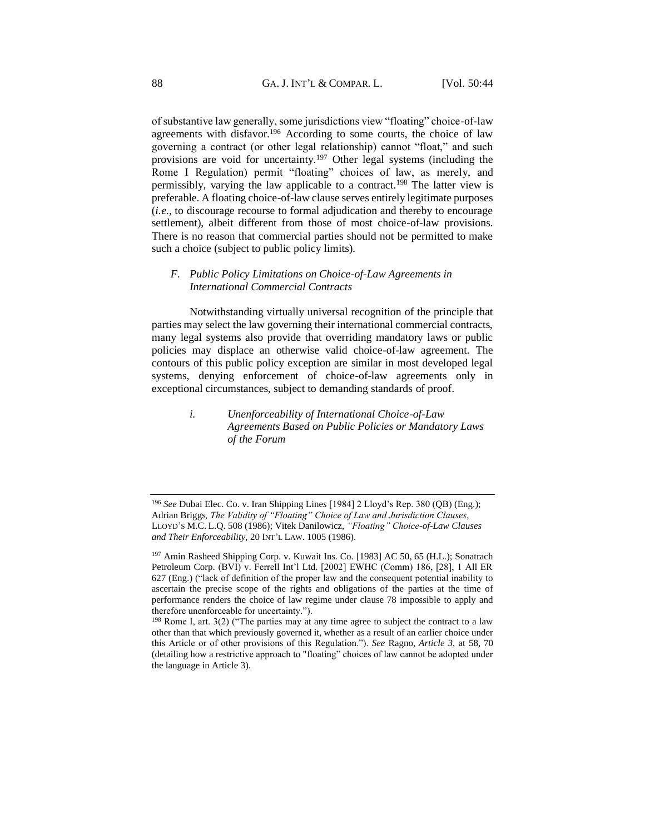of substantive law generally, some jurisdictions view "floating" choice-of-law agreements with disfavor.<sup>196</sup> According to some courts, the choice of law governing a contract (or other legal relationship) cannot "float," and such provisions are void for uncertainty.<sup>197</sup> Other legal systems (including the Rome I Regulation) permit "floating" choices of law, as merely, and permissibly, varying the law applicable to a contract.<sup>198</sup> The latter view is preferable. A floating choice-of-law clause serves entirely legitimate purposes (*i.e*., to discourage recourse to formal adjudication and thereby to encourage settlement), albeit different from those of most choice-of-law provisions. There is no reason that commercial parties should not be permitted to make such a choice (subject to public policy limits).

## *F. Public Policy Limitations on Choice-of-Law Agreements in International Commercial Contracts*

Notwithstanding virtually universal recognition of the principle that parties may select the law governing their international commercial contracts, many legal systems also provide that overriding mandatory laws or public policies may displace an otherwise valid choice-of-law agreement. The contours of this public policy exception are similar in most developed legal systems, denying enforcement of choice-of-law agreements only in exceptional circumstances, subject to demanding standards of proof.

> *i. Unenforceability of International Choice-of-Law Agreements Based on Public Policies or Mandatory Laws of the Forum*

<sup>196</sup> *See* Dubai Elec. Co. v. Iran Shipping Line*s* [1984] 2 Lloyd's Rep. 380 (QB) (Eng.); Adrian Briggs*, The Validity of "Floating" Choice of Law and Jurisdiction Clauses*, LLOYD'S M.C. L.Q. 508 (1986); Vitek Danilowicz, *"Floating" Choice-of-Law Clauses and Their Enforceability*, 20 INT'L LAW. 1005 (1986).

<sup>197</sup> Amin Rasheed Shipping Corp. v. Kuwait Ins. Co*.* [1983] AC 50, 65 (H.L.); Sonatrach Petroleum Corp. (BVI) v. Ferrell Int'l Ltd. [2002] EWHC (Comm) 186, [28], 1 All ER 627 (Eng.) ("lack of definition of the proper law and the consequent potential inability to ascertain the precise scope of the rights and obligations of the parties at the time of performance renders the choice of law regime under clause 78 impossible to apply and therefore unenforceable for uncertainty.").

<sup>198</sup> Rome I, art. 3(2) ("The parties may at any time agree to subject the contract to a law other than that which previously governed it, whether as a result of an earlier choice under this Article or of other provisions of this Regulation."). *See* Ragno, *Article 3*, at 58, 70 (detailing how a restrictive approach to "floating" choices of law cannot be adopted under the language in Article 3).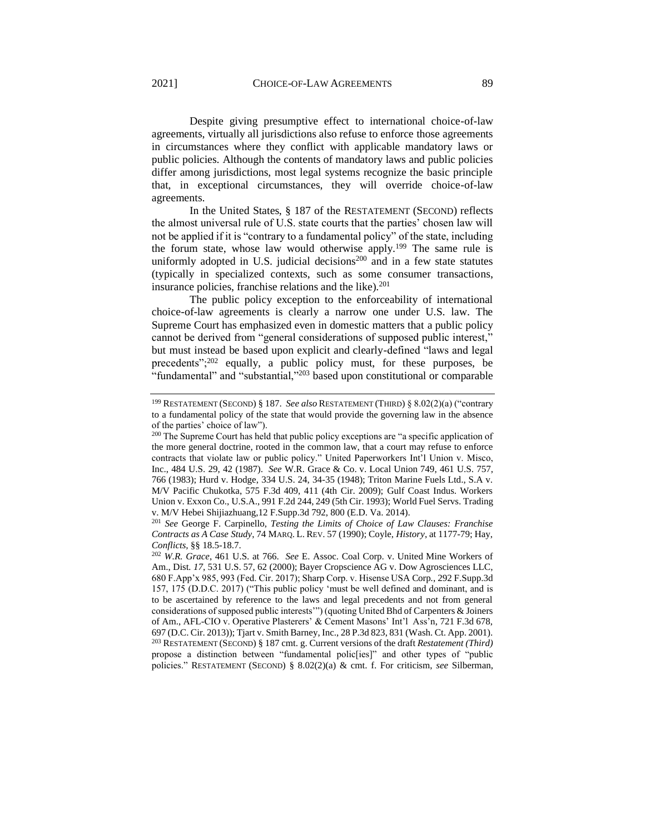Despite giving presumptive effect to international choice-of-law agreements, virtually all jurisdictions also refuse to enforce those agreements in circumstances where they conflict with applicable mandatory laws or public policies. Although the contents of mandatory laws and public policies differ among jurisdictions, most legal systems recognize the basic principle that, in exceptional circumstances, they will override choice-of-law agreements.

In the United States, § 187 of the RESTATEMENT (SECOND) reflects the almost universal rule of U.S. state courts that the parties' chosen law will not be applied if it is "contrary to a fundamental policy" of the state, including the forum state, whose law would otherwise apply.<sup>199</sup> The same rule is uniformly adopted in U.S. judicial decisions $200$  and in a few state statutes (typically in specialized contexts, such as some consumer transactions, insurance policies, franchise relations and the like). $201$ 

The public policy exception to the enforceability of international choice-of-law agreements is clearly a narrow one under U.S. law. The Supreme Court has emphasized even in domestic matters that a public policy cannot be derived from "general considerations of supposed public interest," but must instead be based upon explicit and clearly-defined "laws and legal precedents";<sup>202</sup> equally, a public policy must, for these purposes, be "fundamental" and "substantial,"<sup>203</sup> based upon constitutional or comparable

<sup>201</sup> *See* George F. Carpinello, *Testing the Limits of Choice of Law Clauses: Franchise Contracts as A Case Study*, 74 MARQ. L. REV. 57 (1990); Coyle, *History*, at 1177-79; Hay, *Conflicts,* §§ 18.5-18.7.

<sup>202</sup> *W.R. Grace*, 461 U.S. at 766. *See* E. Assoc. Coal Corp. v. United Mine Workers of Am., Dist*. 17*, 531 U.S. 57, 62 (2000); Bayer Cropscience AG v. Dow Agrosciences LLC, 680 F.App'x 985, 993 (Fed. Cir. 2017); Sharp Corp. v. Hisense USA Corp*.*, 292 F.Supp.3d 157, 175 (D.D.C. 2017) ("This public policy 'must be well defined and dominant, and is to be ascertained by reference to the laws and legal precedents and not from general considerations of supposed public interests'") (quoting United Bhd of Carpenters & Joiners of Am., AFL-CIO v. Operative Plasterers' & Cement Masons' Int'l Ass'n, 721 F.3d 678, 697 (D.C. Cir. 2013)); Tjart v. Smith Barney, Inc., 28 P.3d 823, 831 (Wash. Ct. App. 2001). <sup>203</sup> RESTATEMENT (SECOND) § 187 cmt. g. Current versions of the draft *Restatement (Third)* propose a distinction between "fundamental polic[ies]" and other types of "public policies." RESTATEMENT (SECOND) § 8.02(2)(a) & cmt. f. For criticism, *see* Silberman,

<sup>199</sup> RESTATEMENT (SECOND) § 187. *See also* RESTATEMENT (THIRD) § 8.02(2)(a) ("contrary to a fundamental policy of the state that would provide the governing law in the absence of the parties' choice of law").

 $200$  The Supreme Court has held that public policy exceptions are "a specific application of the more general doctrine, rooted in the common law, that a court may refuse to enforce contracts that violate law or public policy." United Paperworkers Int'l Union v. Misco, Inc., 484 U.S. 29, 42 (1987). *See* W.R. Grace & Co. v. Local Union 749, 461 U.S. 757, 766 (1983); Hurd v. Hodge, 334 U.S. 24, 34-35 (1948); Triton Marine Fuels Ltd., S.A v. M/V Pacific Chukotka, 575 F.3d 409, 411 (4th Cir. 2009); Gulf Coast Indus. Workers Union v. Exxon Co., U.S.A., 991 F.2d 244, 249 (5th Cir. 1993); World Fuel Servs. Trading v. M/V Hebei Shijiazhuang,12 F.Supp.3d 792, 800 (E.D. Va. 2014).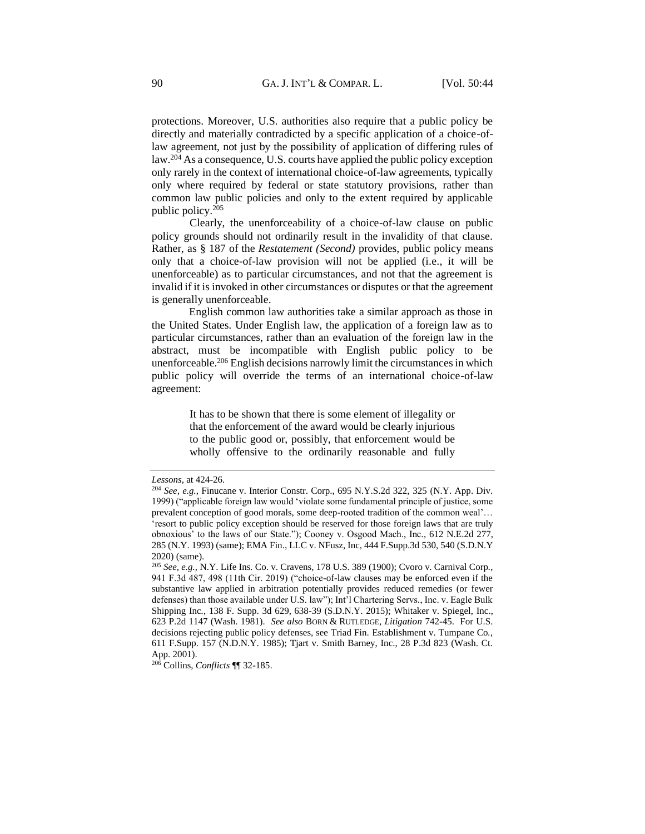protections. Moreover, U.S. authorities also require that a public policy be directly and materially contradicted by a specific application of a choice-oflaw agreement, not just by the possibility of application of differing rules of law.<sup>204</sup> As a consequence, U.S. courts have applied the public policy exception only rarely in the context of international choice-of-law agreements, typically only where required by federal or state statutory provisions, rather than common law public policies and only to the extent required by applicable public policy.<sup>205</sup>

Clearly, the unenforceability of a choice-of-law clause on public policy grounds should not ordinarily result in the invalidity of that clause. Rather, as § 187 of the *Restatement (Second)* provides, public policy means only that a choice-of-law provision will not be applied (i.e., it will be unenforceable) as to particular circumstances, and not that the agreement is invalid if it is invoked in other circumstances or disputes or that the agreement is generally unenforceable.

English common law authorities take a similar approach as those in the United States. Under English law, the application of a foreign law as to particular circumstances, rather than an evaluation of the foreign law in the abstract, must be incompatible with English public policy to be unenforceable.<sup>206</sup> English decisions narrowly limit the circumstances in which public policy will override the terms of an international choice-of-law agreement:

> It has to be shown that there is some element of illegality or that the enforcement of the award would be clearly injurious to the public good or, possibly, that enforcement would be wholly offensive to the ordinarily reasonable and fully

<sup>206</sup> Collins, *Conflicts* ¶¶ 32-185.

*Lessons*, at 424-26.

<sup>204</sup> *See, e.g.*, Finucane v. Interior Constr. Corp., 695 N.Y.S.2d 322, 325 (N.Y. App. Div. 1999) ("applicable foreign law would 'violate some fundamental principle of justice, some prevalent conception of good morals, some deep-rooted tradition of the common weal'… 'resort to public policy exception should be reserved for those foreign laws that are truly obnoxious' to the laws of our State."); Cooney v. Osgood Mach., Inc*.*, 612 N.E.2d 277, 285 (N.Y. 1993) (same); EMA Fin., LLC v. NFusz, Inc, 444 F.Supp.3d 530, 540 (S.D.N.Y 2020) (same).

<sup>205</sup> *See, e.g.,* N.Y. Life Ins. Co. v. Cravens, 178 U.S. 389 (1900); Cvoro v. Carnival Corp*.*, 941 F.3d 487, 498 (11th Cir. 2019) ("choice-of-law clauses may be enforced even if the substantive law applied in arbitration potentially provides reduced remedies (or fewer defenses) than those available under U.S. law"); Int'l Chartering Servs., Inc. v. Eagle Bulk Shipping Inc*.*, 138 F. Supp. 3d 629, 638-39 (S.D.N.Y. 2015); Whitaker v. Spiegel, Inc., 623 P.2d 1147 (Wash. 1981). *See also* BORN & RUTLEDGE, *Litigation* 742-45. For U.S. decisions rejecting public policy defenses, see Triad Fin. Establishment v. Tumpane Co*.*, 611 F.Supp. 157 (N.D.N.Y. 1985); Tjart v. Smith Barney, Inc., 28 P.3d 823 (Wash. Ct. App. 2001).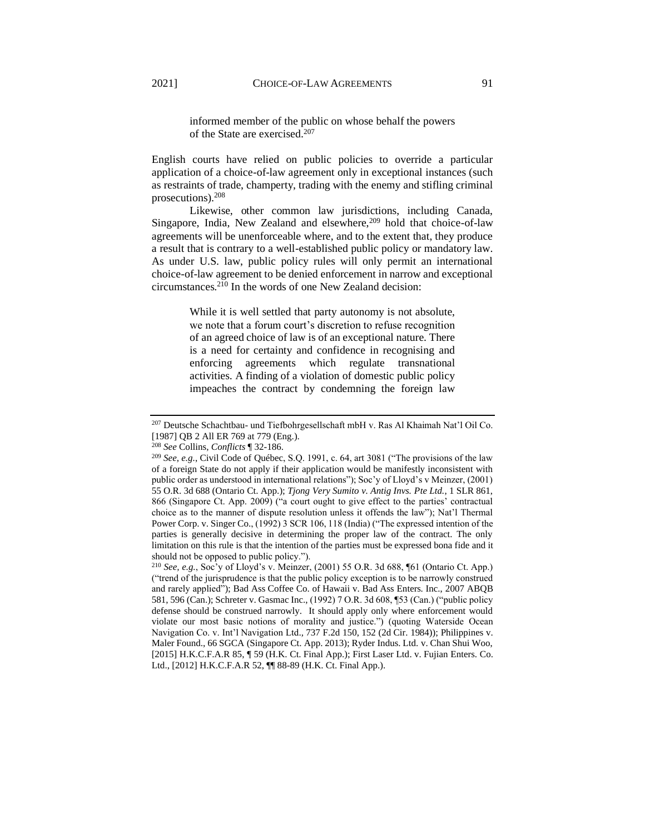informed member of the public on whose behalf the powers of the State are exercised.<sup>207</sup>

English courts have relied on public policies to override a particular application of a choice-of-law agreement only in exceptional instances (such as restraints of trade, champerty, trading with the enemy and stifling criminal prosecutions).<sup>208</sup>

Likewise, other common law jurisdictions, including Canada, Singapore, India, New Zealand and elsewhere,<sup>209</sup> hold that choice-of-law agreements will be unenforceable where, and to the extent that, they produce a result that is contrary to a well-established public policy or mandatory law. As under U.S. law, public policy rules will only permit an international choice-of-law agreement to be denied enforcement in narrow and exceptional circumstances.<sup>210</sup> In the words of one New Zealand decision:

> While it is well settled that party autonomy is not absolute, we note that a forum court's discretion to refuse recognition of an agreed choice of law is of an exceptional nature. There is a need for certainty and confidence in recognising and enforcing agreements which regulate transnational activities. A finding of a violation of domestic public policy impeaches the contract by condemning the foreign law

<sup>207</sup> Deutsche Schachtbau- und Tiefbohrgesellschaft mbH v. Ras Al Khaimah Nat'l Oil Co. [1987] OB 2 All ER 769 at 779 (Eng.).

<sup>208</sup> *See* Collins, *Conflicts* ¶ 32-186.

<sup>209</sup> *See*, *e.g.*, Civil Code of Québec, S.Q. 1991, c. 64, art 3081 ("The provisions of the law of a foreign State do not apply if their application would be manifestly inconsistent with public order as understood in international relations"); Soc'y of Lloyd's v Meinzer, (2001) 55 O.R. 3d 688 (Ontario Ct. App.); *Tjong Very Sumito v. Antig Invs. Pte Ltd.*, 1 SLR 861, 866 (Singapore Ct. App. 2009) ("a court ought to give effect to the parties' contractual choice as to the manner of dispute resolution unless it offends the law"); Nat'l Thermal Power Corp. v. Singer Co., (1992) 3 SCR 106, 118 (India) ("The expressed intention of the parties is generally decisive in determining the proper law of the contract. The only limitation on this rule is that the intention of the parties must be expressed bona fide and it should not be opposed to public policy.").

<sup>210</sup> *See, e.g.*, Soc'y of Lloyd's v. Meinzer, (2001) 55 O.R. 3d 688, ¶61 (Ontario Ct. App.) ("trend of the jurisprudence is that the public policy exception is to be narrowly construed and rarely applied"); Bad Ass Coffee Co. of Hawaii v. Bad Ass Enters. Inc., 2007 ABQB 581, 596 (Can.); Schreter v. Gasmac Inc., (1992) 7 O.R. 3d 608, ¶53 (Can.) ("public policy defense should be construed narrowly. It should apply only where enforcement would violate our most basic notions of morality and justice.") (quoting Waterside Ocean Navigation Co. v. Int'l Navigation Ltd.*,* 737 F.2d 150, 152 (2d Cir. 1984)); Philippines v. Maler Found., 66 SGCA (Singapore Ct. App. 2013); Ryder Indus. Ltd. v. Chan Shui Woo, [2015] H.K.C.F.A.R 85, ¶ 59 (H.K. Ct. Final App.); First Laser Ltd. v. Fujian Enters. Co. Ltd., [2012] H.K.C.F.A.R 52, ¶¶ 88-89 (H.K. Ct. Final App.).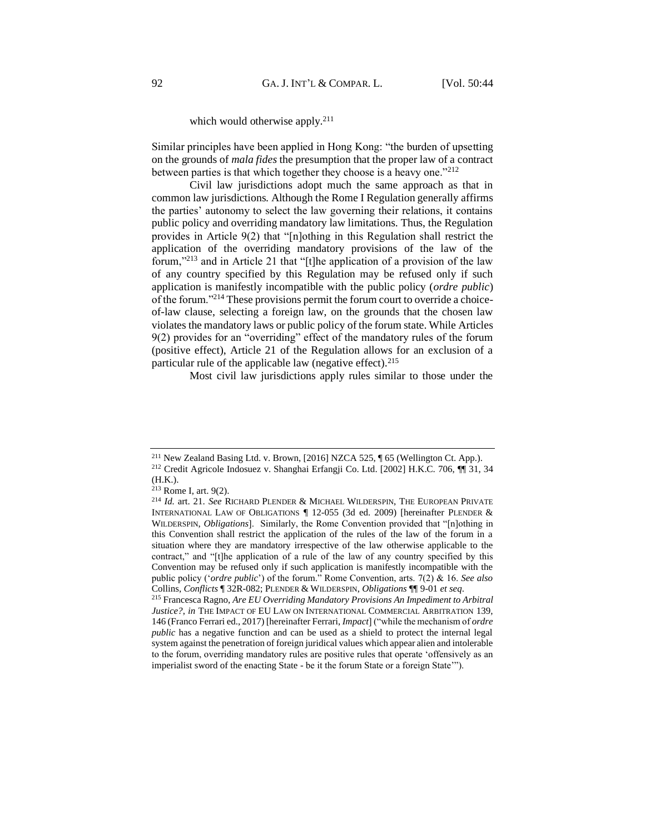## which would otherwise apply.<sup>211</sup>

Similar principles have been applied in Hong Kong: "the burden of upsetting on the grounds of *mala fides* the presumption that the proper law of a contract between parties is that which together they choose is a heavy one."<sup>212</sup>

Civil law jurisdictions adopt much the same approach as that in common law jurisdictions. Although the Rome I Regulation generally affirms the parties' autonomy to select the law governing their relations, it contains public policy and overriding mandatory law limitations. Thus, the Regulation provides in Article 9(2) that "[n]othing in this Regulation shall restrict the application of the overriding mandatory provisions of the law of the forum,"<sup>213</sup> and in Article 21 that "[t]he application of a provision of the law of any country specified by this Regulation may be refused only if such application is manifestly incompatible with the public policy (*ordre public*) of the forum."<sup>214</sup> These provisions permit the forum court to override a choiceof-law clause, selecting a foreign law, on the grounds that the chosen law violates the mandatory laws or public policy of the forum state. While Articles 9(2) provides for an "overriding" effect of the mandatory rules of the forum (positive effect), Article 21 of the Regulation allows for an exclusion of a particular rule of the applicable law (negative effect).  $215$ 

Most civil law jurisdictions apply rules similar to those under the

<sup>211</sup> New Zealand Basing Ltd. v. Brown, [2016] NZCA 525, ¶ 65 (Wellington Ct. App.). <sup>212</sup> Credit Agricole Indosuez v. Shanghai Erfangji Co. Ltd. [2002] H.K.C. 706, ¶¶ 31, 34 (H.K.).

<sup>213</sup> Rome I, art. 9(2).

<sup>214</sup> *Id.* art. 21. *See* RICHARD PLENDER & MICHAEL WILDERSPIN, THE EUROPEAN PRIVATE INTERNATIONAL LAW OF OBLIGATIONS ¶ 12-055 (3d ed. 2009) [hereinafter PLENDER & WILDERSPIN, *Obligations*]. Similarly, the Rome Convention provided that "[n]othing in this Convention shall restrict the application of the rules of the law of the forum in a situation where they are mandatory irrespective of the law otherwise applicable to the contract," and "[t]he application of a rule of the law of any country specified by this Convention may be refused only if such application is manifestly incompatible with the public policy ('*ordre public*') of the forum." Rome Convention, arts. 7(2) & 16. *See also* Collins, *Conflicts* ¶ 32R-082; PLENDER & WILDERSPIN, *Obligations* ¶¶ 9-01 *et seq*.

<sup>215</sup> Francesca Ragno, *Are EU Overriding Mandatory Provisions An Impediment to Arbitral Justice?*, *in* THE IMPACT OF EU LAW ON INTERNATIONAL COMMERCIAL ARBITRATION 139, 146 (Franco Ferrari ed., 2017) [hereinafter Ferrari, *Impact*] ("while the mechanism of *ordre public* has a negative function and can be used as a shield to protect the internal legal system against the penetration of foreign juridical values which appear alien and intolerable to the forum, overriding mandatory rules are positive rules that operate 'offensively as an imperialist sword of the enacting State - be it the forum State or a foreign State'").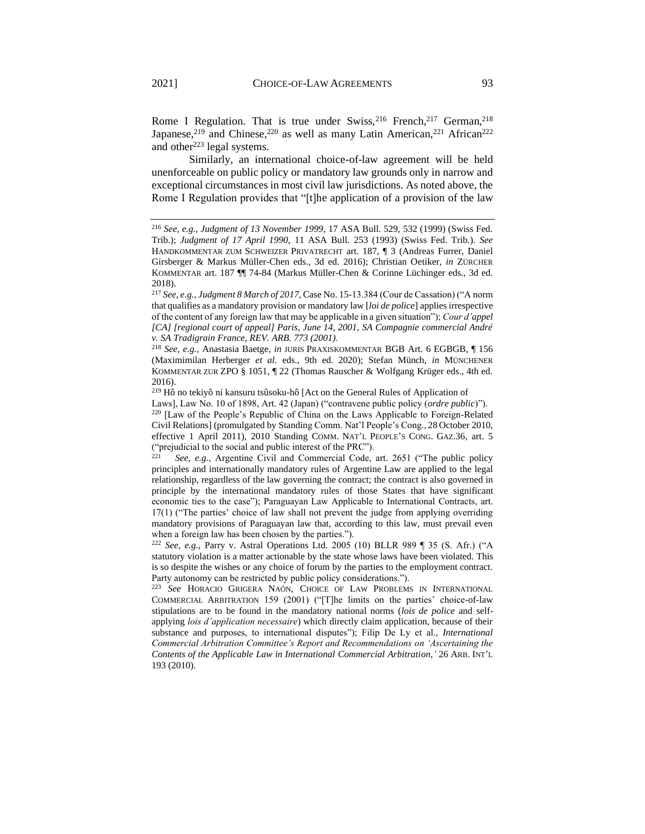Rome I Regulation. That is true under Swiss,  $2^{16}$  French,  $2^{17}$  German,  $2^{18}$ Japanese,<sup>219</sup> and Chinese,<sup>220</sup> as well as many Latin American,<sup>221</sup> African<sup>222</sup> and other<sup>223</sup> legal systems.

Similarly, an international choice-of-law agreement will be held unenforceable on public policy or mandatory law grounds only in narrow and exceptional circumstances in most civil law jurisdictions. As noted above, the Rome I Regulation provides that "[t]he application of a provision of the law

<sup>218</sup> *See, e.g.*, Anastasia Baetge, *in* JURIS PRAXISKOMMENTAR BGB Art. 6 EGBGB, ¶ 156 (Maximimilan Herberger *et al.* eds., 9th ed. 2020); Stefan Münch, *in* MÜNCHENER KOMMENTAR ZUR ZPO § 1051, ¶ 22 (Thomas Rauscher & Wolfgang Krüger eds., 4th ed. 2016).

<sup>219</sup> Hô no tekiyô ni kansuru tsûsoku-hô [Act on the General Rules of Application of

Laws], Law No. 10 of 1898, Art. 42 (Japan) ("contravene public policy (*ordre public*)").

<sup>220</sup> [Law of the People's Republic of China on the Laws Applicable to Foreign-Related Civil Relations] (promulgated by Standing Comm. Nat'l People's Cong., 28 October 2010, effective 1 April 2011), 2010 Standing COMM. NAT'L PEOPLE'S CONG. GAZ.36, art. 5 ("prejudicial to the social and public interest of the PRC").

See, e.g., Argentine Civil and Commercial Code, art. 2651 ("The public policy principles and internationally mandatory rules of Argentine Law are applied to the legal relationship, regardless of the law governing the contract; the contract is also governed in principle by the international mandatory rules of those States that have significant economic ties to the case"); Paraguayan Law Applicable to International Contracts, art. 17(1) ("The parties' choice of law shall not prevent the judge from applying overriding mandatory provisions of Paraguayan law that, according to this law, must prevail even when a foreign law has been chosen by the parties.").

<sup>222</sup> *See, e.g.*, Parry v. Astral Operations Ltd. 2005 (10) BLLR 989 ¶ 35 (S. Afr.) ("A statutory violation is a matter actionable by the state whose laws have been violated. This is so despite the wishes or any choice of forum by the parties to the employment contract. Party autonomy can be restricted by public policy considerations.").

<sup>223</sup> *See* HORACIO GRIGERA NAÓN, CHOICE OF LAW PROBLEMS IN INTERNATIONAL COMMERCIAL ARBITRATION 159 (2001) ("[T]he limits on the parties' choice-of-law stipulations are to be found in the mandatory national norms (*lois de police* and selfapplying *lois d'application necessaire*) which directly claim application, because of their substance and purposes, to international disputes"); Filip De Ly et al., *International Commercial Arbitration Committee's Report and Recommendations on 'Ascertaining the Contents of the Applicable Law in International Commercial Arbitration*,*'* 26 ARB. INT'L 193 (2010).

<sup>216</sup> *See, e.g.*, *Judgment of 13 November 1999*, 17 ASA Bull. 529, 532 (1999) (Swiss Fed. Trib.); *Judgment of 17 April 1990*, 11 ASA Bull. 253 (1993) (Swiss Fed. Trib.). *See* HANDKOMMENTAR ZUM SCHWEIZER PRIVATRECHT art. 187, ¶ 3 (Andreas Furrer, Daniel Girsberger & Markus Müller-Chen eds., 3d ed. 2016); Christian Oetiker, *in* ZÜRCHER KOMMENTAR art. 187 ¶¶ 74-84 (Markus Müller-Chen & Corinne Lüchinger eds., 3d ed. 2018).

<sup>217</sup> *See, e.g.*, *Judgment 8 March of 2017,* Case No. 15-13.384 (Cour de Cassation) ("A norm that qualifies as a mandatory provision or mandatory law [*loi de police*] applies irrespective of the content of any foreign law that may be applicable in a given situation"); *Cour d'appel [CA] [regional court of appeal] Paris, June 14, 2001, SA Compagnie commercial André v. SA Tradigrain France, REV. ARB. 773 (2001).*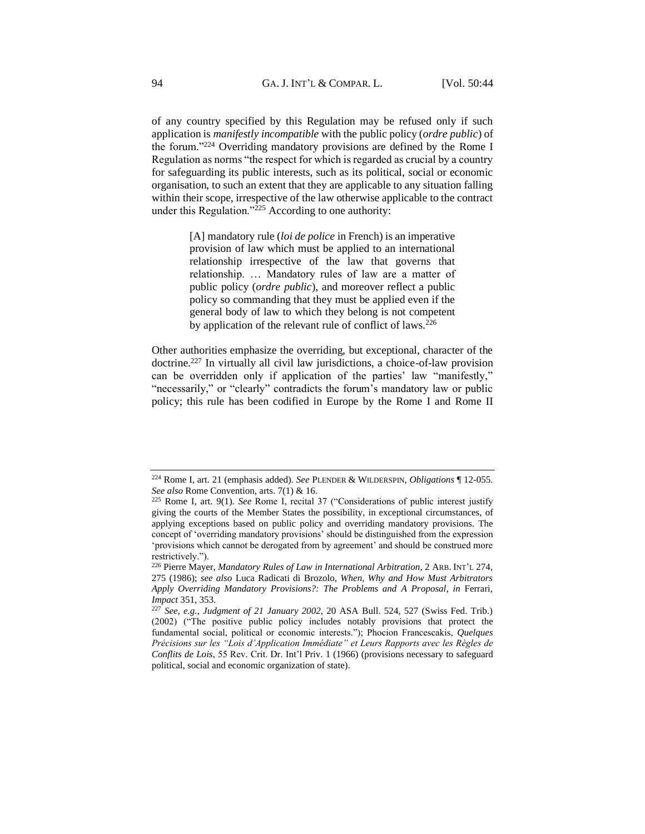of any country specified by this Regulation may be refused only if such application is *manifestly incompatible* with the public policy (*ordre public*) of the forum."<sup>224</sup> Overriding mandatory provisions are defined by the Rome I Regulation as norms "the respect for which is regarded as crucial by a country for safeguarding its public interests, such as its political, social or economic organisation, to such an extent that they are applicable to any situation falling within their scope, irrespective of the law otherwise applicable to the contract under this Regulation." $^{225}$  According to one authority:

> [A] mandatory rule (*loi de police* in French) is an imperative provision of law which must be applied to an international relationship irrespective of the law that governs that relationship. … Mandatory rules of law are a matter of public policy (*ordre public*), and moreover reflect a public policy so commanding that they must be applied even if the general body of law to which they belong is not competent by application of the relevant rule of conflict of laws.<sup>226</sup>

Other authorities emphasize the overriding, but exceptional, character of the doctrine.<sup>227</sup> In virtually all civil law jurisdictions, a choice-of-law provision can be overridden only if application of the parties' law "manifestly," "necessarily," or "clearly" contradicts the forum's mandatory law or public policy; this rule has been codified in Europe by the Rome I and Rome II

<sup>224</sup> Rome I, art. 21 (emphasis added). *See* PLENDER & WILDERSPIN, *Obligations* ¶ 12-055. *See also* Rome Convention, arts. 7(1) & 16.

<sup>225</sup> Rome I, art. 9(1). *See* Rome I, recital 37 ("Considerations of public interest justify giving the courts of the Member States the possibility, in exceptional circumstances, of applying exceptions based on public policy and overriding mandatory provisions. The concept of 'overriding mandatory provisions' should be distinguished from the expression 'provisions which cannot be derogated from by agreement' and should be construed more restrictively.").

<sup>226</sup> Pierre Mayer, *Mandatory Rules of Law in International Arbitration*, 2 ARB. INT'L 274, 275 (1986); *see also* Luca Radicati di Brozolo, *When, Why and How Must Arbitrators Apply Overriding Mandatory Provisions?: The Problems and A Proposal*, *in* Ferrari, *Impact* 351, 353.

<sup>227</sup> *See, e.g.*, *Judgment of 21 January 2002*, 20 ASA Bull. 524, 527 (Swiss Fed. Trib.) (2002) ("The positive public policy includes notably provisions that protect the fundamental social, political or economic interests."); Phocion Francescakis, *Quelques Précisions sur les "Lois d'Application Immédiate" et Leurs Rapports avec les Règles de Conflits de Lois*, 55 Rev. Crit. Dr. Int'l Priv. 1 (1966) (provisions necessary to safeguard political, social and economic organization of state).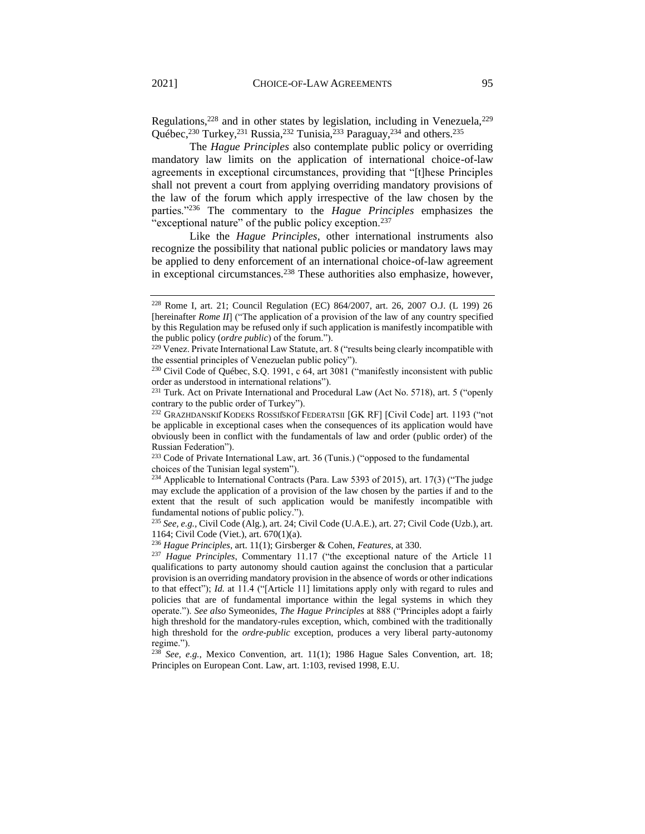Regulations,<sup>228</sup> and in other states by legislation, including in Venezuela,<sup>229</sup> Québec,<sup>230</sup> Turkey,<sup>231</sup> Russia,<sup>232</sup> Tunisia,<sup>233</sup> Paraguay,<sup>234</sup> and others.<sup>235</sup>

The *Hague Principles* also contemplate public policy or overriding mandatory law limits on the application of international choice-of-law agreements in exceptional circumstances, providing that "[t]hese Principles shall not prevent a court from applying overriding mandatory provisions of the law of the forum which apply irrespective of the law chosen by the parties."<sup>236</sup> The commentary to the *Hague Principles* emphasizes the "exceptional nature" of the public policy exception.<sup>237</sup>

Like the *Hague Principles*, other international instruments also recognize the possibility that national public policies or mandatory laws may be applied to deny enforcement of an international choice-of-law agreement in exceptional circumstances.<sup>238</sup> These authorities also emphasize, however,

<sup>233</sup> Code of Private International Law, art. 36 (Tunis.) ("opposed to the fundamental choices of the Tunisian legal system").

<sup>234</sup> Applicable to International Contracts (Para. Law 5393 of 2015), art. 17(3) ("The judge may exclude the application of a provision of the law chosen by the parties if and to the extent that the result of such application would be manifestly incompatible with fundamental notions of public policy.").

<sup>228</sup> Rome I, art. 21; Council Regulation (EC) 864/2007, art. 26, 2007 O.J. (L 199) 26 [hereinafter *Rome II*] ("The application of a provision of the law of any country specified by this Regulation may be refused only if such application is manifestly incompatible with the public policy (*ordre public*) of the forum.").

 $229$  Venez. Private International Law Statute, art. 8 ("results being clearly incompatible with the essential principles of Venezuelan public policy").

<sup>&</sup>lt;sup>230</sup> Civil Code of Québec, S.Q. 1991, c 64, art 3081 ("manifestly inconsistent with public order as understood in international relations").

<sup>&</sup>lt;sup>231</sup> Turk. Act on Private International and Procedural Law (Act No. 5718), art. 5 ("openly contrary to the public order of Turkey").

<sup>&</sup>lt;sup>232</sup> GRAZHDANSKIĬKODEKS ROSSIIŠKOĬFEDERATSII [GK RF] [Civil Code] art. 1193 ("not be applicable in exceptional cases when the consequences of its application would have obviously been in conflict with the fundamentals of law and order (public order) of the Russian Federation").

<sup>235</sup> *See, e.g.,* Civil Code (Alg.), art. 24; Civil Code (U.A.E.), art. 27; Civil Code (Uzb.), art. 1164; Civil Code (Viet.), art. 670(1)(a).

<sup>236</sup> *Hague Principles*, art. 11(1); Girsberger & Cohen, *Features*, at 330.

<sup>237</sup> *Hague Principles*, Commentary 11.17 ("the exceptional nature of the Article 11 qualifications to party autonomy should caution against the conclusion that a particular provision is an overriding mandatory provision in the absence of words or other indications to that effect"); *Id.* at 11.4 ("[Article 11] limitations apply only with regard to rules and policies that are of fundamental importance within the legal systems in which they operate."). *See also* Symeonides, *The Hague Principles* at 888 ("Principles adopt a fairly high threshold for the mandatory-rules exception, which, combined with the traditionally high threshold for the *ordre-public* exception, produces a very liberal party-autonomy regime.").

<sup>238</sup> *See, e.g.*, Mexico Convention, art. 11(1); 1986 Hague Sales Convention, art. 18; Principles on European Cont. Law, art. 1:103, revised 1998, E.U.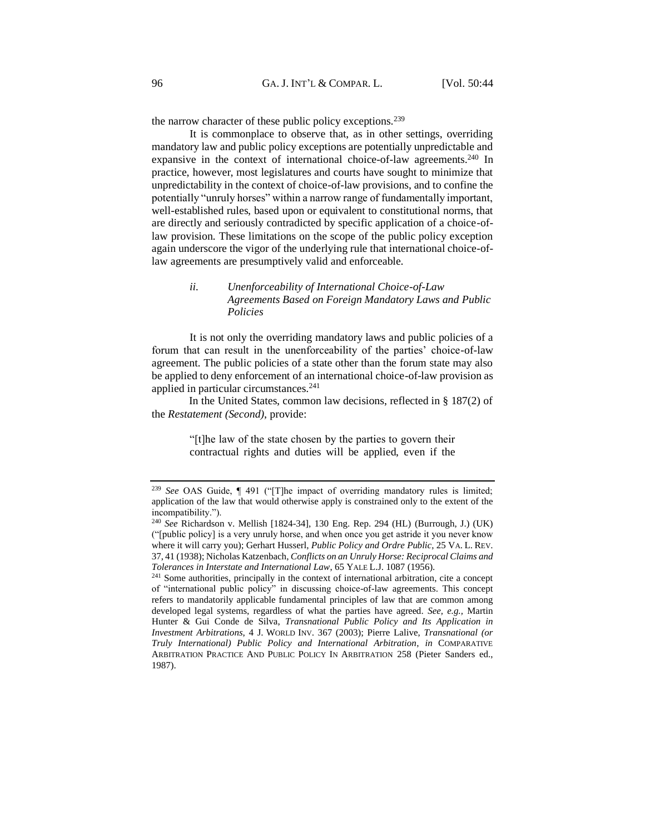the narrow character of these public policy exceptions.<sup>239</sup>

It is commonplace to observe that, as in other settings, overriding mandatory law and public policy exceptions are potentially unpredictable and expansive in the context of international choice-of-law agreements.<sup>240</sup> In practice, however, most legislatures and courts have sought to minimize that unpredictability in the context of choice-of-law provisions, and to confine the potentially "unruly horses" within a narrow range of fundamentally important, well-established rules, based upon or equivalent to constitutional norms, that are directly and seriously contradicted by specific application of a choice-oflaw provision. These limitations on the scope of the public policy exception again underscore the vigor of the underlying rule that international choice-oflaw agreements are presumptively valid and enforceable.

# *ii. Unenforceability of International Choice-of-Law Agreements Based on Foreign Mandatory Laws and Public Policies*

It is not only the overriding mandatory laws and public policies of a forum that can result in the unenforceability of the parties' choice-of-law agreement. The public policies of a state other than the forum state may also be applied to deny enforcement of an international choice-of-law provision as applied in particular circumstances.<sup>241</sup>

In the United States, common law decisions, reflected in § 187(2) of the *Restatement (Second)*, provide:

> "[t]he law of the state chosen by the parties to govern their contractual rights and duties will be applied, even if the

<sup>239</sup> *See* OAS Guide, ¶ 491 ("[T]he impact of overriding mandatory rules is limited; application of the law that would otherwise apply is constrained only to the extent of the incompatibility.").

<sup>240</sup> *See* Richardson v. Mellish [1824-34], 130 Eng. Rep. 294 (HL) (Burrough, J.) (UK) ("[public policy] is a very unruly horse, and when once you get astride it you never know where it will carry you); Gerhart Husserl, *Public Policy and Ordre Public*, 25 VA. L. REV. 37, 41 (1938); Nicholas Katzenbach, *Conflicts on an Unruly Horse: Reciprocal Claims and Tolerances in Interstate and International Law*, 65 YALE L.J. 1087 (1956).

<sup>&</sup>lt;sup>241</sup> Some authorities, principally in the context of international arbitration, cite a concept of "international public policy" in discussing choice-of-law agreements. This concept refers to mandatorily applicable fundamental principles of law that are common among developed legal systems, regardless of what the parties have agreed. *See, e.g.,* Martin Hunter & Gui Conde de Silva, *Transnational Public Policy and Its Application in Investment Arbitrations*, 4 J. WORLD INV. 367 (2003); Pierre Lalive, *Transnational (or Truly International) Public Policy and International Arbitration*, *in* COMPARATIVE ARBITRATION PRACTICE AND PUBLIC POLICY IN ARBITRATION 258 (Pieter Sanders ed., 1987).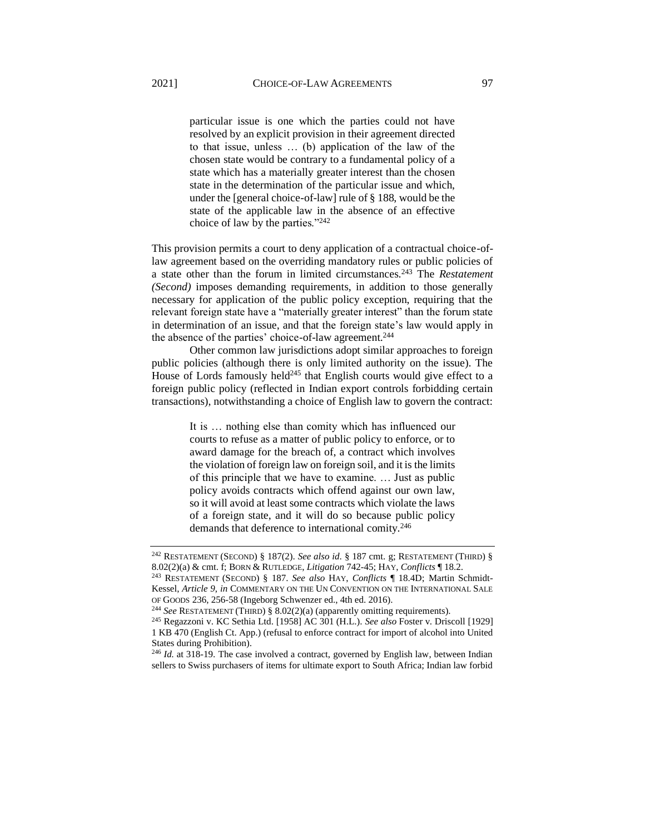particular issue is one which the parties could not have resolved by an explicit provision in their agreement directed to that issue, unless … (b) application of the law of the chosen state would be contrary to a fundamental policy of a state which has a materially greater interest than the chosen state in the determination of the particular issue and which, under the [general choice-of-law] rule of § 188, would be the state of the applicable law in the absence of an effective choice of law by the parties."<sup>242</sup>

This provision permits a court to deny application of a contractual choice-oflaw agreement based on the overriding mandatory rules or public policies of a state other than the forum in limited circumstances.<sup>243</sup> The *Restatement (Second)* imposes demanding requirements, in addition to those generally necessary for application of the public policy exception, requiring that the relevant foreign state have a "materially greater interest" than the forum state in determination of an issue, and that the foreign state's law would apply in the absence of the parties' choice-of-law agreement.<sup>244</sup>

Other common law jurisdictions adopt similar approaches to foreign public policies (although there is only limited authority on the issue). The House of Lords famously held<sup>245</sup> that English courts would give effect to a foreign public policy (reflected in Indian export controls forbidding certain transactions), notwithstanding a choice of English law to govern the contract:

> It is … nothing else than comity which has influenced our courts to refuse as a matter of public policy to enforce, or to award damage for the breach of, a contract which involves the violation of foreign law on foreign soil, and it is the limits of this principle that we have to examine. … Just as public policy avoids contracts which offend against our own law, so it will avoid at least some contracts which violate the laws of a foreign state, and it will do so because public policy demands that deference to international comity.<sup>246</sup>

<sup>242</sup> RESTATEMENT (SECOND) § 187(2). *See also id*. § 187 cmt. g; RESTATEMENT (THIRD) § 8.02(2)(a) & cmt. f; BORN & RUTLEDGE, *Litigation* 742-45; HAY, *Conflicts* ¶ 18.2.

<sup>243</sup> RESTATEMENT (SECOND) § 187. *See also* HAY, *Conflicts* ¶ 18.4D; Martin Schmidt-Kessel, *Article 9*, *in* COMMENTARY ON THE UN CONVENTION ON THE INTERNATIONAL SALE OF GOODS 236, 256-58 (Ingeborg Schwenzer ed., 4th ed. 2016).

<sup>244</sup> *See* RESTATEMENT (THIRD) § 8.02(2)(a) (apparently omitting requirements).

<sup>245</sup> Regazzoni v. KC Sethia Ltd. [1958] AC 301 (H.L.). *See also* Foster v. Driscoll [1929] 1 KB 470 (English Ct. App.) (refusal to enforce contract for import of alcohol into United States during Prohibition).

<sup>&</sup>lt;sup>246</sup> *Id.* at 318-19. The case involved a contract, governed by English law, between Indian sellers to Swiss purchasers of items for ultimate export to South Africa; Indian law forbid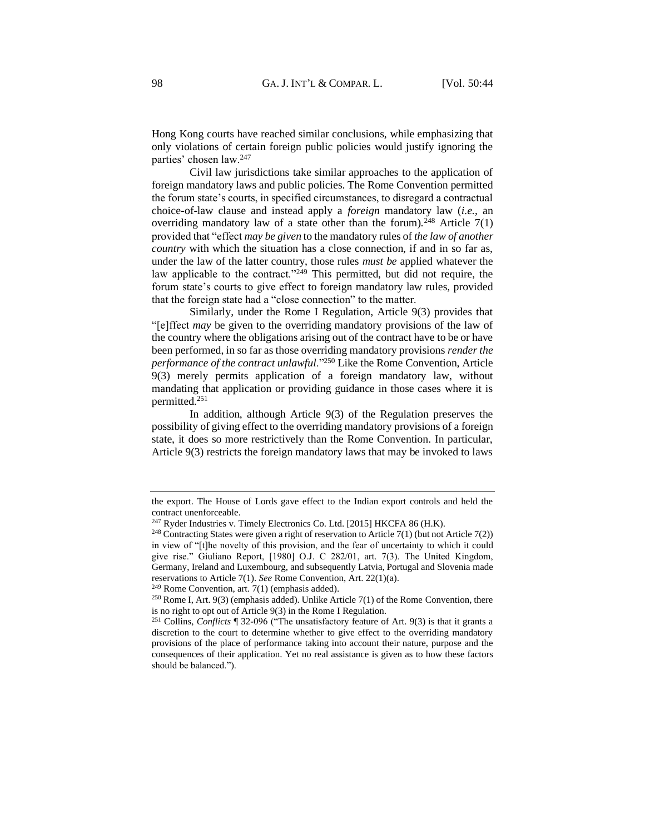Hong Kong courts have reached similar conclusions, while emphasizing that only violations of certain foreign public policies would justify ignoring the parties' chosen law.<sup>247</sup>

Civil law jurisdictions take similar approaches to the application of foreign mandatory laws and public policies. The Rome Convention permitted the forum state's courts, in specified circumstances, to disregard a contractual choice-of-law clause and instead apply a *foreign* mandatory law (*i.e.*, an overriding mandatory law of a state other than the forum).<sup>248</sup> Article  $7(1)$ provided that "effect *may be given* to the mandatory rules of *the law of another country* with which the situation has a close connection, if and in so far as, under the law of the latter country, those rules *must be* applied whatever the law applicable to the contract."<sup>249</sup> This permitted, but did not require, the forum state's courts to give effect to foreign mandatory law rules, provided that the foreign state had a "close connection" to the matter.

Similarly, under the Rome I Regulation, Article 9(3) provides that "[e]ffect *may* be given to the overriding mandatory provisions of the law of the country where the obligations arising out of the contract have to be or have been performed, in so far as those overriding mandatory provisions *render the performance of the contract unlawful*."<sup>250</sup> Like the Rome Convention, Article 9(3) merely permits application of a foreign mandatory law, without mandating that application or providing guidance in those cases where it is permitted.<sup>251</sup>

In addition, although Article 9(3) of the Regulation preserves the possibility of giving effect to the overriding mandatory provisions of a foreign state, it does so more restrictively than the Rome Convention. In particular, Article 9(3) restricts the foreign mandatory laws that may be invoked to laws

 $249$  Rome Convention, art. 7(1) (emphasis added).

the export. The House of Lords gave effect to the Indian export controls and held the contract unenforceable.

 $247$  Ryder Industries v. Timely Electronics Co. Ltd. [2015] HKCFA 86 (H.K).

<sup>&</sup>lt;sup>248</sup> Contracting States were given a right of reservation to Article 7(1) (but not Article 7(2)) in view of "[t]he novelty of this provision, and the fear of uncertainty to which it could give rise." Giuliano Report, [1980] O.J. C 282/01, art. 7(3). The United Kingdom, Germany, Ireland and Luxembourg, and subsequently Latvia, Portugal and Slovenia made reservations to Article 7(1). *See* Rome Convention, Art. 22(1)(a).

<sup>&</sup>lt;sup>250</sup> Rome I, Art. 9(3) (emphasis added). Unlike Article 7(1) of the Rome Convention, there is no right to opt out of Article 9(3) in the Rome I Regulation.

<sup>251</sup> Collins, *Conflicts* ¶ 32-096 ("The unsatisfactory feature of Art. 9(3) is that it grants a discretion to the court to determine whether to give effect to the overriding mandatory provisions of the place of performance taking into account their nature, purpose and the consequences of their application. Yet no real assistance is given as to how these factors should be balanced.").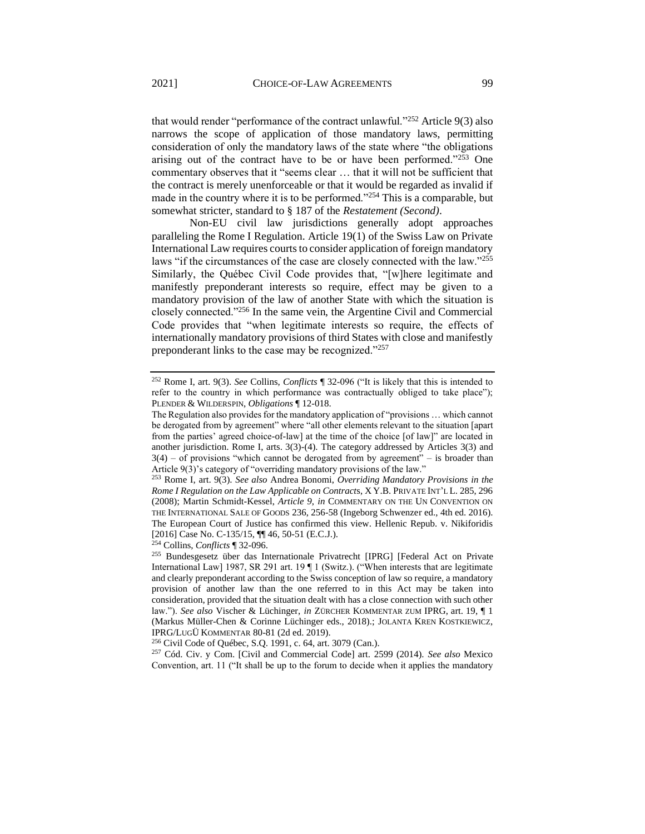that would render "performance of the contract unlawful."<sup>252</sup> Article 9(3) also narrows the scope of application of those mandatory laws, permitting consideration of only the mandatory laws of the state where "the obligations arising out of the contract have to be or have been performed."253 One commentary observes that it "seems clear … that it will not be sufficient that the contract is merely unenforceable or that it would be regarded as invalid if made in the country where it is to be performed."<sup>254</sup> This is a comparable, but somewhat stricter, standard to § 187 of the *Restatement (Second)*.

Non-EU civil law jurisdictions generally adopt approaches paralleling the Rome I Regulation. Article 19(1) of the Swiss Law on Private International Law requires courts to consider application of foreign mandatory laws "if the circumstances of the case are closely connected with the law."255 Similarly, the Québec Civil Code provides that, "[w]here legitimate and manifestly preponderant interests so require, effect may be given to a mandatory provision of the law of another State with which the situation is closely connected."<sup>256</sup> In the same vein, the Argentine Civil and Commercial Code provides that "when legitimate interests so require, the effects of internationally mandatory provisions of third States with close and manifestly preponderant links to the case may be recognized."<sup>257</sup>

<sup>254</sup> Collins, *Conflicts* ¶ 32-096.

<sup>257</sup> Cód. Civ. y Com. [Civil and Commercial Code] art. 2599 (2014). *See also* Mexico Convention, art. 11 ("It shall be up to the forum to decide when it applies the mandatory

<sup>252</sup> Rome I, art. 9(3). *See* Collins, *Conflicts* ¶ 32-096 ("It is likely that this is intended to refer to the country in which performance was contractually obliged to take place"); PLENDER & WILDERSPIN, *Obligations* ¶ 12-018.

The Regulation also provides for the mandatory application of "provisions … which cannot be derogated from by agreement" where "all other elements relevant to the situation [apart from the parties' agreed choice-of-law] at the time of the choice [of law]" are located in another jurisdiction. Rome I, arts. 3(3)-(4). The category addressed by Articles 3(3) and  $3(4)$  – of provisions "which cannot be derogated from by agreement" – is broader than Article 9(3)'s category of "overriding mandatory provisions of the law."

<sup>253</sup> Rome I, art. 9(3). *See also* Andrea Bonomi, *Overriding Mandatory Provisions in the Rome I Regulation on the Law Applicable on Contract*s, X Y.B. PRIVATE INT'L L. 285, 296 (2008); Martin Schmidt-Kessel, *Article 9*, *in* COMMENTARY ON THE UN CONVENTION ON THE INTERNATIONAL SALE OF GOODS 236, 256-58 (Ingeborg Schwenzer ed., 4th ed. 2016). The European Court of Justice has confirmed this view. Hellenic Repub. v. Nikiforidis [2016] Case No. C-135/15, ¶¶ 46, 50-51 (E.C.J.).

<sup>255</sup> Bundesgesetz über das Internationale Privatrecht [IPRG] [Federal Act on Private International Law] 1987, SR 291 art. 19 ¶ 1 (Switz.). ("When interests that are legitimate and clearly preponderant according to the Swiss conception of law so require, a mandatory provision of another law than the one referred to in this Act may be taken into consideration, provided that the situation dealt with has a close connection with such other law."). *See also* Vischer & Lüchinger, *in* ZÜRCHER KOMMENTAR ZUM IPRG, art. 19, ¶ 1 (Markus Müller-Chen & Corinne Lüchinger eds., 2018).; JOLANTA KREN KOSTKIEWICZ, IPRG/LUGÜ KOMMENTAR 80-81 (2d ed. 2019).

<sup>256</sup> Civil Code of Québec, S.Q. 1991, c. 64, art. 3079 (Can.).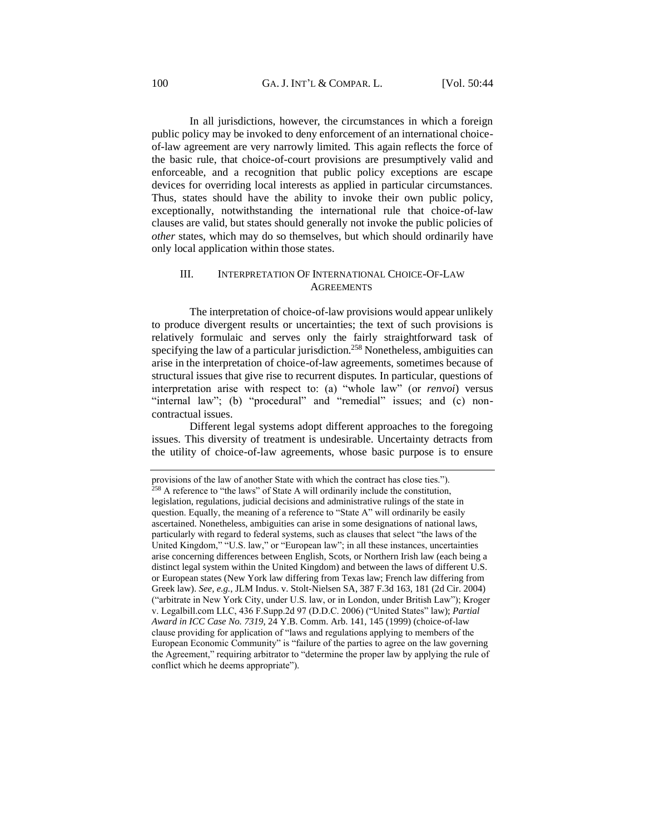In all jurisdictions, however, the circumstances in which a foreign public policy may be invoked to deny enforcement of an international choiceof-law agreement are very narrowly limited. This again reflects the force of the basic rule, that choice-of-court provisions are presumptively valid and enforceable, and a recognition that public policy exceptions are escape devices for overriding local interests as applied in particular circumstances. Thus, states should have the ability to invoke their own public policy, exceptionally, notwithstanding the international rule that choice-of-law clauses are valid, but states should generally not invoke the public policies of *other* states, which may do so themselves, but which should ordinarily have only local application within those states.

## III. INTERPRETATION OF INTERNATIONAL CHOICE-OF-LAW **AGREEMENTS**

The interpretation of choice-of-law provisions would appear unlikely to produce divergent results or uncertainties; the text of such provisions is relatively formulaic and serves only the fairly straightforward task of specifying the law of a particular jurisdiction.<sup>258</sup> Nonetheless, ambiguities can arise in the interpretation of choice-of-law agreements, sometimes because of structural issues that give rise to recurrent disputes. In particular, questions of interpretation arise with respect to: (a) "whole law" (or *renvoi*) versus "internal law"; (b) "procedural" and "remedial" issues; and (c) noncontractual issues.

Different legal systems adopt different approaches to the foregoing issues. This diversity of treatment is undesirable. Uncertainty detracts from the utility of choice-of-law agreements, whose basic purpose is to ensure

provisions of the law of another State with which the contract has close ties.").  $258$  A reference to "the laws" of State A will ordinarily include the constitution, legislation, regulations, judicial decisions and administrative rulings of the state in question. Equally, the meaning of a reference to "State A" will ordinarily be easily ascertained. Nonetheless, ambiguities can arise in some designations of national laws, particularly with regard to federal systems, such as clauses that select "the laws of the United Kingdom," "U.S. law," or "European law"; in all these instances, uncertainties arise concerning differences between English, Scots, or Northern Irish law (each being a distinct legal system within the United Kingdom) and between the laws of different U.S. or European states (New York law differing from Texas law; French law differing from Greek law). *See, e.g.*, JLM Indus. v. Stolt-Nielsen SA, 387 F.3d 163, 181 (2d Cir. 2004) ("arbitrate in New York City, under U.S. law, or in London, under British Law"); Kroger v. Legalbill.com LLC, 436 F.Supp.2d 97 (D.D.C. 2006) ("United States" law); *Partial Award in ICC Case No. 7319*, 24 Y.B. Comm. Arb. 141, 145 (1999) (choice-of-law clause providing for application of "laws and regulations applying to members of the European Economic Community" is "failure of the parties to agree on the law governing the Agreement," requiring arbitrator to "determine the proper law by applying the rule of conflict which he deems appropriate").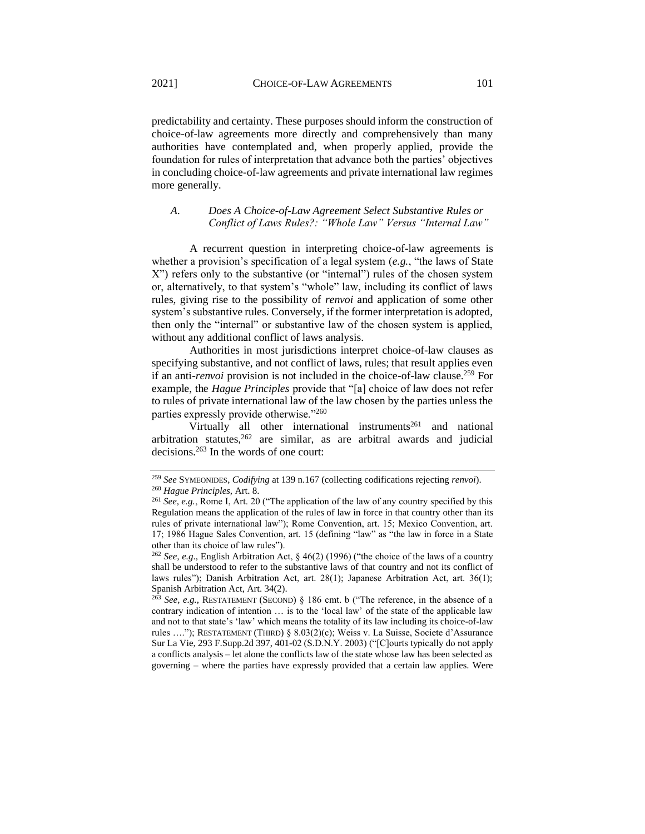predictability and certainty. These purposes should inform the construction of choice-of-law agreements more directly and comprehensively than many authorities have contemplated and, when properly applied, provide the foundation for rules of interpretation that advance both the parties' objectives in concluding choice-of-law agreements and private international law regimes more generally.

# *A. Does A Choice-of-Law Agreement Select Substantive Rules or Conflict of Laws Rules?: "Whole Law" Versus "Internal Law"*

A recurrent question in interpreting choice-of-law agreements is whether a provision's specification of a legal system (*e.g.*, "the laws of State X") refers only to the substantive (or "internal") rules of the chosen system or, alternatively, to that system's "whole" law, including its conflict of laws rules, giving rise to the possibility of *renvoi* and application of some other system's substantive rules. Conversely, if the former interpretation is adopted, then only the "internal" or substantive law of the chosen system is applied, without any additional conflict of laws analysis.

Authorities in most jurisdictions interpret choice-of-law clauses as specifying substantive, and not conflict of laws, rules; that result applies even if an anti-*renvoi* provision is not included in the choice-of-law clause.<sup>259</sup> For example, the *Hague Principles* provide that "[a] choice of law does not refer to rules of private international law of the law chosen by the parties unless the parties expressly provide otherwise."<sup>260</sup>

Virtually all other international instruments<sup>261</sup> and national arbitration statutes, $262$  are similar, as are arbitral awards and judicial decisions. <sup>263</sup> In the words of one court:

<sup>259</sup> *See* SYMEONIDES, *Codifying* at 139 n.167 (collecting codifications rejecting *renvoi*).

<sup>260</sup> *Hague Principles,* Art. 8.

<sup>261</sup> *See, e.g.*, Rome I, Art. 20 ("The application of the law of any country specified by this Regulation means the application of the rules of law in force in that country other than its rules of private international law"); Rome Convention, art. 15; Mexico Convention, art. 17; 1986 Hague Sales Convention, art. 15 (defining "law" as "the law in force in a State other than its choice of law rules").

<sup>262</sup> *See, e.g*., English Arbitration Act, § 46(2) (1996) ("the choice of the laws of a country shall be understood to refer to the substantive laws of that country and not its conflict of laws rules"); Danish Arbitration Act, art. 28(1); Japanese Arbitration Act, art. 36(1); Spanish Arbitration Act, Art. 34(2).

<sup>263</sup> *See, e.g.*, RESTATEMENT (SECOND) § 186 cmt. b ("The reference, in the absence of a contrary indication of intention … is to the 'local law' of the state of the applicable law and not to that state's 'law' which means the totality of its law including its choice-of-law rules …."); RESTATEMENT (THIRD) § 8.03(2)(c); Weiss v. La Suisse, Societe d'Assurance Sur La Vie, 293 F.Supp.2d 397, 401-02 (S.D.N.Y. 2003) ("[C]ourts typically do not apply a conflicts analysis – let alone the conflicts law of the state whose law has been selected as governing – where the parties have expressly provided that a certain law applies. Were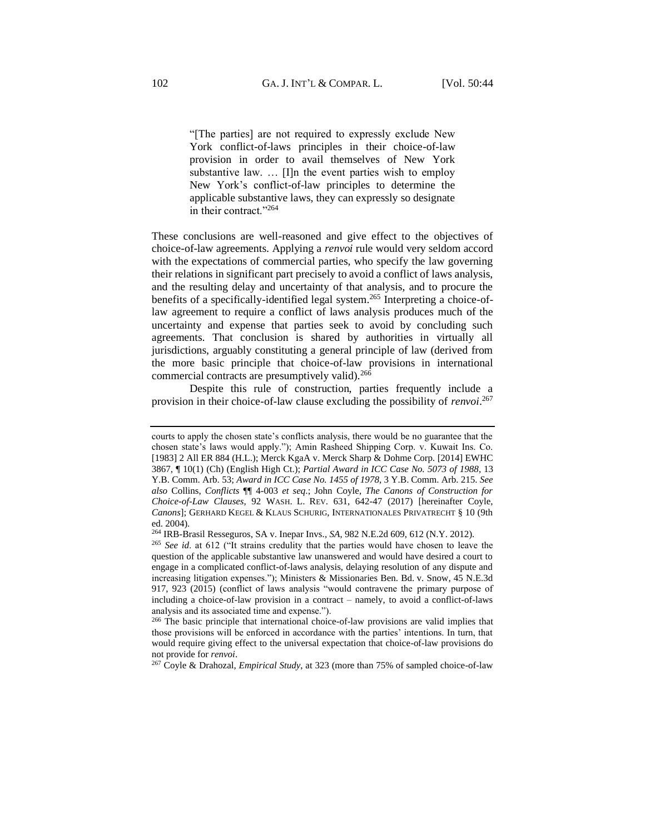"[The parties] are not required to expressly exclude New York conflict-of-laws principles in their choice-of-law provision in order to avail themselves of New York substantive law. … [I]n the event parties wish to employ New York's conflict-of-law principles to determine the applicable substantive laws, they can expressly so designate in their contract."<sup>264</sup>

These conclusions are well-reasoned and give effect to the objectives of choice-of-law agreements. Applying a *renvoi* rule would very seldom accord with the expectations of commercial parties, who specify the law governing their relations in significant part precisely to avoid a conflict of laws analysis, and the resulting delay and uncertainty of that analysis, and to procure the benefits of a specifically-identified legal system.<sup>265</sup> Interpreting a choice-oflaw agreement to require a conflict of laws analysis produces much of the uncertainty and expense that parties seek to avoid by concluding such agreements. That conclusion is shared by authorities in virtually all jurisdictions, arguably constituting a general principle of law (derived from the more basic principle that choice-of-law provisions in international commercial contracts are presumptively valid).<sup>266</sup>

Despite this rule of construction, parties frequently include a provision in their choice-of-law clause excluding the possibility of *renvoi*. 267

<sup>267</sup> Coyle & Drahozal, *Empirical Study*, at 323 (more than 75% of sampled choice-of-law

courts to apply the chosen state's conflicts analysis, there would be no guarantee that the chosen state's laws would apply."); Amin Rasheed Shipping Corp. v. Kuwait Ins. Co. [1983] 2 All ER 884 (H.L.); Merck KgaA v. Merck Sharp & Dohme Corp*.* [2014] EWHC 3867, ¶ 10(1) (Ch) (English High Ct.); *Partial Award in ICC Case No. 5073 of 1988*, 13 Y.B. Comm. Arb. 53; *Award in ICC Case No. 1455 of 1978*, 3 Y.B. Comm. Arb. 215. *See also* Collins, *Conflicts* ¶¶ 4-003 *et seq*.; John Coyle, *The Canons of Construction for Choice-of-Law Clauses*, 92 WASH. L. REV. 631, 642-47 (2017) [hereinafter Coyle, *Canons*]; GERHARD KEGEL & KLAUS SCHURIG, INTERNATIONALES PRIVATRECHT § 10 (9th ed. 2004).

<sup>264</sup> IRB-Brasil Resseguros, SA v. Inepar Invs.*, SA*, 982 N.E.2d 609, 612 (N.Y. 2012).

<sup>265</sup> *See id*. at 612 ("It strains credulity that the parties would have chosen to leave the question of the applicable substantive law unanswered and would have desired a court to engage in a complicated conflict-of-laws analysis, delaying resolution of any dispute and increasing litigation expenses."); Ministers & Missionaries Ben. Bd. v. Snow, 45 N.E.3d 917, 923 (2015) (conflict of laws analysis "would contravene the primary purpose of including a choice-of-law provision in a contract – namely, to avoid a conflict-of-laws analysis and its associated time and expense.").

<sup>266</sup> The basic principle that international choice-of-law provisions are valid implies that those provisions will be enforced in accordance with the parties' intentions. In turn, that would require giving effect to the universal expectation that choice-of-law provisions do not provide for *renvoi*.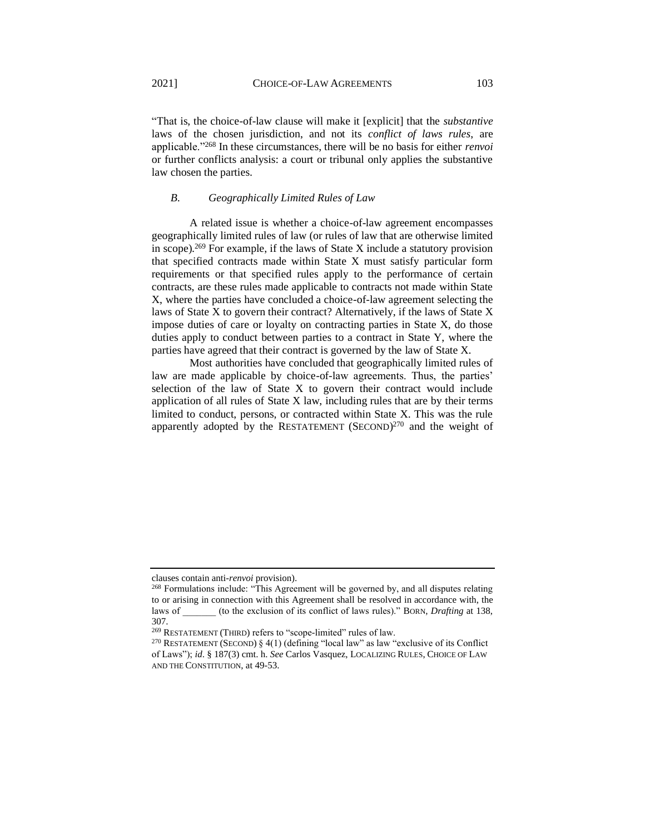"That is, the choice-of-law clause will make it [explicit] that the *substantive* laws of the chosen jurisdiction, and not its *conflict of laws rules*, are applicable."<sup>268</sup> In these circumstances, there will be no basis for either *renvoi* or further conflicts analysis: a court or tribunal only applies the substantive law chosen the parties.

#### *B. Geographically Limited Rules of Law*

A related issue is whether a choice-of-law agreement encompasses geographically limited rules of law (or rules of law that are otherwise limited in scope).<sup>269</sup> For example, if the laws of State X include a statutory provision that specified contracts made within State X must satisfy particular form requirements or that specified rules apply to the performance of certain contracts, are these rules made applicable to contracts not made within State X, where the parties have concluded a choice-of-law agreement selecting the laws of State X to govern their contract? Alternatively, if the laws of State X impose duties of care or loyalty on contracting parties in State X, do those duties apply to conduct between parties to a contract in State Y, where the parties have agreed that their contract is governed by the law of State X.

Most authorities have concluded that geographically limited rules of law are made applicable by choice-of-law agreements. Thus, the parties' selection of the law of State X to govern their contract would include application of all rules of State X law, including rules that are by their terms limited to conduct, persons, or contracted within State X. This was the rule apparently adopted by the RESTATEMENT (SECOND) $^{270}$  and the weight of

clauses contain anti-*renvoi* provision).

<sup>268</sup> Formulations include: "This Agreement will be governed by, and all disputes relating to or arising in connection with this Agreement shall be resolved in accordance with, the laws of \_\_\_\_\_\_\_ (to the exclusion of its conflict of laws rules)." BORN, *Drafting* at 138, 307.

<sup>269</sup> RESTATEMENT (THIRD) refers to "scope-limited" rules of law.

<sup>270</sup> RESTATEMENT (SECOND) § 4(1) (defining "local law" as law "exclusive of its Conflict of Laws"); *id*. § 187(3) cmt. h. *See* Carlos Vasquez, LOCALIZING RULES, CHOICE OF LAW AND THE CONSTITUTION, at 49-53.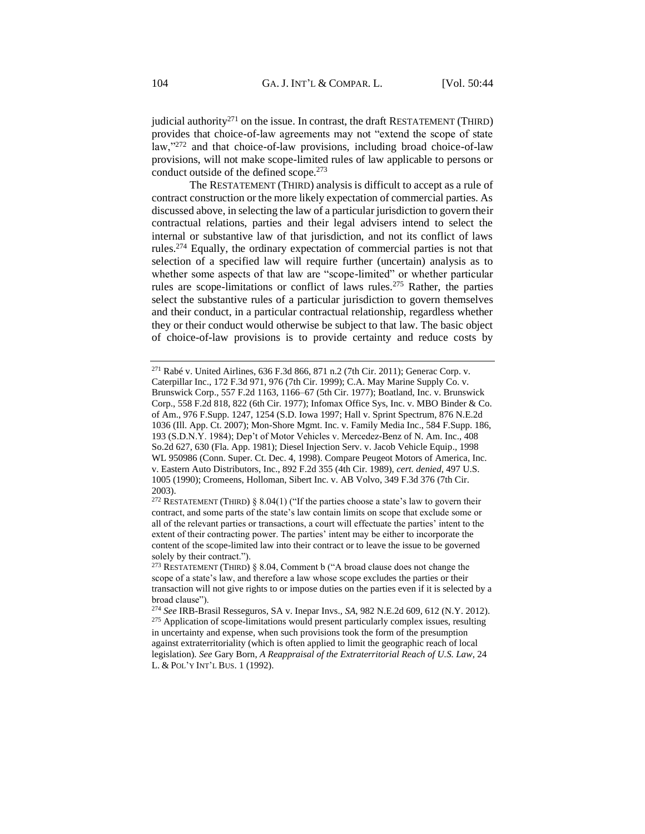judicial authority<sup>271</sup> on the issue. In contrast, the draft RESTATEMENT (THIRD) provides that choice-of-law agreements may not "extend the scope of state law,"<sup>272</sup> and that choice-of-law provisions, including broad choice-of-law provisions, will not make scope-limited rules of law applicable to persons or conduct outside of the defined scope.<sup>273</sup>

The RESTATEMENT (THIRD) analysis is difficult to accept as a rule of contract construction or the more likely expectation of commercial parties. As discussed above, in selecting the law of a particular jurisdiction to govern their contractual relations, parties and their legal advisers intend to select the internal or substantive law of that jurisdiction, and not its conflict of laws rules.<sup>274</sup> Equally, the ordinary expectation of commercial parties is not that selection of a specified law will require further (uncertain) analysis as to whether some aspects of that law are "scope-limited" or whether particular rules are scope-limitations or conflict of laws rules.<sup>275</sup> Rather, the parties select the substantive rules of a particular jurisdiction to govern themselves and their conduct, in a particular contractual relationship, regardless whether they or their conduct would otherwise be subject to that law. The basic object of choice-of-law provisions is to provide certainty and reduce costs by

<sup>271</sup> Rabé v. United Airlines, 636 F.3d 866, 871 n.2 (7th Cir. 2011); Generac Corp. v. Caterpillar Inc., 172 F.3d 971, 976 (7th Cir. 1999); C.A. May Marine Supply Co. v. Brunswick Corp., 557 F.2d 1163, 1166–67 (5th Cir. 1977); Boatland, Inc. v. Brunswick Corp., 558 F.2d 818, 822 (6th Cir. 1977); Infomax Office Sys, Inc. v. MBO Binder & Co. of Am., 976 F.Supp. 1247, 1254 (S.D. Iowa 1997; Hall v. Sprint Spectrum, 876 N.E.2d 1036 (Ill. App. Ct. 2007); Mon-Shore Mgmt. Inc. v. Family Media Inc., 584 F.Supp. 186, 193 (S.D.N.Y. 1984); Dep't of Motor Vehicles v. Mercedez-Benz of N. Am. Inc., 408 So.2d 627, 630 (Fla. App. 1981); Diesel Injection Serv. v. Jacob Vehicle Equip., 1998 WL 950986 (Conn. Super. Ct. Dec. 4, 1998). Compare Peugeot Motors of America, Inc. v. Eastern Auto Distributors, Inc., 892 F.2d 355 (4th Cir. 1989), *cert. denied*, 497 U.S. 1005 (1990); Cromeens, Holloman, Sibert Inc. v. AB Volvo, 349 F.3d 376 (7th Cir. 2003).

<sup>&</sup>lt;sup>272</sup> RESTATEMENT (THIRD) § 8.04(1) ("If the parties choose a state's law to govern their contract, and some parts of the state's law contain limits on scope that exclude some or all of the relevant parties or transactions, a court will effectuate the parties' intent to the extent of their contracting power. The parties' intent may be either to incorporate the content of the scope-limited law into their contract or to leave the issue to be governed solely by their contract.").

<sup>&</sup>lt;sup>273</sup> RESTATEMENT (THIRD) § 8.04, Comment b ("A broad clause does not change the scope of a state's law, and therefore a law whose scope excludes the parties or their transaction will not give rights to or impose duties on the parties even if it is selected by a broad clause").

<sup>274</sup> *See* IRB-Brasil Resseguros, SA v. Inepar Invs.*, SA*, 982 N.E.2d 609, 612 (N.Y. 2012). <sup>275</sup> Application of scope-limitations would present particularly complex issues, resulting in uncertainty and expense, when such provisions took the form of the presumption against extraterritoriality (which is often applied to limit the geographic reach of local legislation). *See* Gary Born, *A Reappraisal of the Extraterritorial Reach of U.S. Law*, 24 L. & POL'Y INT'L BUS. 1 (1992).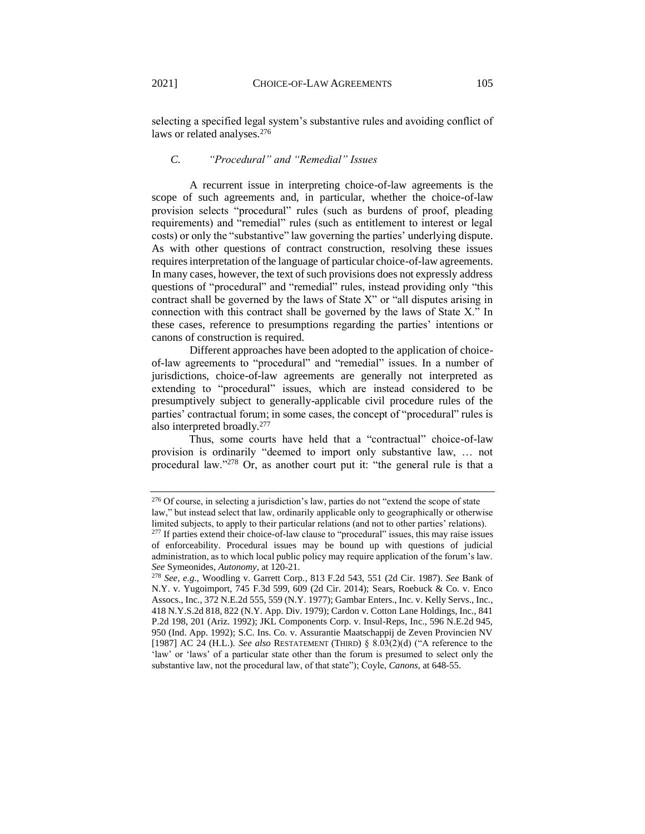selecting a specified legal system's substantive rules and avoiding conflict of laws or related analyses.<sup>276</sup>

## *C. "Procedural" and "Remedial" Issues*

A recurrent issue in interpreting choice-of-law agreements is the scope of such agreements and, in particular, whether the choice-of-law provision selects "procedural" rules (such as burdens of proof, pleading requirements) and "remedial" rules (such as entitlement to interest or legal costs) or only the "substantive" law governing the parties' underlying dispute. As with other questions of contract construction, resolving these issues requires interpretation of the language of particular choice-of-law agreements. In many cases, however, the text of such provisions does not expressly address questions of "procedural" and "remedial" rules, instead providing only "this contract shall be governed by the laws of State X" or "all disputes arising in connection with this contract shall be governed by the laws of State X." In these cases, reference to presumptions regarding the parties' intentions or canons of construction is required.

Different approaches have been adopted to the application of choiceof-law agreements to "procedural" and "remedial" issues. In a number of jurisdictions, choice-of-law agreements are generally not interpreted as extending to "procedural" issues, which are instead considered to be presumptively subject to generally-applicable civil procedure rules of the parties' contractual forum; in some cases, the concept of "procedural" rules is also interpreted broadly.<sup>277</sup>

Thus, some courts have held that a "contractual" choice-of-law provision is ordinarily "deemed to import only substantive law, … not procedural law."<sup>278</sup> Or, as another court put it: "the general rule is that a

<sup>276</sup> Of course, in selecting a jurisdiction's law, parties do not "extend the scope of state law," but instead select that law, ordinarily applicable only to geographically or otherwise limited subjects, to apply to their particular relations (and not to other parties' relations).

<sup>&</sup>lt;sup>277</sup> If parties extend their choice-of-law clause to "procedural" issues, this may raise issues of enforceability. Procedural issues may be bound up with questions of judicial administration, as to which local public policy may require application of the forum's law. *See* Symeonides, *Autonomy*, at 120-21.

<sup>278</sup> *See, e.g*., Woodling v. Garrett Corp*.*, 813 F.2d 543, 551 (2d Cir. 1987). *See* Bank of N.Y. v. Yugoimport, 745 F.3d 599, 609 (2d Cir. 2014); Sears, Roebuck & Co. v. Enco Assocs., Inc*.*, 372 N.E.2d 555, 559 (N.Y. 1977); Gambar Enters., Inc. v. Kelly Servs., Inc*.*, 418 N.Y.S.2d 818, 822 (N.Y. App. Div. 1979); Cardon v. Cotton Lane Holdings, Inc., 841 P.2d 198, 201 (Ariz. 1992); JKL Components Corp. v. Insul-Reps, Inc., 596 N.E.2d 945, 950 (Ind. App. 1992); S.C. Ins. Co. v. Assurantie Maatschappij de Zeven Provincien NV [1987] AC 24 (H.L.). *See also* RESTATEMENT (THIRD) § 8.03(2)(d) ("A reference to the 'law' or 'laws' of a particular state other than the forum is presumed to select only the substantive law, not the procedural law, of that state"); Coyle, *Canons*, at 648-55.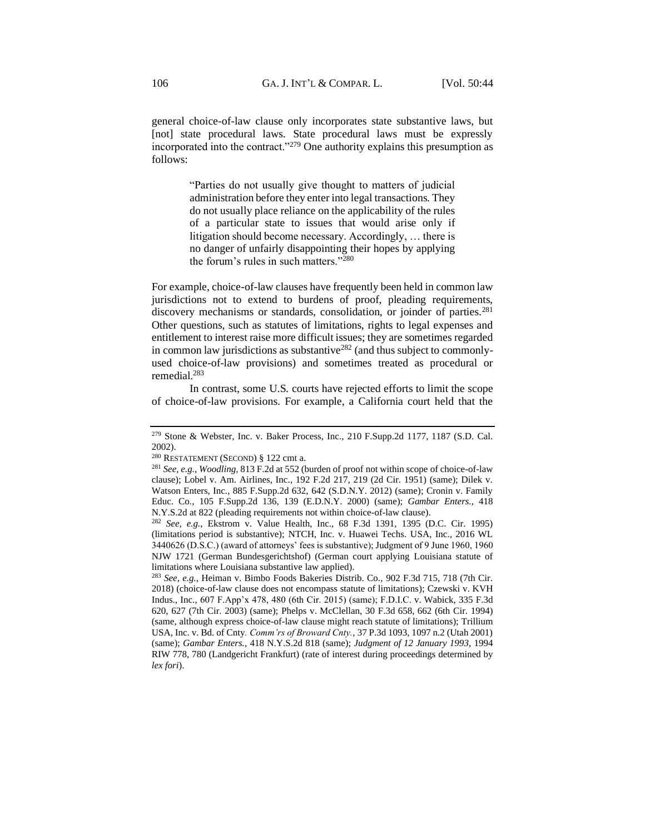general choice-of-law clause only incorporates state substantive laws, but [not] state procedural laws. State procedural laws must be expressly incorporated into the contract."<sup>279</sup> One authority explains this presumption as follows:

> "Parties do not usually give thought to matters of judicial administration before they enter into legal transactions. They do not usually place reliance on the applicability of the rules of a particular state to issues that would arise only if litigation should become necessary. Accordingly, … there is no danger of unfairly disappointing their hopes by applying the forum's rules in such matters."<sup>280</sup>

For example, choice-of-law clauses have frequently been held in common law jurisdictions not to extend to burdens of proof, pleading requirements, discovery mechanisms or standards, consolidation, or joinder of parties.<sup>281</sup> Other questions, such as statutes of limitations, rights to legal expenses and entitlement to interest raise more difficult issues; they are sometimes regarded in common law jurisdictions as substantive<sup>282</sup> (and thus subject to commonlyused choice-of-law provisions) and sometimes treated as procedural or remedial.<sup>283</sup>

In contrast, some U.S. courts have rejected efforts to limit the scope of choice-of-law provisions. For example, a California court held that the

<sup>279</sup> Stone & Webster, Inc. v. Baker Process, Inc., 210 F.Supp.2d 1177, 1187 (S.D. Cal. 2002).

<sup>280</sup> RESTATEMENT (SECOND) § 122 cmt a.

<sup>281</sup> *See, e.g.*, *Woodling*, 813 F.2d at 552 (burden of proof not within scope of choice-of-law clause); Lobel v. Am. Airlines, Inc., 192 F.2d 217, 219 (2d Cir. 1951) (same); Dilek v. Watson Enters, Inc*.,* 885 F.Supp.2d 632, 642 (S.D.N.Y. 2012) (same); Cronin v. Family Educ. Co*.,* 105 F.Supp.2d 136, 139 (E.D.N.Y. 2000) (same); *Gambar Enters.,* 418 N.Y.S.2d at 822 (pleading requirements not within choice-of-law clause).

<sup>282</sup> *See, e.g.*, Ekstrom v. Value Health, Inc., 68 F.3d 1391, 1395 (D.C. Cir. 1995) (limitations period is substantive); NTCH, Inc. v. Huawei Techs. USA, Inc.*,* 2016 WL 3440626 (D.S.C.) (award of attorneys' fees is substantive); Judgment of 9 June 1960, 1960 NJW 1721 (German Bundesgerichtshof) (German court applying Louisiana statute of limitations where Louisiana substantive law applied).

<sup>283</sup> *See, e.g.*, Heiman v. Bimbo Foods Bakeries Distrib. Co.*,* 902 F.3d 715, 718 (7th Cir. 2018) (choice-of-law clause does not encompass statute of limitations); Czewski v. KVH Indus., Inc.*,* 607 F.App'x 478, 480 (6th Cir. 2015) (same); F.D.I.C. v. Wabick, 335 F.3d 620, 627 (7th Cir. 2003) (same); Phelps v. McClellan, 30 F.3d 658, 662 (6th Cir. 1994) (same, although express choice-of-law clause might reach statute of limitations); Trillium USA, Inc. v. Bd. of Cnty*. Comm'rs of Broward Cnty.*, 37 P.3d 1093, 1097 n.2 (Utah 2001) (same); *Gambar Enters.,* 418 N.Y.S.2d 818 (same); *Judgment of 12 January 1993*, 1994 RIW 778, 780 (Landgericht Frankfurt) (rate of interest during proceedings determined by *lex fori*).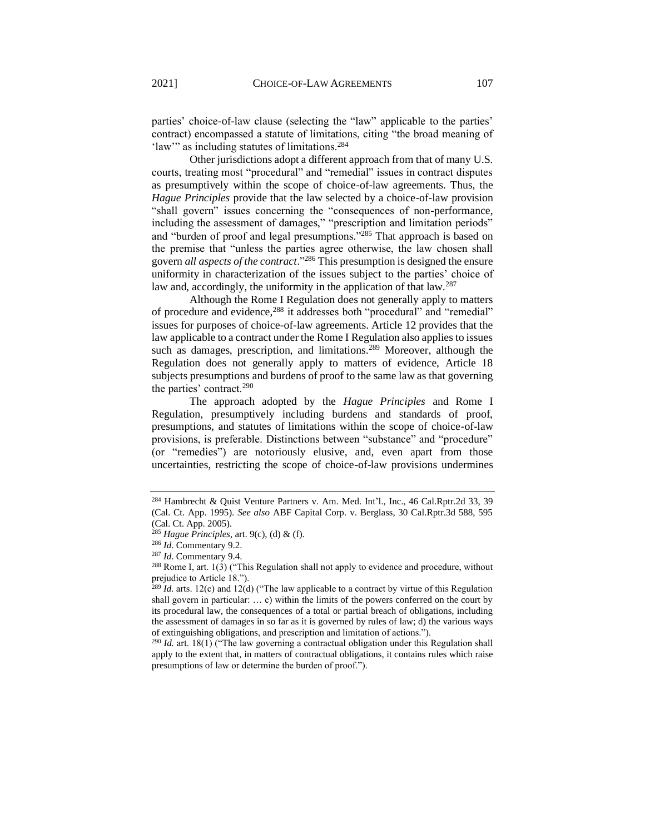parties' choice-of-law clause (selecting the "law" applicable to the parties' contract) encompassed a statute of limitations, citing "the broad meaning of 'law'" as including statutes of limitations.<sup>284</sup>

Other jurisdictions adopt a different approach from that of many U.S. courts, treating most "procedural" and "remedial" issues in contract disputes as presumptively within the scope of choice-of-law agreements. Thus, the *Hague Principles* provide that the law selected by a choice-of-law provision "shall govern" issues concerning the "consequences of non-performance, including the assessment of damages," "prescription and limitation periods" and "burden of proof and legal presumptions."<sup>285</sup> That approach is based on the premise that "unless the parties agree otherwise, the law chosen shall govern *all aspects of the contract*."<sup>286</sup> This presumption is designed the ensure uniformity in characterization of the issues subject to the parties' choice of law and, accordingly, the uniformity in the application of that law.<sup>287</sup>

Although the Rome I Regulation does not generally apply to matters of procedure and evidence,<sup>288</sup> it addresses both "procedural" and "remedial" issues for purposes of choice-of-law agreements. Article 12 provides that the law applicable to a contract under the Rome I Regulation also applies to issues such as damages, prescription, and limitations.<sup>289</sup> Moreover, although the Regulation does not generally apply to matters of evidence, Article 18 subjects presumptions and burdens of proof to the same law as that governing the parties' contract.<sup>290</sup>

The approach adopted by the *Hague Principles* and Rome I Regulation, presumptively including burdens and standards of proof, presumptions, and statutes of limitations within the scope of choice-of-law provisions, is preferable. Distinctions between "substance" and "procedure" (or "remedies") are notoriously elusive, and, even apart from those uncertainties, restricting the scope of choice-of-law provisions undermines

<sup>284</sup> Hambrecht & Quist Venture Partners v. Am. Med. Int'l., Inc., 46 Cal.Rptr.2d 33, 39 (Cal. Ct. App. 1995). *See also* ABF Capital Corp. v. Berglass, 30 Cal.Rptr.3d 588, 595 (Cal. Ct. App. 2005).

<sup>285</sup> *Hague Principles*, art. 9(c), (d) & (f).

<sup>286</sup> *Id*. Commentary 9.2.

<sup>287</sup> *Id*. Commentary 9.4.

<sup>288</sup> Rome I, art. 1(3) ("This Regulation shall not apply to evidence and procedure, without prejudice to Article 18.").

 $^{289}$  *Id.* arts. 12(c) and 12(d) ("The law applicable to a contract by virtue of this Regulation shall govern in particular: … c) within the limits of the powers conferred on the court by its procedural law, the consequences of a total or partial breach of obligations, including the assessment of damages in so far as it is governed by rules of law; d) the various ways of extinguishing obligations, and prescription and limitation of actions.").

<sup>&</sup>lt;sup>290</sup> *Id.* art. 18(1) ("The law governing a contractual obligation under this Regulation shall apply to the extent that, in matters of contractual obligations, it contains rules which raise presumptions of law or determine the burden of proof.").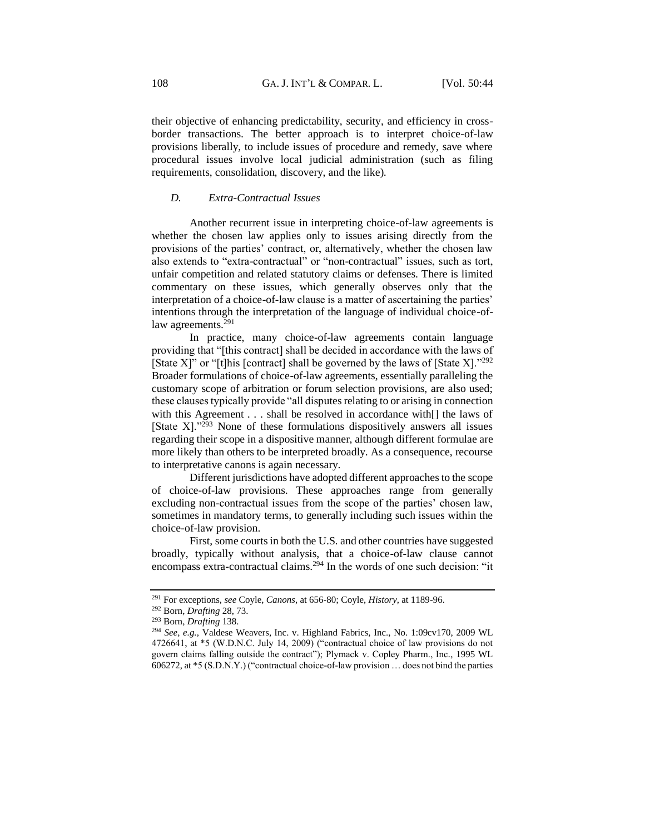their objective of enhancing predictability, security, and efficiency in crossborder transactions. The better approach is to interpret choice-of-law provisions liberally, to include issues of procedure and remedy, save where procedural issues involve local judicial administration (such as filing requirements, consolidation, discovery, and the like).

# *D. Extra-Contractual Issues*

Another recurrent issue in interpreting choice-of-law agreements is whether the chosen law applies only to issues arising directly from the provisions of the parties' contract, or, alternatively, whether the chosen law also extends to "extra-contractual" or "non-contractual" issues, such as tort, unfair competition and related statutory claims or defenses. There is limited commentary on these issues, which generally observes only that the interpretation of a choice-of-law clause is a matter of ascertaining the parties' intentions through the interpretation of the language of individual choice-oflaw agreements.<sup>291</sup>

In practice, many choice-of-law agreements contain language providing that "[this contract] shall be decided in accordance with the laws of [State X]" or "[t]his [contract] shall be governed by the laws of [State X]."292 Broader formulations of choice-of-law agreements, essentially paralleling the customary scope of arbitration or forum selection provisions, are also used; these clauses typically provide "all disputes relating to or arising in connection with this Agreement . . . shall be resolved in accordance with[] the laws of [State  $X$ ]."<sup>293</sup> None of these formulations dispositively answers all issues regarding their scope in a dispositive manner, although different formulae are more likely than others to be interpreted broadly. As a consequence, recourse to interpretative canons is again necessary.

Different jurisdictions have adopted different approaches to the scope of choice-of-law provisions. These approaches range from generally excluding non-contractual issues from the scope of the parties' chosen law, sometimes in mandatory terms, to generally including such issues within the choice-of-law provision.

First, some courts in both the U.S. and other countries have suggested broadly, typically without analysis, that a choice-of-law clause cannot encompass extra-contractual claims.<sup>294</sup> In the words of one such decision: "it

<sup>291</sup> For exceptions, *see* Coyle, *Canons*, at 656-80; Coyle, *History*, at 1189-96.

<sup>292</sup> Born, *Drafting* 28, 73.

<sup>293</sup> Born, *Drafting* 138.

<sup>294</sup> *See, e.g.*, Valdese Weavers, Inc. v. Highland Fabrics, Inc., No. 1:09cv170, 2009 WL 4726641, at \*5 (W.D.N.C. July 14, 2009) ("contractual choice of law provisions do not govern claims falling outside the contract"); Plymack v. Copley Pharm., Inc*.*, 1995 WL 606272, at \*5 (S.D.N.Y.) ("contractual choice-of-law provision … does not bind the parties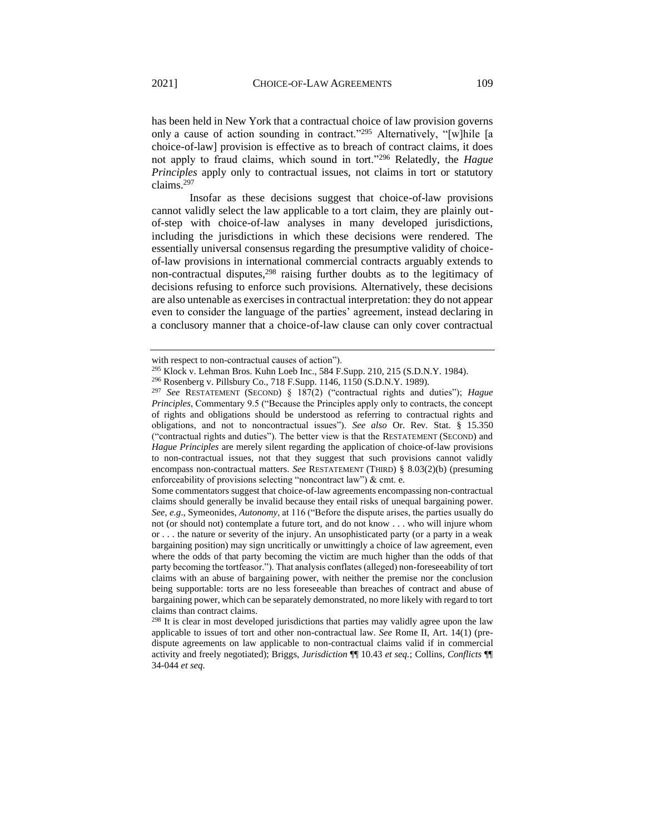has been held in New York that a contractual choice of law provision governs only a cause of action sounding in contract."<sup>295</sup> Alternatively, "[w]hile [a choice-of-law] provision is effective as to breach of contract claims, it does not apply to fraud claims, which sound in tort."<sup>296</sup> Relatedly, the *Hague Principles* apply only to contractual issues, not claims in tort or statutory claims.<sup>297</sup>

Insofar as these decisions suggest that choice-of-law provisions cannot validly select the law applicable to a tort claim, they are plainly outof-step with choice-of-law analyses in many developed jurisdictions, including the jurisdictions in which these decisions were rendered. The essentially universal consensus regarding the presumptive validity of choiceof-law provisions in international commercial contracts arguably extends to non-contractual disputes, $298$  raising further doubts as to the legitimacy of decisions refusing to enforce such provisions. Alternatively, these decisions are also untenable as exercises in contractual interpretation: they do not appear even to consider the language of the parties' agreement, instead declaring in a conclusory manner that a choice-of-law clause can only cover contractual

<sup>298</sup> It is clear in most developed jurisdictions that parties may validly agree upon the law applicable to issues of tort and other non-contractual law. *See* Rome II, Art. 14(1) (predispute agreements on law applicable to non-contractual claims valid if in commercial activity and freely negotiated); Briggs, *Jurisdiction* ¶¶ 10.43 *et seq.*; Collins, *Conflicts* ¶¶ 34-044 *et seq.*

with respect to non-contractual causes of action").

<sup>295</sup> Klock v. Lehman Bros. Kuhn Loeb Inc., 584 F.Supp. 210, 215 (S.D.N.Y. 1984).

<sup>296</sup> Rosenberg v. Pillsbury Co., 718 F.Supp. 1146, 1150 (S.D.N.Y. 1989).

<sup>297</sup> *See* RESTATEMENT (SECOND) § 187(2) ("contractual rights and duties"); *Hague Principles*, Commentary 9.5 ("Because the Principles apply only to contracts, the concept of rights and obligations should be understood as referring to contractual rights and obligations, and not to noncontractual issues"). *See also* Or. Rev. Stat. § 15.350 ("contractual rights and duties"). The better view is that the RESTATEMENT (SECOND) and *Hague Principles* are merely silent regarding the application of choice-of-law provisions to non-contractual issues, not that they suggest that such provisions cannot validly encompass non-contractual matters. *See* RESTATEMENT (THIRD) § 8.03(2)(b) (presuming enforceability of provisions selecting "noncontract law") & cmt. e.

Some commentators suggest that choice-of-law agreements encompassing non-contractual claims should generally be invalid because they entail risks of unequal bargaining power. *See, e.g*., Symeonides, *Autonomy*, at 116 ("Before the dispute arises, the parties usually do not (or should not) contemplate a future tort, and do not know . . . who will injure whom or . . . the nature or severity of the injury. An unsophisticated party (or a party in a weak bargaining position) may sign uncritically or unwittingly a choice of law agreement, even where the odds of that party becoming the victim are much higher than the odds of that party becoming the tortfeasor."). That analysis conflates (alleged) non-foreseeability of tort claims with an abuse of bargaining power, with neither the premise nor the conclusion being supportable: torts are no less foreseeable than breaches of contract and abuse of bargaining power, which can be separately demonstrated, no more likely with regard to tort claims than contract claims.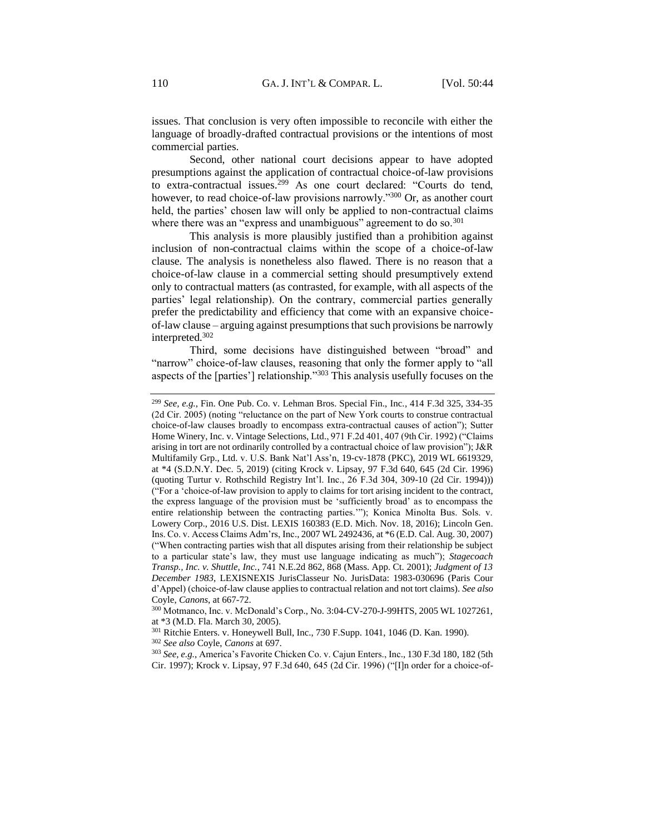issues. That conclusion is very often impossible to reconcile with either the language of broadly-drafted contractual provisions or the intentions of most commercial parties.

Second, other national court decisions appear to have adopted presumptions against the application of contractual choice-of-law provisions to extra-contractual issues.<sup>299</sup> As one court declared: "Courts do tend, however, to read choice-of-law provisions narrowly."300 Or, as another court held, the parties' chosen law will only be applied to non-contractual claims where there was an "express and unambiguous" agreement to do so.<sup>301</sup>

This analysis is more plausibly justified than a prohibition against inclusion of non-contractual claims within the scope of a choice-of-law clause. The analysis is nonetheless also flawed. There is no reason that a choice-of-law clause in a commercial setting should presumptively extend only to contractual matters (as contrasted, for example, with all aspects of the parties' legal relationship). On the contrary, commercial parties generally prefer the predictability and efficiency that come with an expansive choiceof-law clause – arguing against presumptions that such provisions be narrowly interpreted.<sup>302</sup>

Third, some decisions have distinguished between "broad" and "narrow" choice-of-law clauses, reasoning that only the former apply to "all aspects of the [parties'] relationship."<sup>303</sup> This analysis usefully focuses on the

<sup>299</sup> *See, e.g.*, Fin. One Pub. Co. v. Lehman Bros. Special Fin., Inc.*,* 414 F.3d 325, 334-35 (2d Cir. 2005) (noting "reluctance on the part of New York courts to construe contractual choice-of-law clauses broadly to encompass extra-contractual causes of action"); Sutter Home Winery, Inc. v. Vintage Selections, Ltd., 971 F.2d 401, 407 (9th Cir. 1992) ("Claims arising in tort are not ordinarily controlled by a contractual choice of law provision"); J&R Multifamily Grp., Ltd. v. U.S. Bank Nat'l Ass'n, 19-cv-1878 (PKC), 2019 WL 6619329, at \*4 (S.D.N.Y. Dec. 5, 2019) (citing Krock v. Lipsay, 97 F.3d 640, 645 (2d Cir. 1996) (quoting Turtur v. Rothschild Registry Int'l. Inc., 26 F.3d 304, 309-10 (2d Cir. 1994))) ("For a 'choice-of-law provision to apply to claims for tort arising incident to the contract, the express language of the provision must be 'sufficiently broad' as to encompass the entire relationship between the contracting parties.'"); Konica Minolta Bus. Sols. v. Lowery Corp., 2016 U.S. Dist. LEXIS 160383 (E.D. Mich. Nov. 18, 2016); Lincoln Gen. Ins. Co. v. Access Claims Adm'rs, Inc., 2007 WL 2492436, at \*6 (E.D. Cal. Aug. 30, 2007) ("When contracting parties wish that all disputes arising from their relationship be subject to a particular state's law, they must use language indicating as much"); *Stagecoach Transp., Inc. v. Shuttle, Inc.*, 741 N.E.2d 862, 868 (Mass. App. Ct. 2001); *Judgment of 13 December 1983*, LEXISNEXIS JurisClasseur No. JurisData: 1983-030696 (Paris Cour d'Appel) (choice-of-law clause applies to contractual relation and not tort claims). *See also*  Coyle, *Canons*, at 667-72.

<sup>300</sup> Motmanco, Inc. v. McDonald's Corp., No. 3:04-CV-270-J-99HTS, 2005 WL 1027261, at \*3 (M.D. Fla. March 30, 2005).

<sup>301</sup> Ritchie Enters. v. Honeywell Bull, Inc., 730 F.Supp. 1041, 1046 (D. Kan. 1990). <sup>302</sup> *See also* Coyle, *Canons* at 697.

<sup>303</sup> *See, e.g.*, America's Favorite Chicken Co. v. Cajun Enters., Inc., 130 F.3d 180, 182 (5th Cir. 1997); Krock v. Lipsay*,* 97 F.3d 640, 645 (2d Cir. 1996) ("[I]n order for a choice-of-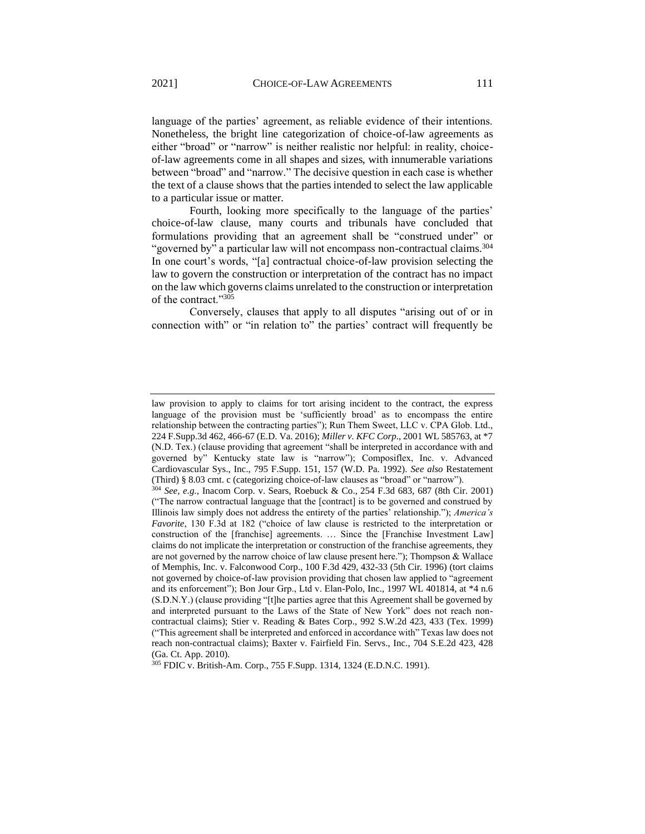language of the parties' agreement, as reliable evidence of their intentions. Nonetheless, the bright line categorization of choice-of-law agreements as either "broad" or "narrow" is neither realistic nor helpful: in reality, choiceof-law agreements come in all shapes and sizes, with innumerable variations between "broad" and "narrow." The decisive question in each case is whether the text of a clause shows that the parties intended to select the law applicable to a particular issue or matter.

Fourth, looking more specifically to the language of the parties' choice-of-law clause, many courts and tribunals have concluded that formulations providing that an agreement shall be "construed under" or "governed by" a particular law will not encompass non-contractual claims.<sup>304</sup> In one court's words, "[a] contractual choice-of-law provision selecting the law to govern the construction or interpretation of the contract has no impact on the law which governs claims unrelated to the construction or interpretation of the contract."<sup>305</sup>

Conversely, clauses that apply to all disputes "arising out of or in connection with" or "in relation to" the parties' contract will frequently be

law provision to apply to claims for tort arising incident to the contract, the express language of the provision must be 'sufficiently broad' as to encompass the entire relationship between the contracting parties"); Run Them Sweet, LLC v. CPA Glob. Ltd.*,*  224 F.Supp.3d 462, 466-67 (E.D. Va. 2016); *Miller v. KFC Corp*., 2001 WL 585763, at \*7 (N.D. Tex.) (clause providing that agreement "shall be interpreted in accordance with and governed by" Kentucky state law is "narrow"); Composiflex, Inc. v. Advanced Cardiovascular Sys., Inc., 795 F.Supp. 151, 157 (W.D. Pa. 1992). *See also* Restatement (Third) § 8.03 cmt. c (categorizing choice-of-law clauses as "broad" or "narrow").

<sup>304</sup> *See, e.g.*, Inacom Corp. v. Sears, Roebuck & Co., 254 F.3d 683, 687 (8th Cir. 2001) ("The narrow contractual language that the [contract] is to be governed and construed by Illinois law simply does not address the entirety of the parties' relationship."); *America's Favorite*, 130 F.3d at 182 ("choice of law clause is restricted to the interpretation or construction of the [franchise] agreements. … Since the [Franchise Investment Law] claims do not implicate the interpretation or construction of the franchise agreements, they are not governed by the narrow choice of law clause present here."); Thompson & Wallace of Memphis, Inc. v. Falconwood Corp., 100 F.3d 429, 432-33 (5th Cir. 1996) (tort claims not governed by choice-of-law provision providing that chosen law applied to "agreement and its enforcement"); Bon Jour Grp., Ltd v. Elan-Polo, Inc., 1997 WL 401814, at \*4 n.6 (S.D.N.Y.) (clause providing "[t]he parties agree that this Agreement shall be governed by and interpreted pursuant to the Laws of the State of New York" does not reach noncontractual claims); Stier v. Reading & Bates Corp., 992 S.W.2d 423, 433 (Tex. 1999) ("This agreement shall be interpreted and enforced in accordance with" Texas law does not reach non-contractual claims); Baxter v. Fairfield Fin. Servs., Inc*.*, 704 S.E.2d 423, 428 (Ga. Ct. App. 2010).

<sup>305</sup> FDIC v. British-Am. Corp., 755 F.Supp. 1314, 1324 (E.D.N.C. 1991).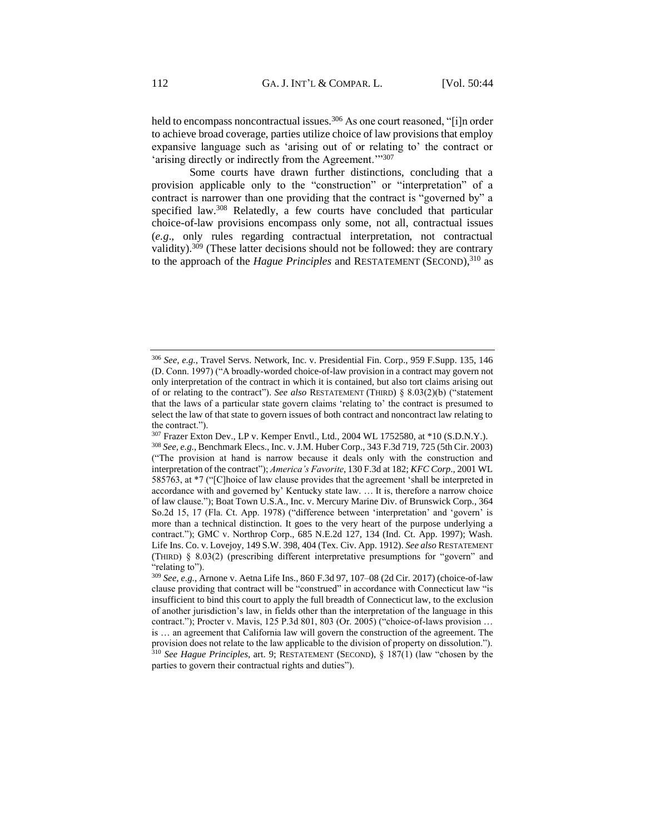held to encompass noncontractual issues.<sup>306</sup> As one court reasoned, "[i]n order to achieve broad coverage, parties utilize choice of law provisions that employ expansive language such as 'arising out of or relating to' the contract or 'arising directly or indirectly from the Agreement."<sup>307</sup>

Some courts have drawn further distinctions, concluding that a provision applicable only to the "construction" or "interpretation" of a contract is narrower than one providing that the contract is "governed by" a specified law.<sup>308</sup> Relatedly, a few courts have concluded that particular choice-of-law provisions encompass only some, not all, contractual issues (*e.g*., only rules regarding contractual interpretation, not contractual validity). $309$  (These latter decisions should not be followed: they are contrary to the approach of the *Hague Principles* and RESTATEMENT (SECOND),<sup>310</sup> as

<sup>306</sup> *See, e.g.*, Travel Servs. Network, Inc. v. Presidential Fin. Corp., 959 F.Supp. 135, 146 (D. Conn. 1997) ("A broadly-worded choice-of-law provision in a contract may govern not only interpretation of the contract in which it is contained, but also tort claims arising out of or relating to the contract"). *See also* RESTATEMENT (THIRD) § 8.03(2)(b) ("statement that the laws of a particular state govern claims 'relating to' the contract is presumed to select the law of that state to govern issues of both contract and noncontract law relating to the contract.").

<sup>307</sup> Frazer Exton Dev., LP v. Kemper Envtl., Ltd., 2004 WL 1752580, at \*10 (S.D.N.Y.). <sup>308</sup> *See, e.g.*, Benchmark Elecs., Inc. v. J.M. Huber Corp., 343 F.3d 719, 725 (5th Cir. 2003) ("The provision at hand is narrow because it deals only with the construction and interpretation of the contract"); *America's Favorite*, 130 F.3d at 182; *KFC Corp*., 2001 WL 585763, at \*7 ("[C]hoice of law clause provides that the agreement 'shall be interpreted in accordance with and governed by' Kentucky state law. … It is, therefore a narrow choice of law clause."); Boat Town U.S.A., Inc. v. Mercury Marine Div. of Brunswick Corp*.*, 364 So.2d 15, 17 (Fla. Ct. App. 1978) ("difference between 'interpretation' and 'govern' is more than a technical distinction. It goes to the very heart of the purpose underlying a contract."); GMC v. Northrop Corp., 685 N.E.2d 127, 134 (Ind. Ct. App. 1997); Wash. Life Ins. Co. v. Lovejoy, 149 S.W. 398, 404 (Tex. Civ. App. 1912). *See also* RESTATEMENT (THIRD) § 8.03(2) (prescribing different interpretative presumptions for "govern" and "relating to").

<sup>309</sup> *See, e.g.*, Arnone v. Aetna Life Ins., 860 F.3d 97, 107–08 (2d Cir. 2017) (choice-of-law clause providing that contract will be "construed" in accordance with Connecticut law "is insufficient to bind this court to apply the full breadth of Connecticut law, to the exclusion of another jurisdiction's law, in fields other than the interpretation of the language in this contract."); Procter v. Mavis, 125 P.3d 801, 803 (Or. 2005) ("choice-of-laws provision … is … an agreement that California law will govern the construction of the agreement. The provision does not relate to the law applicable to the division of property on dissolution."). <sup>310</sup> *See Hague Principles*, art. 9; RESTATEMENT (SECOND), § 187(1) (law "chosen by the parties to govern their contractual rights and duties").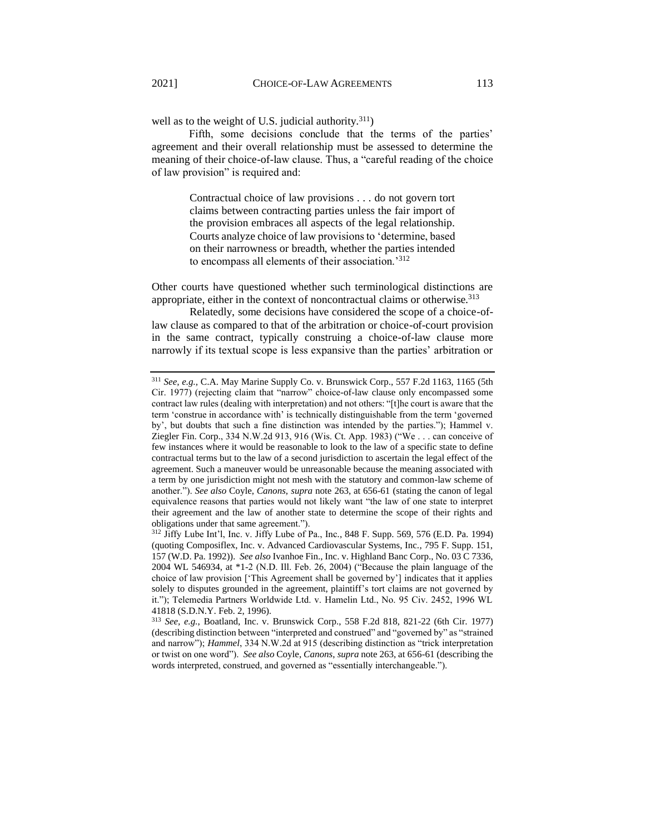well as to the weight of U.S. judicial authority. $311$ )

Fifth, some decisions conclude that the terms of the parties' agreement and their overall relationship must be assessed to determine the meaning of their choice-of-law clause. Thus, a "careful reading of the choice of law provision" is required and:

> Contractual choice of law provisions . . . do not govern tort claims between contracting parties unless the fair import of the provision embraces all aspects of the legal relationship. Courts analyze choice of law provisions to 'determine, based on their narrowness or breadth, whether the parties intended to encompass all elements of their association.'<sup>312</sup>

Other courts have questioned whether such terminological distinctions are appropriate, either in the context of noncontractual claims or otherwise.<sup>313</sup>

Relatedly, some decisions have considered the scope of a choice-oflaw clause as compared to that of the arbitration or choice-of-court provision in the same contract, typically construing a choice-of-law clause more narrowly if its textual scope is less expansive than the parties' arbitration or

<sup>311</sup> *See, e.g.*, C.A. May Marine Supply Co. v. Brunswick Corp., 557 F.2d 1163, 1165 (5th Cir. 1977) (rejecting claim that "narrow" choice-of-law clause only encompassed some contract law rules (dealing with interpretation) and not others: "[t]he court is aware that the term 'construe in accordance with' is technically distinguishable from the term 'governed by', but doubts that such a fine distinction was intended by the parties."); Hammel v. Ziegler Fin. Corp., 334 N.W.2d 913, 916 (Wis. Ct. App. 1983) ("We . . . can conceive of few instances where it would be reasonable to look to the law of a specific state to define contractual terms but to the law of a second jurisdiction to ascertain the legal effect of the agreement. Such a maneuver would be unreasonable because the meaning associated with a term by one jurisdiction might not mesh with the statutory and common-law scheme of another."). *See also* Coyle, *Canons*, *supra* note 263, at 656-61 (stating the canon of legal equivalence reasons that parties would not likely want "the law of one state to interpret their agreement and the law of another state to determine the scope of their rights and obligations under that same agreement.").

<sup>312</sup> Jiffy Lube Int'l, Inc. v. Jiffy Lube of Pa., Inc*.*, 848 F. Supp. 569, 576 (E.D. Pa. 1994) (quoting Composiflex, Inc. v. Advanced Cardiovascular Systems, Inc., 795 F. Supp. 151, 157 (W.D. Pa. 1992)). *See also* Ivanhoe Fin., Inc. v. Highland Banc Corp., No. 03 C 7336, 2004 WL 546934, at \*1-2 (N.D. Ill. Feb. 26, 2004) ("Because the plain language of the choice of law provision ['This Agreement shall be governed by'] indicates that it applies solely to disputes grounded in the agreement, plaintiff's tort claims are not governed by it."); Telemedia Partners Worldwide Ltd. v. Hamelin Ltd., No. 95 Civ. 2452, 1996 WL 41818 (S.D.N.Y. Feb. 2, 1996).

<sup>313</sup> *See, e.g.*, Boatland, Inc. v. Brunswick Corp., 558 F.2d 818, 821-22 (6th Cir. 1977) (describing distinction between "interpreted and construed" and "governed by" as "strained and narrow"); *Hammel*, 334 N.W.2d at 915 (describing distinction as "trick interpretation or twist on one word"). *See also* Coyle, *Canons*, *supra* note 263, at 656-61 (describing the words interpreted, construed, and governed as "essentially interchangeable.").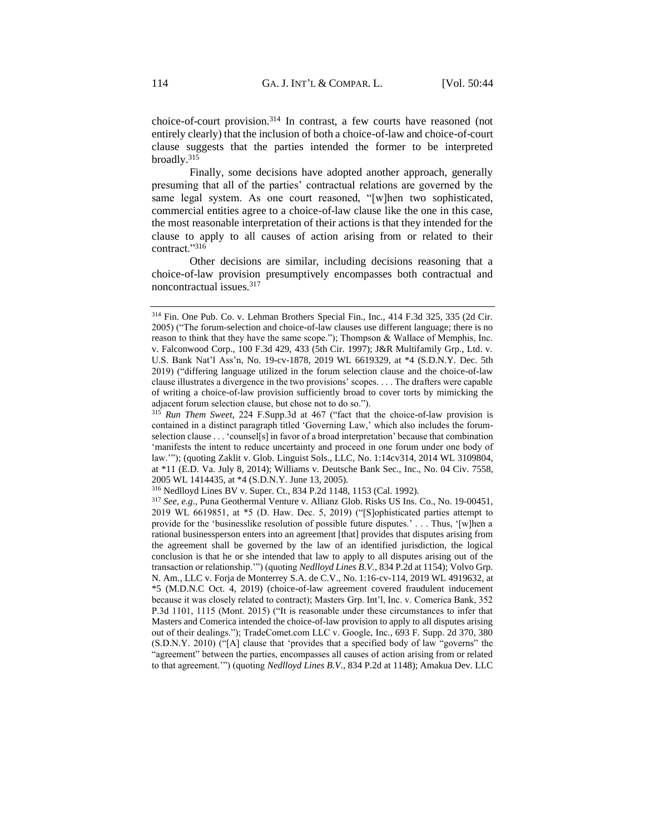choice-of-court provision.<sup>314</sup> In contrast, a few courts have reasoned (not entirely clearly) that the inclusion of both a choice-of-law and choice-of-court clause suggests that the parties intended the former to be interpreted broadly.<sup>315</sup>

Finally, some decisions have adopted another approach, generally presuming that all of the parties' contractual relations are governed by the same legal system. As one court reasoned, "[w]hen two sophisticated, commercial entities agree to a choice-of-law clause like the one in this case, the most reasonable interpretation of their actions is that they intended for the clause to apply to all causes of action arising from or related to their contract."<sup>316</sup>

Other decisions are similar, including decisions reasoning that a choice-of-law provision presumptively encompasses both contractual and noncontractual issues.<sup>317</sup>

<sup>314</sup> Fin. One Pub. Co. v. Lehman Brothers Special Fin., Inc., 414 F.3d 325, 335 (2d Cir. 2005) ("The forum-selection and choice-of-law clauses use different language; there is no reason to think that they have the same scope."); Thompson & Wallace of Memphis, Inc. v. Falconwood Corp., 100 F.3d 429, 433 (5th Cir. 1997); J&R Multifamily Grp., Ltd. v. U.S. Bank Nat'l Ass'n, No. 19-cv-1878, 2019 WL 6619329, at \*4 (S.D.N.Y. Dec. 5th 2019) ("differing language utilized in the forum selection clause and the choice-of-law clause illustrates a divergence in the two provisions' scopes. . . . The drafters were capable of writing a choice-of-law provision sufficiently broad to cover torts by mimicking the adjacent forum selection clause, but chose not to do so.").

<sup>315</sup> *Run Them Sweet,* 224 F.Supp.3d at 467 ("fact that the choice-of-law provision is contained in a distinct paragraph titled 'Governing Law,' which also includes the forumselection clause . . . 'counsel[s] in favor of a broad interpretation' because that combination 'manifests the intent to reduce uncertainty and proceed in one forum under one body of law.'"); (quoting Zaklit v. Glob. Linguist Sols., LLC, No. 1:14cv314, 2014 WL 3109804, at \*11 (E.D. Va. July 8, 2014); Williams v. Deutsche Bank Sec., Inc., No. 04 Civ. 7558, 2005 WL 1414435, at \*4 (S.D.N.Y. June 13, 2005).

<sup>316</sup> Nedlloyd Lines BV v. Super. Ct., 834 P.2d 1148, 1153 (Cal. 1992).

<sup>317</sup> *See, e.g*., Puna Geothermal Venture v. Allianz Glob. Risks US Ins. Co., No. 19-00451, 2019 WL 6619851, at \*5 (D. Haw. Dec. 5, 2019) ("[S]ophisticated parties attempt to provide for the 'businesslike resolution of possible future disputes.' . . . Thus, '[w]hen a rational businessperson enters into an agreement [that] provides that disputes arising from the agreement shall be governed by the law of an identified jurisdiction, the logical conclusion is that he or she intended that law to apply to all disputes arising out of the transaction or relationship.'") (quoting *Nedlloyd Lines B.V.*, 834 P.2d at 1154); Volvo Grp. N. Am., LLC v. Forja de Monterrey S.A. de C.V., No. 1:16-cv-114, 2019 WL 4919632, at \*5 (M.D.N.C Oct. 4, 2019) (choice-of-law agreement covered fraudulent inducement because it was closely related to contract); Masters Grp. Int'l, Inc. v. Comerica Bank, 352 P.3d 1101, 1115 (Mont. 2015) ("It is reasonable under these circumstances to infer that Masters and Comerica intended the choice-of-law provision to apply to all disputes arising out of their dealings."); TradeComet.com LLC v. Google, Inc*.*, 693 F. Supp. 2d 370, 380 (S.D.N.Y. 2010) ("[A] clause that 'provides that a specified body of law "governs" the "agreement" between the parties, encompasses all causes of action arising from or related to that agreement.'") (quoting *Nedlloyd Lines B.V.*, 834 P.2d at 1148); Amakua Dev. LLC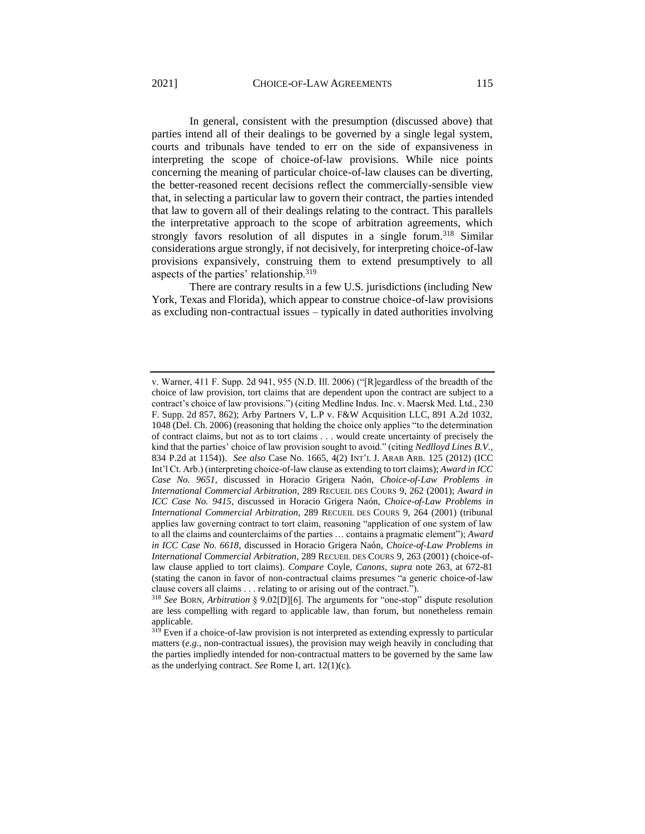In general, consistent with the presumption (discussed above) that parties intend all of their dealings to be governed by a single legal system, courts and tribunals have tended to err on the side of expansiveness in interpreting the scope of choice-of-law provisions. While nice points concerning the meaning of particular choice-of-law clauses can be diverting, the better-reasoned recent decisions reflect the commercially-sensible view that, in selecting a particular law to govern their contract, the parties intended that law to govern all of their dealings relating to the contract. This parallels the interpretative approach to the scope of arbitration agreements, which strongly favors resolution of all disputes in a single forum.<sup>318</sup> Similar considerations argue strongly, if not decisively, for interpreting choice-of-law provisions expansively, construing them to extend presumptively to all aspects of the parties' relationship.<sup>319</sup>

There are contrary results in a few U.S. jurisdictions (including New York, Texas and Florida), which appear to construe choice-of-law provisions as excluding non-contractual issues – typically in dated authorities involving

v. Warner, 411 F. Supp. 2d 941, 955 (N.D. Ill. 2006) ("[R]egardless of the breadth of the choice of law provision, tort claims that are dependent upon the contract are subject to a contract's choice of law provisions.") (citing Medline Indus. Inc. v. Maersk Med. Ltd., 230 F. Supp. 2d 857, 862); Arby Partners V, L.P v. F&W Acquisition LLC, 891 A.2d 1032, 1048 (Del. Ch. 2006) (reasoning that holding the choice only applies "to the determination of contract claims, but not as to tort claims . . . would create uncertainty of precisely the kind that the parties' choice of law provision sought to avoid." (citing *Nedlloyd Lines B.V.*, 834 P.2d at 1154)). *See also* Case No. 1665, 4(2) INT'L J. ARAB ARB. 125 (2012) (ICC Int'l Ct. Arb.) (interpreting choice-of-law clause as extending to tort claims); *Award in ICC Case No. 9651*, discussed in Horacio Grigera Naón, *Choice-of-Law Problems in International Commercial Arbitration*, 289 RECUEIL DES COURS 9, 262 (2001); *Award in ICC Case No. 9415*, discussed in Horacio Grigera Naón, *Choice-of-Law Problems in International Commercial Arbitration*, 289 RECUEIL DES COURS 9, 264 (2001) (tribunal applies law governing contract to tort claim, reasoning "application of one system of law to all the claims and counterclaims of the parties … contains a pragmatic element"); *Award in ICC Case No. 6618*, discussed in Horacio Grigera Naón, *Choice-of-Law Problems in International Commercial Arbitration*, 289 RECUEIL DES COURS 9, 263 (2001) (choice-oflaw clause applied to tort claims). *Compare* Coyle, *Canons*, *supra* note 263, at 672-81 (stating the canon in favor of non-contractual claims presumes "a generic choice-of-law clause covers all claims . . . relating to or arising out of the contract.").

<sup>318</sup> *See* BORN, *Arbitration* § 9.02[D][6]. The arguments for "one-stop" dispute resolution are less compelling with regard to applicable law, than forum, but nonetheless remain applicable.

<sup>&</sup>lt;sup>319</sup> Even if a choice-of-law provision is not interpreted as extending expressly to particular matters (*e.g.,* non-contractual issues), the provision may weigh heavily in concluding that the parties impliedly intended for non-contractual matters to be governed by the same law as the underlying contract. *See* Rome I, art. 12(1)(c).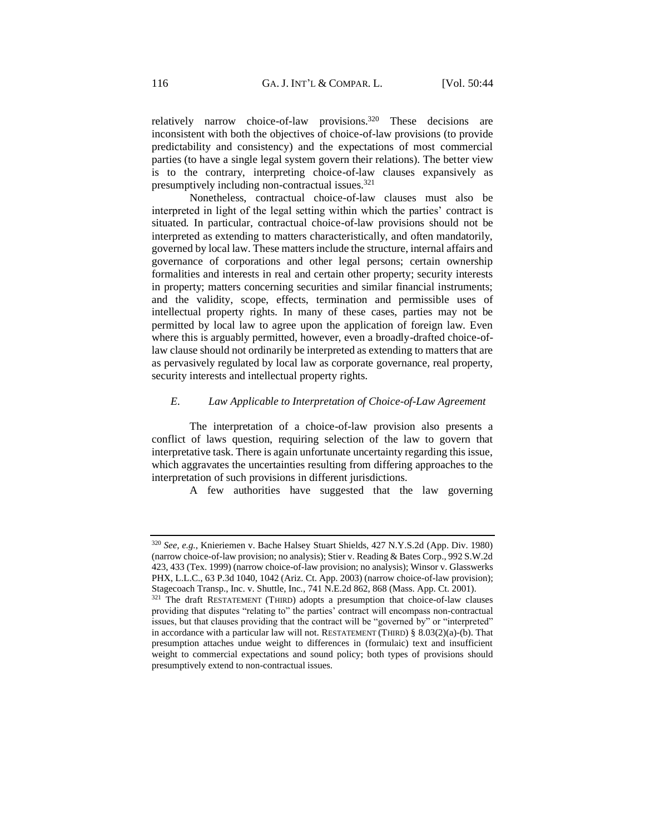relatively narrow choice-of-law provisions.<sup>320</sup> These decisions are inconsistent with both the objectives of choice-of-law provisions (to provide predictability and consistency) and the expectations of most commercial parties (to have a single legal system govern their relations). The better view is to the contrary, interpreting choice-of-law clauses expansively as presumptively including non-contractual issues.<sup>321</sup>

Nonetheless, contractual choice-of-law clauses must also be interpreted in light of the legal setting within which the parties' contract is situated. In particular, contractual choice-of-law provisions should not be interpreted as extending to matters characteristically, and often mandatorily, governed by local law. These matters include the structure, internal affairs and governance of corporations and other legal persons; certain ownership formalities and interests in real and certain other property; security interests in property; matters concerning securities and similar financial instruments; and the validity, scope, effects, termination and permissible uses of intellectual property rights. In many of these cases, parties may not be permitted by local law to agree upon the application of foreign law. Even where this is arguably permitted, however, even a broadly-drafted choice-oflaw clause should not ordinarily be interpreted as extending to matters that are as pervasively regulated by local law as corporate governance, real property, security interests and intellectual property rights.

## *E. Law Applicable to Interpretation of Choice-of-Law Agreement*

The interpretation of a choice-of-law provision also presents a conflict of laws question, requiring selection of the law to govern that interpretative task. There is again unfortunate uncertainty regarding this issue, which aggravates the uncertainties resulting from differing approaches to the interpretation of such provisions in different jurisdictions.

A few authorities have suggested that the law governing

<sup>320</sup> *See, e.g.*, Knieriemen v. Bache Halsey Stuart Shields, 427 N.Y.S.2d (App. Div. 1980) (narrow choice-of-law provision; no analysis); Stier v. Reading & Bates Corp., 992 S.W.2d 423, 433 (Tex. 1999) (narrow choice-of-law provision; no analysis); Winsor v. Glasswerks PHX, L.L.C., 63 P.3d 1040, 1042 (Ariz. Ct. App. 2003) (narrow choice-of-law provision); Stagecoach Transp., Inc. v. Shuttle, Inc*.*, 741 N.E.2d 862, 868 (Mass. App. Ct. 2001).

<sup>&</sup>lt;sup>321</sup> The draft RESTATEMENT (THIRD) adopts a presumption that choice-of-law clauses providing that disputes "relating to" the parties' contract will encompass non-contractual issues, but that clauses providing that the contract will be "governed by" or "interpreted" in accordance with a particular law will not. RESTATEMENT (THIRD)  $\S$  8.03(2)(a)-(b). That presumption attaches undue weight to differences in (formulaic) text and insufficient weight to commercial expectations and sound policy; both types of provisions should presumptively extend to non-contractual issues.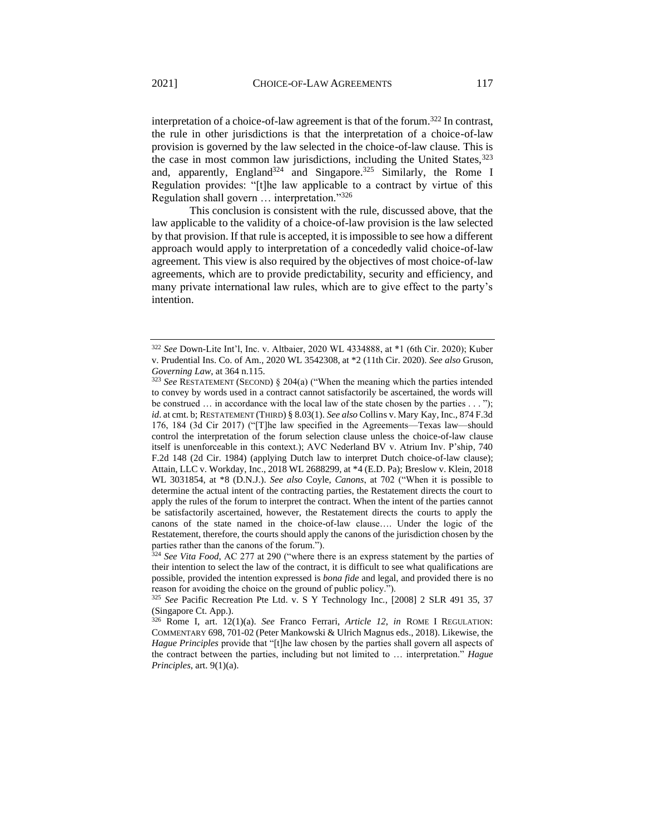interpretation of a choice-of-law agreement is that of the forum.<sup>322</sup> In contrast, the rule in other jurisdictions is that the interpretation of a choice-of-law provision is governed by the law selected in the choice-of-law clause. This is the case in most common law jurisdictions, including the United States, 323 and, apparently, England<sup>324</sup> and Singapore.<sup>325</sup> Similarly, the Rome I Regulation provides: "[t]he law applicable to a contract by virtue of this Regulation shall govern … interpretation."<sup>326</sup>

This conclusion is consistent with the rule, discussed above, that the law applicable to the validity of a choice-of-law provision is the law selected by that provision. If that rule is accepted, it is impossible to see how a different approach would apply to interpretation of a concededly valid choice-of-law agreement. This view is also required by the objectives of most choice-of-law agreements, which are to provide predictability, security and efficiency, and many private international law rules, which are to give effect to the party's intention.

<sup>322</sup> *See* Down-Lite Int'l, Inc. v. Altbaier, 2020 WL 4334888, at \*1 (6th Cir. 2020); Kuber v. Prudential Ins. Co. of Am., 2020 WL 3542308, at \*2 (11th Cir. 2020). *See also* Gruson, *Governing Law*, at 364 n.115.

<sup>323</sup> *See* RESTATEMENT (SECOND) § 204(a) ("When the meaning which the parties intended to convey by words used in a contract cannot satisfactorily be ascertained, the words will be construed  $\ldots$  in accordance with the local law of the state chosen by the parties  $\ldots$ "); *id*. at cmt. b; RESTATEMENT (THIRD) § 8.03(1). *See also* Collins v. Mary Kay, Inc., 874 F.3d 176, 184 (3d Cir 2017) ("[T]he law specified in the Agreements—Texas law—should control the interpretation of the forum selection clause unless the choice-of-law clause itself is unenforceable in this context.); AVC Nederland BV v. Atrium Inv. P'ship, 740 F.2d 148 (2d Cir. 1984) (applying Dutch law to interpret Dutch choice-of-law clause); Attain, LLC v. Workday, Inc., 2018 WL 2688299, at \*4 (E.D. Pa); Breslow v. Klein, 2018 WL 3031854, at \*8 (D.N.J.). *See also* Coyle, *Canons*, at 702 ("When it is possible to determine the actual intent of the contracting parties, the Restatement directs the court to apply the rules of the forum to interpret the contract. When the intent of the parties cannot be satisfactorily ascertained, however, the Restatement directs the courts to apply the canons of the state named in the choice-of-law clause…. Under the logic of the Restatement, therefore, the courts should apply the canons of the jurisdiction chosen by the parties rather than the canons of the forum.").

<sup>324</sup> *See Vita Food*, AC 277 at 290 ("where there is an express statement by the parties of their intention to select the law of the contract, it is difficult to see what qualifications are possible, provided the intention expressed is *bona fide* and legal, and provided there is no reason for avoiding the choice on the ground of public policy.").

<sup>325</sup> *See* Pacific Recreation Pte Ltd. v. S Y Technology Inc*.*, [2008] 2 SLR 491 35, 37 (Singapore Ct. App.).

<sup>326</sup> Rome I, art. 12(1)(a). *See* Franco Ferrari, *Article 12*, *in* ROME I REGULATION: COMMENTARY 698, 701-02 (Peter Mankowski & Ulrich Magnus eds., 2018). Likewise, the *Hague Principles* provide that "[t]he law chosen by the parties shall govern all aspects of the contract between the parties, including but not limited to … interpretation." *Hague Principles*, art. 9(1)(a).